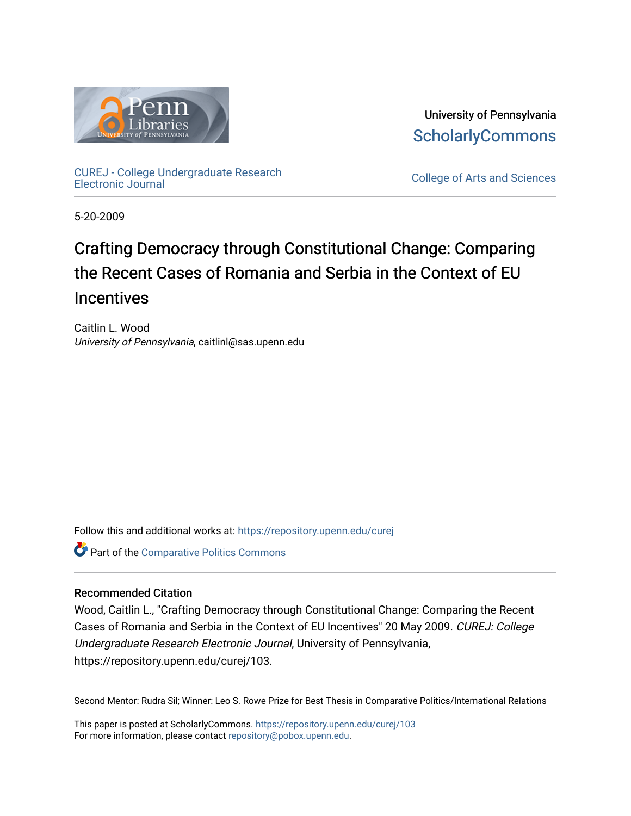

University of Pennsylvania **ScholarlyCommons** 

[CUREJ - College Undergraduate Research](https://repository.upenn.edu/curej) 

College of Arts and Sciences

5-20-2009

## Crafting Democracy through Constitutional Change: Comparing the Recent Cases of Romania and Serbia in the Context of EU **Incentives**

Caitlin L. Wood University of Pennsylvania, caitlinl@sas.upenn.edu

Follow this and additional works at: [https://repository.upenn.edu/curej](https://repository.upenn.edu/curej?utm_source=repository.upenn.edu%2Fcurej%2F103&utm_medium=PDF&utm_campaign=PDFCoverPages)

Part of the [Comparative Politics Commons](http://network.bepress.com/hgg/discipline/388?utm_source=repository.upenn.edu%2Fcurej%2F103&utm_medium=PDF&utm_campaign=PDFCoverPages) 

#### Recommended Citation

Wood, Caitlin L., "Crafting Democracy through Constitutional Change: Comparing the Recent Cases of Romania and Serbia in the Context of EU Incentives" 20 May 2009. CUREJ: College Undergraduate Research Electronic Journal, University of Pennsylvania, https://repository.upenn.edu/curej/103.

Second Mentor: Rudra Sil; Winner: Leo S. Rowe Prize for Best Thesis in Comparative Politics/International Relations

This paper is posted at ScholarlyCommons.<https://repository.upenn.edu/curej/103> For more information, please contact [repository@pobox.upenn.edu.](mailto:repository@pobox.upenn.edu)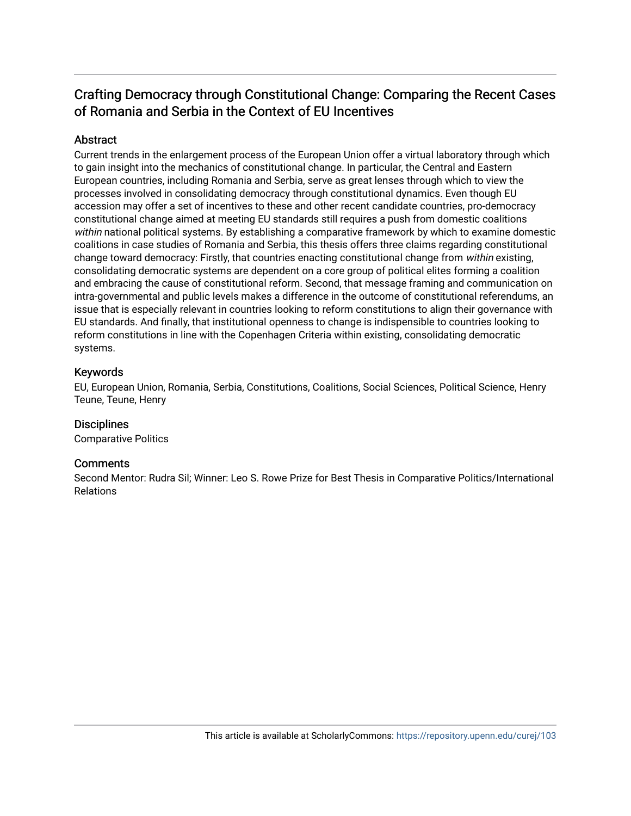## Crafting Democracy through Constitutional Change: Comparing the Recent Cases of Romania and Serbia in the Context of EU Incentives

#### **Abstract**

Current trends in the enlargement process of the European Union offer a virtual laboratory through which to gain insight into the mechanics of constitutional change. In particular, the Central and Eastern European countries, including Romania and Serbia, serve as great lenses through which to view the processes involved in consolidating democracy through constitutional dynamics. Even though EU accession may offer a set of incentives to these and other recent candidate countries, pro-democracy constitutional change aimed at meeting EU standards still requires a push from domestic coalitions within national political systems. By establishing a comparative framework by which to examine domestic coalitions in case studies of Romania and Serbia, this thesis offers three claims regarding constitutional change toward democracy: Firstly, that countries enacting constitutional change from within existing, consolidating democratic systems are dependent on a core group of political elites forming a coalition and embracing the cause of constitutional reform. Second, that message framing and communication on intra-governmental and public levels makes a difference in the outcome of constitutional referendums, an issue that is especially relevant in countries looking to reform constitutions to align their governance with EU standards. And finally, that institutional openness to change is indispensible to countries looking to reform constitutions in line with the Copenhagen Criteria within existing, consolidating democratic systems.

#### Keywords

EU, European Union, Romania, Serbia, Constitutions, Coalitions, Social Sciences, Political Science, Henry Teune, Teune, Henry

#### **Disciplines**

Comparative Politics

#### **Comments**

Second Mentor: Rudra Sil; Winner: Leo S. Rowe Prize for Best Thesis in Comparative Politics/International Relations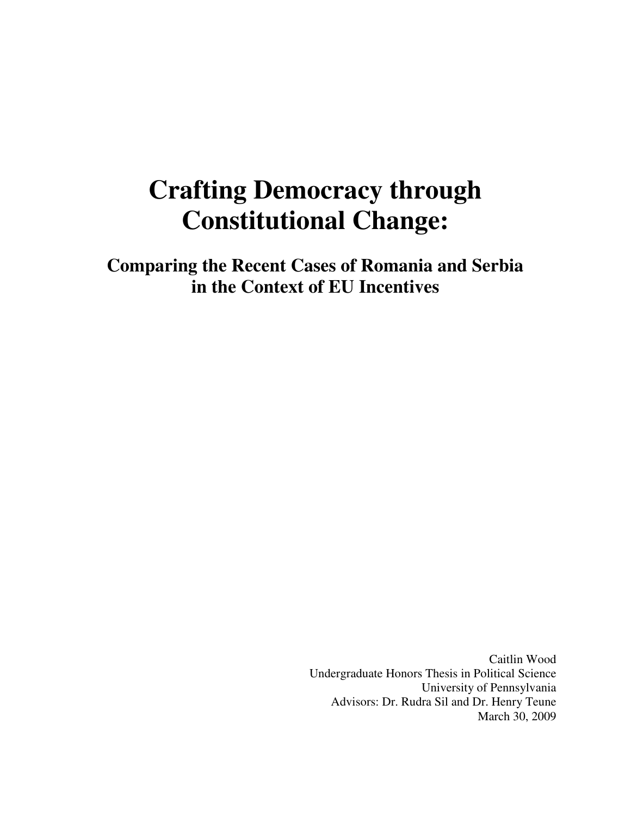# **Crafting Democracy through Constitutional Change:**

**Comparing the Recent Cases of Romania and Serbia in the Context of EU Incentives** 

> Caitlin Wood Undergraduate Honors Thesis in Political Science University of Pennsylvania Advisors: Dr. Rudra Sil and Dr. Henry Teune March 30, 2009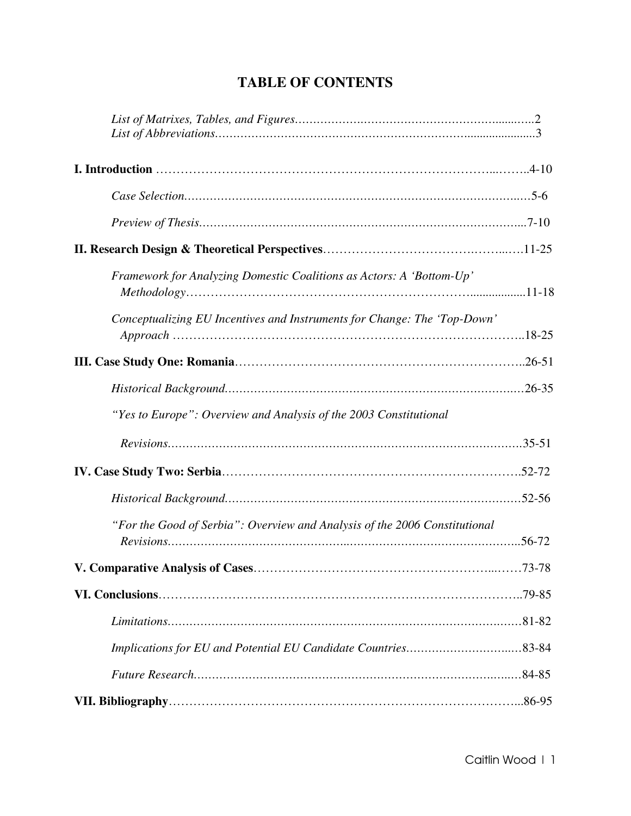| Framework for Analyzing Domestic Coalitions as Actors: A 'Bottom-Up'       |  |
|----------------------------------------------------------------------------|--|
| Conceptualizing EU Incentives and Instruments for Change: The 'Top-Down'   |  |
|                                                                            |  |
|                                                                            |  |
| "Yes to Europe": Overview and Analysis of the 2003 Constitutional          |  |
|                                                                            |  |
|                                                                            |  |
|                                                                            |  |
| "For the Good of Serbia": Overview and Analysis of the 2006 Constitutional |  |
|                                                                            |  |
|                                                                            |  |
|                                                                            |  |
|                                                                            |  |
|                                                                            |  |
|                                                                            |  |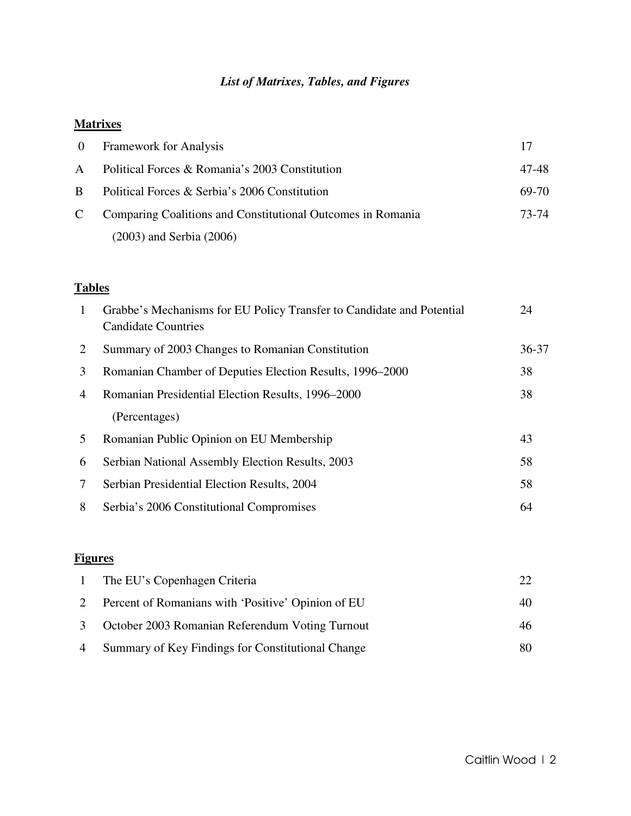## *List of Matrixes, Tables, and Figures*

## **Matrixes**

| $\overline{0}$ | <b>Framework for Analysis</b>                               | 17    |
|----------------|-------------------------------------------------------------|-------|
| $\mathsf{A}$   | Political Forces & Romania's 2003 Constitution              | 47-48 |
| B.             | Political Forces & Serbia's 2006 Constitution               | 69-70 |
| C              | Comparing Coalitions and Constitutional Outcomes in Romania | 73-74 |
|                | $(2003)$ and Serbia $(2006)$                                |       |

## **Tables**

| $\overline{1}$ | Grabbe's Mechanisms for EU Policy Transfer to Candidate and Potential<br><b>Candidate Countries</b> | 24        |
|----------------|-----------------------------------------------------------------------------------------------------|-----------|
| 2              | Summary of 2003 Changes to Romanian Constitution                                                    | $36 - 37$ |
| 3              | Romanian Chamber of Deputies Election Results, 1996–2000                                            | 38        |
| 4              | Romanian Presidential Election Results, 1996–2000                                                   | 38        |
|                | (Percentages)                                                                                       |           |
| 5              | Romanian Public Opinion on EU Membership                                                            | 43        |
| 6              | Serbian National Assembly Election Results, 2003                                                    | 58        |
| 7              | Serbian Presidential Election Results, 2004                                                         | 58        |
| 8              | Serbia's 2006 Constitutional Compromises                                                            | 64        |

## **Figures**

| 1 | The EU's Copenhagen Criteria                         |    |
|---|------------------------------------------------------|----|
|   | 2 Percent of Romanians with 'Positive' Opinion of EU | 40 |
|   | 3 October 2003 Romanian Referendum Voting Turnout    | 46 |
|   | 4 Summary of Key Findings for Constitutional Change  | 80 |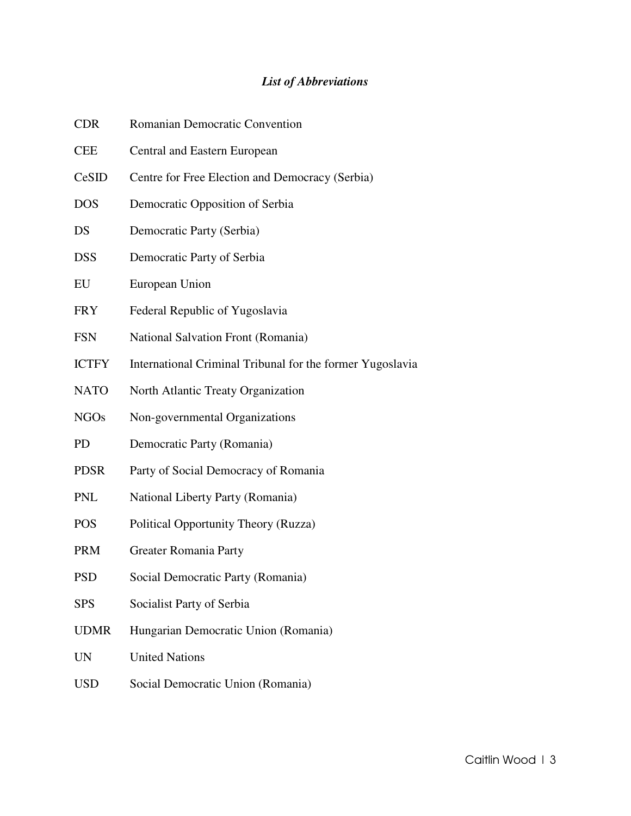## *List of Abbreviations*

| <b>CDR</b>   | Romanian Democratic Convention                            |
|--------------|-----------------------------------------------------------|
| <b>CEE</b>   | Central and Eastern European                              |
| CeSID        | Centre for Free Election and Democracy (Serbia)           |
| <b>DOS</b>   | Democratic Opposition of Serbia                           |
| DS           | Democratic Party (Serbia)                                 |
| <b>DSS</b>   | Democratic Party of Serbia                                |
| EU           | European Union                                            |
| <b>FRY</b>   | Federal Republic of Yugoslavia                            |
| <b>FSN</b>   | National Salvation Front (Romania)                        |
| <b>ICTFY</b> | International Criminal Tribunal for the former Yugoslavia |
| <b>NATO</b>  | North Atlantic Treaty Organization                        |
| <b>NGOs</b>  | Non-governmental Organizations                            |
| <b>PD</b>    | Democratic Party (Romania)                                |
| <b>PDSR</b>  | Party of Social Democracy of Romania                      |
| <b>PNL</b>   | National Liberty Party (Romania)                          |
| <b>POS</b>   | Political Opportunity Theory (Ruzza)                      |
| <b>PRM</b>   | <b>Greater Romania Party</b>                              |
| PSD          | Social Democratic Party (Romania)                         |
| <b>SPS</b>   | Socialist Party of Serbia                                 |
| <b>UDMR</b>  | Hungarian Democratic Union (Romania)                      |
| <b>UN</b>    | <b>United Nations</b>                                     |
| <b>USD</b>   | Social Democratic Union (Romania)                         |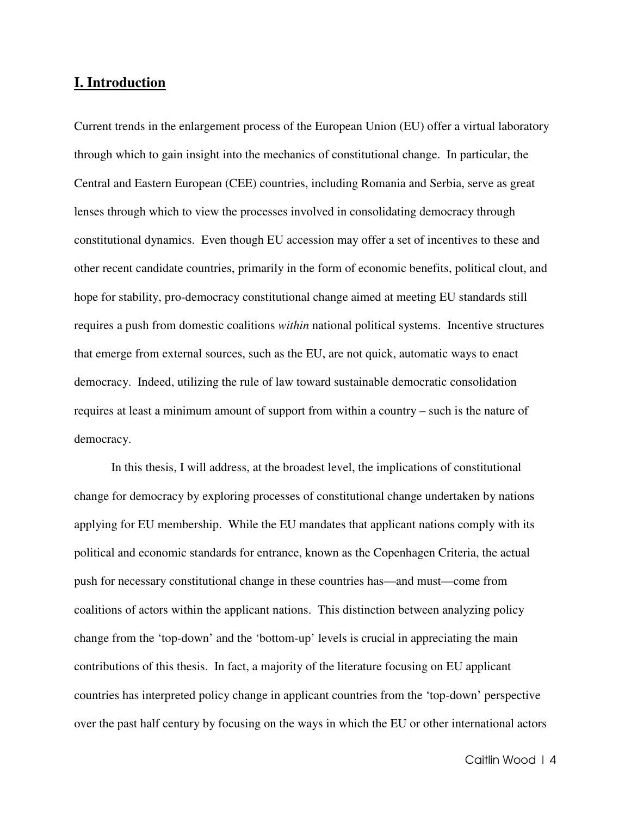## **I. Introduction**

Current trends in the enlargement process of the European Union (EU) offer a virtual laboratory through which to gain insight into the mechanics of constitutional change. In particular, the Central and Eastern European (CEE) countries, including Romania and Serbia, serve as great lenses through which to view the processes involved in consolidating democracy through constitutional dynamics. Even though EU accession may offer a set of incentives to these and other recent candidate countries, primarily in the form of economic benefits, political clout, and hope for stability, pro-democracy constitutional change aimed at meeting EU standards still requires a push from domestic coalitions *within* national political systems. Incentive structures that emerge from external sources, such as the EU, are not quick, automatic ways to enact democracy. Indeed, utilizing the rule of law toward sustainable democratic consolidation requires at least a minimum amount of support from within a country – such is the nature of democracy.

 In this thesis, I will address, at the broadest level, the implications of constitutional change for democracy by exploring processes of constitutional change undertaken by nations applying for EU membership. While the EU mandates that applicant nations comply with its political and economic standards for entrance, known as the Copenhagen Criteria, the actual push for necessary constitutional change in these countries has—and must—come from coalitions of actors within the applicant nations. This distinction between analyzing policy change from the 'top-down' and the 'bottom-up' levels is crucial in appreciating the main contributions of this thesis. In fact, a majority of the literature focusing on EU applicant countries has interpreted policy change in applicant countries from the 'top-down' perspective over the past half century by focusing on the ways in which the EU or other international actors

Caitlin Wood | 4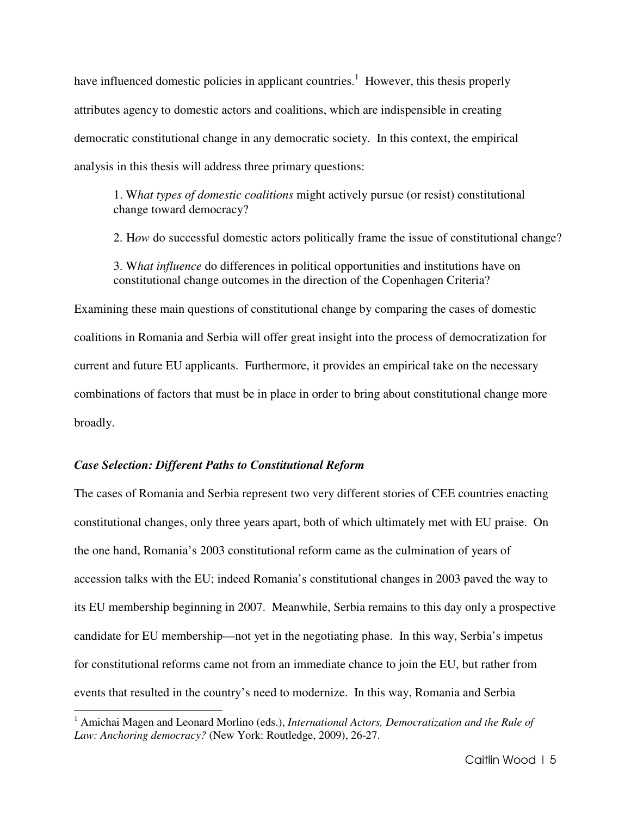have influenced domestic policies in applicant countries.<sup>1</sup> However, this thesis properly attributes agency to domestic actors and coalitions, which are indispensible in creating democratic constitutional change in any democratic society. In this context, the empirical analysis in this thesis will address three primary questions:

1. W*hat types of domestic coalitions* might actively pursue (or resist) constitutional change toward democracy?

2. H*ow* do successful domestic actors politically frame the issue of constitutional change?

3. W*hat influence* do differences in political opportunities and institutions have on constitutional change outcomes in the direction of the Copenhagen Criteria?

Examining these main questions of constitutional change by comparing the cases of domestic coalitions in Romania and Serbia will offer great insight into the process of democratization for current and future EU applicants. Furthermore, it provides an empirical take on the necessary combinations of factors that must be in place in order to bring about constitutional change more broadly.

#### *Case Selection: Different Paths to Constitutional Reform*

 $\overline{a}$ 

The cases of Romania and Serbia represent two very different stories of CEE countries enacting constitutional changes, only three years apart, both of which ultimately met with EU praise. On the one hand, Romania's 2003 constitutional reform came as the culmination of years of accession talks with the EU; indeed Romania's constitutional changes in 2003 paved the way to its EU membership beginning in 2007. Meanwhile, Serbia remains to this day only a prospective candidate for EU membership—not yet in the negotiating phase. In this way, Serbia's impetus for constitutional reforms came not from an immediate chance to join the EU, but rather from events that resulted in the country's need to modernize. In this way, Romania and Serbia

<sup>&</sup>lt;sup>1</sup> Amichai Magen and Leonard Morlino (eds.), *International Actors, Democratization and the Rule of Law: Anchoring democracy?* (New York: Routledge, 2009), 26-27.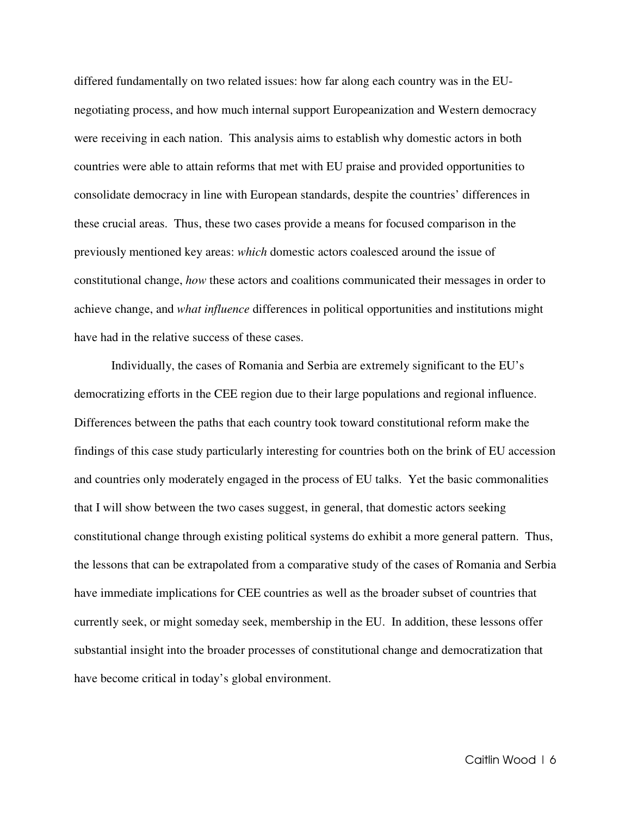differed fundamentally on two related issues: how far along each country was in the EUnegotiating process, and how much internal support Europeanization and Western democracy were receiving in each nation. This analysis aims to establish why domestic actors in both countries were able to attain reforms that met with EU praise and provided opportunities to consolidate democracy in line with European standards, despite the countries' differences in these crucial areas. Thus, these two cases provide a means for focused comparison in the previously mentioned key areas: *which* domestic actors coalesced around the issue of constitutional change, *how* these actors and coalitions communicated their messages in order to achieve change, and *what influence* differences in political opportunities and institutions might have had in the relative success of these cases.

Individually, the cases of Romania and Serbia are extremely significant to the EU's democratizing efforts in the CEE region due to their large populations and regional influence. Differences between the paths that each country took toward constitutional reform make the findings of this case study particularly interesting for countries both on the brink of EU accession and countries only moderately engaged in the process of EU talks. Yet the basic commonalities that I will show between the two cases suggest, in general, that domestic actors seeking constitutional change through existing political systems do exhibit a more general pattern. Thus, the lessons that can be extrapolated from a comparative study of the cases of Romania and Serbia have immediate implications for CEE countries as well as the broader subset of countries that currently seek, or might someday seek, membership in the EU. In addition, these lessons offer substantial insight into the broader processes of constitutional change and democratization that have become critical in today's global environment.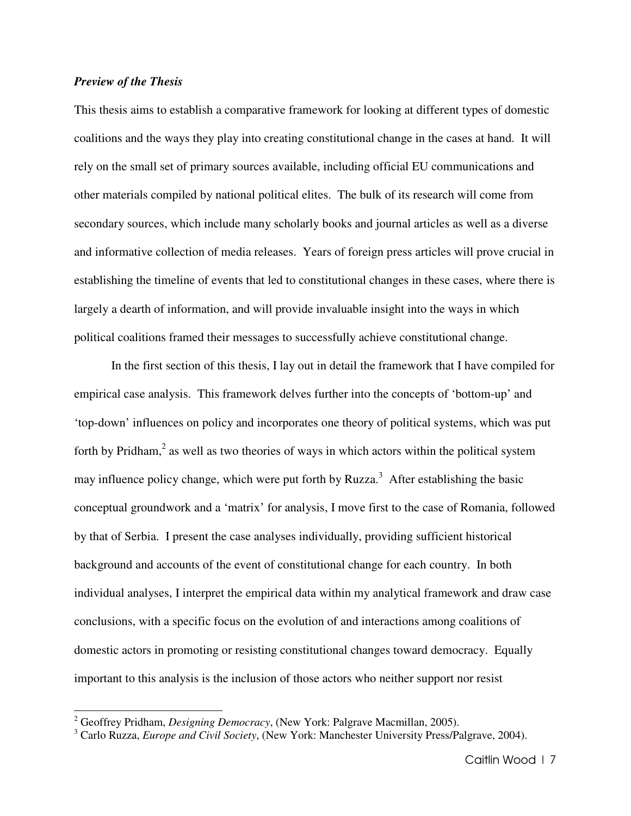#### *Preview of the Thesis*

 $\overline{a}$ 

This thesis aims to establish a comparative framework for looking at different types of domestic coalitions and the ways they play into creating constitutional change in the cases at hand. It will rely on the small set of primary sources available, including official EU communications and other materials compiled by national political elites. The bulk of its research will come from secondary sources, which include many scholarly books and journal articles as well as a diverse and informative collection of media releases. Years of foreign press articles will prove crucial in establishing the timeline of events that led to constitutional changes in these cases, where there is largely a dearth of information, and will provide invaluable insight into the ways in which political coalitions framed their messages to successfully achieve constitutional change.

 In the first section of this thesis, I lay out in detail the framework that I have compiled for empirical case analysis. This framework delves further into the concepts of 'bottom-up' and 'top-down' influences on policy and incorporates one theory of political systems, which was put forth by Pridham,<sup>2</sup> as well as two theories of ways in which actors within the political system may influence policy change, which were put forth by Ruzza.<sup>3</sup> After establishing the basic conceptual groundwork and a 'matrix' for analysis, I move first to the case of Romania, followed by that of Serbia. I present the case analyses individually, providing sufficient historical background and accounts of the event of constitutional change for each country. In both individual analyses, I interpret the empirical data within my analytical framework and draw case conclusions, with a specific focus on the evolution of and interactions among coalitions of domestic actors in promoting or resisting constitutional changes toward democracy. Equally important to this analysis is the inclusion of those actors who neither support nor resist

<sup>2</sup> Geoffrey Pridham, *Designing Democracy*, (New York: Palgrave Macmillan, 2005).

<sup>3</sup> Carlo Ruzza, *Europe and Civil Society*, (New York: Manchester University Press/Palgrave, 2004).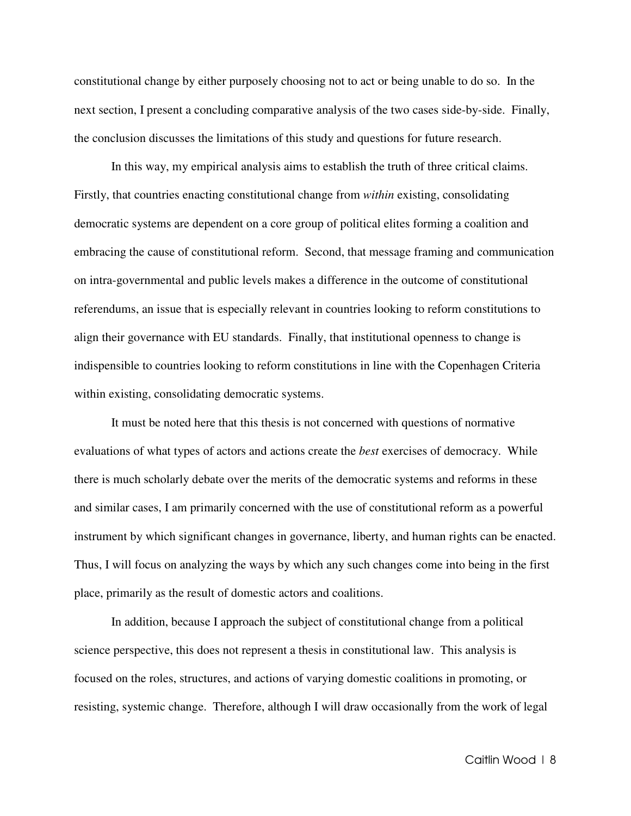constitutional change by either purposely choosing not to act or being unable to do so. In the next section, I present a concluding comparative analysis of the two cases side-by-side. Finally, the conclusion discusses the limitations of this study and questions for future research.

 In this way, my empirical analysis aims to establish the truth of three critical claims. Firstly, that countries enacting constitutional change from *within* existing, consolidating democratic systems are dependent on a core group of political elites forming a coalition and embracing the cause of constitutional reform. Second, that message framing and communication on intra-governmental and public levels makes a difference in the outcome of constitutional referendums, an issue that is especially relevant in countries looking to reform constitutions to align their governance with EU standards. Finally, that institutional openness to change is indispensible to countries looking to reform constitutions in line with the Copenhagen Criteria within existing, consolidating democratic systems.

 It must be noted here that this thesis is not concerned with questions of normative evaluations of what types of actors and actions create the *best* exercises of democracy. While there is much scholarly debate over the merits of the democratic systems and reforms in these and similar cases, I am primarily concerned with the use of constitutional reform as a powerful instrument by which significant changes in governance, liberty, and human rights can be enacted. Thus, I will focus on analyzing the ways by which any such changes come into being in the first place, primarily as the result of domestic actors and coalitions.

 In addition, because I approach the subject of constitutional change from a political science perspective, this does not represent a thesis in constitutional law. This analysis is focused on the roles, structures, and actions of varying domestic coalitions in promoting, or resisting, systemic change. Therefore, although I will draw occasionally from the work of legal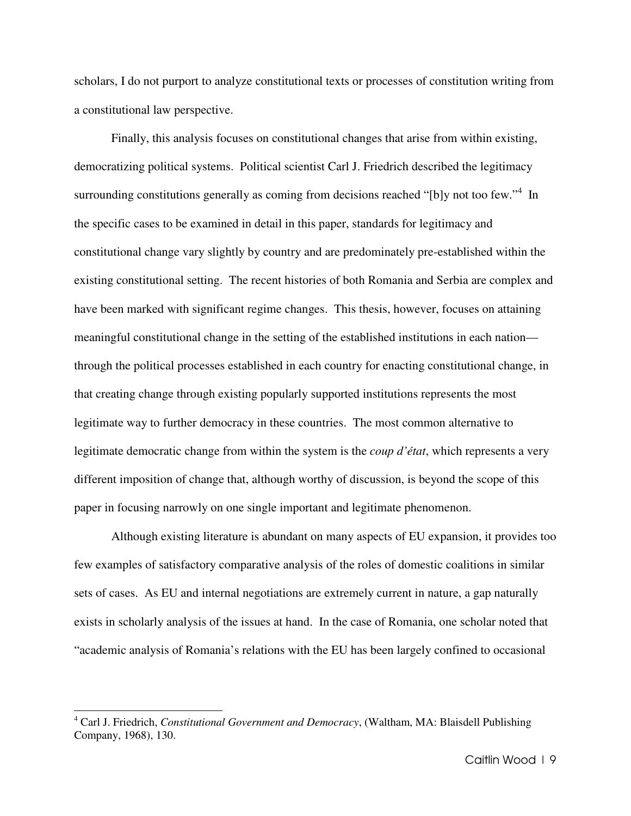scholars, I do not purport to analyze constitutional texts or processes of constitution writing from a constitutional law perspective.

 Finally, this analysis focuses on constitutional changes that arise from within existing, democratizing political systems. Political scientist Carl J. Friedrich described the legitimacy surrounding constitutions generally as coming from decisions reached "[b]y not too few."<sup>4</sup> In the specific cases to be examined in detail in this paper, standards for legitimacy and constitutional change vary slightly by country and are predominately pre-established within the existing constitutional setting. The recent histories of both Romania and Serbia are complex and have been marked with significant regime changes. This thesis, however, focuses on attaining meaningful constitutional change in the setting of the established institutions in each nation through the political processes established in each country for enacting constitutional change, in that creating change through existing popularly supported institutions represents the most legitimate way to further democracy in these countries. The most common alternative to legitimate democratic change from within the system is the *coup d'état*, which represents a very different imposition of change that, although worthy of discussion, is beyond the scope of this paper in focusing narrowly on one single important and legitimate phenomenon.

 Although existing literature is abundant on many aspects of EU expansion, it provides too few examples of satisfactory comparative analysis of the roles of domestic coalitions in similar sets of cases. As EU and internal negotiations are extremely current in nature, a gap naturally exists in scholarly analysis of the issues at hand. In the case of Romania, one scholar noted that "academic analysis of Romania's relations with the EU has been largely confined to occasional

<sup>4</sup> Carl J. Friedrich, *Constitutional Government and Democracy*, (Waltham, MA: Blaisdell Publishing Company, 1968), 130.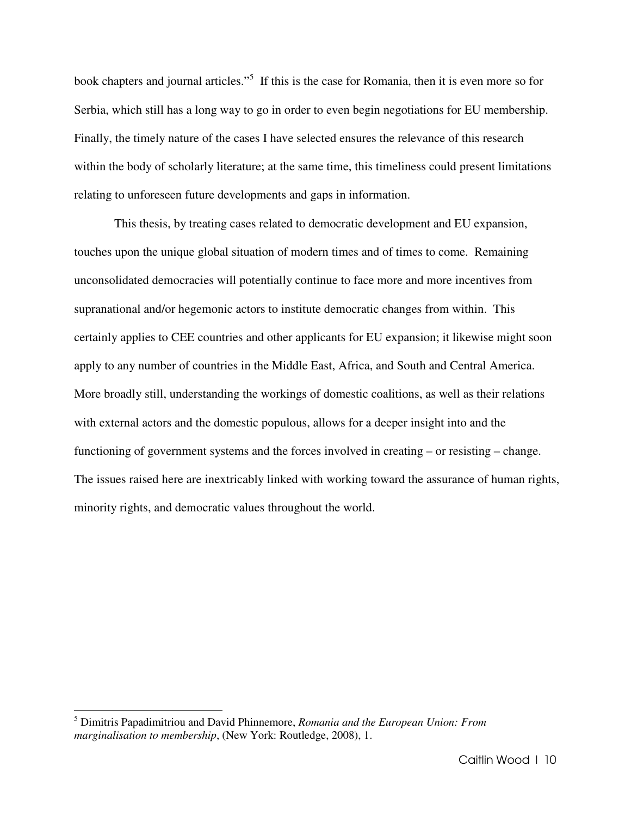book chapters and journal articles."<sup>5</sup> If this is the case for Romania, then it is even more so for Serbia, which still has a long way to go in order to even begin negotiations for EU membership. Finally, the timely nature of the cases I have selected ensures the relevance of this research within the body of scholarly literature; at the same time, this timeliness could present limitations relating to unforeseen future developments and gaps in information.

 This thesis, by treating cases related to democratic development and EU expansion, touches upon the unique global situation of modern times and of times to come. Remaining unconsolidated democracies will potentially continue to face more and more incentives from supranational and/or hegemonic actors to institute democratic changes from within. This certainly applies to CEE countries and other applicants for EU expansion; it likewise might soon apply to any number of countries in the Middle East, Africa, and South and Central America. More broadly still, understanding the workings of domestic coalitions, as well as their relations with external actors and the domestic populous, allows for a deeper insight into and the functioning of government systems and the forces involved in creating – or resisting – change. The issues raised here are inextricably linked with working toward the assurance of human rights, minority rights, and democratic values throughout the world.

<sup>5</sup> Dimitris Papadimitriou and David Phinnemore, *Romania and the European Union: From marginalisation to membership*, (New York: Routledge, 2008), 1.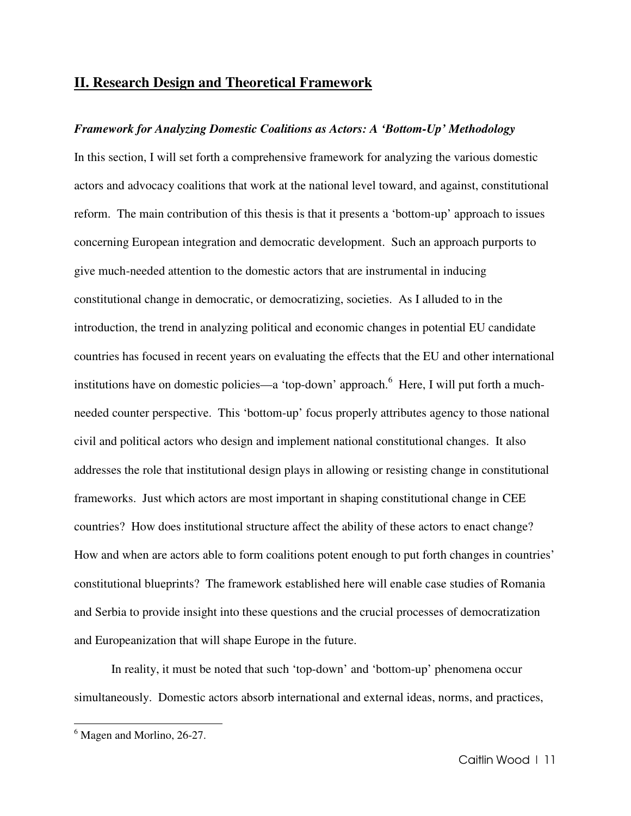## **II. Research Design and Theoretical Framework**

#### *Framework for Analyzing Domestic Coalitions as Actors: A 'Bottom-Up' Methodology*

In this section, I will set forth a comprehensive framework for analyzing the various domestic actors and advocacy coalitions that work at the national level toward, and against, constitutional reform. The main contribution of this thesis is that it presents a 'bottom-up' approach to issues concerning European integration and democratic development. Such an approach purports to give much-needed attention to the domestic actors that are instrumental in inducing constitutional change in democratic, or democratizing, societies. As I alluded to in the introduction, the trend in analyzing political and economic changes in potential EU candidate countries has focused in recent years on evaluating the effects that the EU and other international institutions have on domestic policies—a 'top-down' approach.<sup>6</sup> Here, I will put forth a muchneeded counter perspective. This 'bottom-up' focus properly attributes agency to those national civil and political actors who design and implement national constitutional changes. It also addresses the role that institutional design plays in allowing or resisting change in constitutional frameworks. Just which actors are most important in shaping constitutional change in CEE countries? How does institutional structure affect the ability of these actors to enact change? How and when are actors able to form coalitions potent enough to put forth changes in countries' constitutional blueprints? The framework established here will enable case studies of Romania and Serbia to provide insight into these questions and the crucial processes of democratization and Europeanization that will shape Europe in the future.

In reality, it must be noted that such 'top-down' and 'bottom-up' phenomena occur simultaneously. Domestic actors absorb international and external ideas, norms, and practices,

l.

<sup>&</sup>lt;sup>6</sup> Magen and Morlino, 26-27.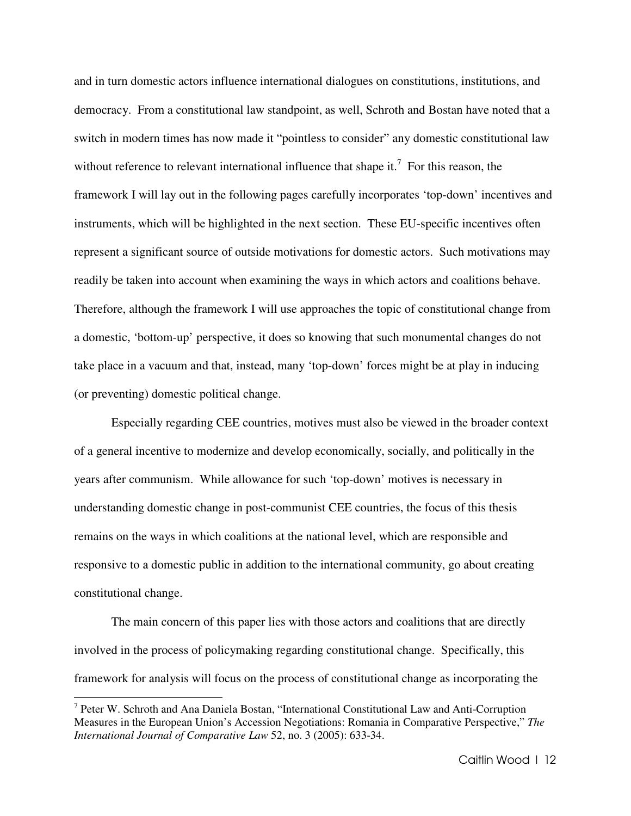and in turn domestic actors influence international dialogues on constitutions, institutions, and democracy. From a constitutional law standpoint, as well, Schroth and Bostan have noted that a switch in modern times has now made it "pointless to consider" any domestic constitutional law without reference to relevant international influence that shape it.<sup>7</sup> For this reason, the framework I will lay out in the following pages carefully incorporates 'top-down' incentives and instruments, which will be highlighted in the next section. These EU-specific incentives often represent a significant source of outside motivations for domestic actors. Such motivations may readily be taken into account when examining the ways in which actors and coalitions behave. Therefore, although the framework I will use approaches the topic of constitutional change from a domestic, 'bottom-up' perspective, it does so knowing that such monumental changes do not take place in a vacuum and that, instead, many 'top-down' forces might be at play in inducing (or preventing) domestic political change.

Especially regarding CEE countries, motives must also be viewed in the broader context of a general incentive to modernize and develop economically, socially, and politically in the years after communism. While allowance for such 'top-down' motives is necessary in understanding domestic change in post-communist CEE countries, the focus of this thesis remains on the ways in which coalitions at the national level, which are responsible and responsive to a domestic public in addition to the international community, go about creating constitutional change.

The main concern of this paper lies with those actors and coalitions that are directly involved in the process of policymaking regarding constitutional change. Specifically, this framework for analysis will focus on the process of constitutional change as incorporating the

<sup>&</sup>lt;sup>7</sup> Peter W. Schroth and Ana Daniela Bostan, "International Constitutional Law and Anti-Corruption Measures in the European Union's Accession Negotiations: Romania in Comparative Perspective," *The International Journal of Comparative Law* 52, no. 3 (2005): 633-34.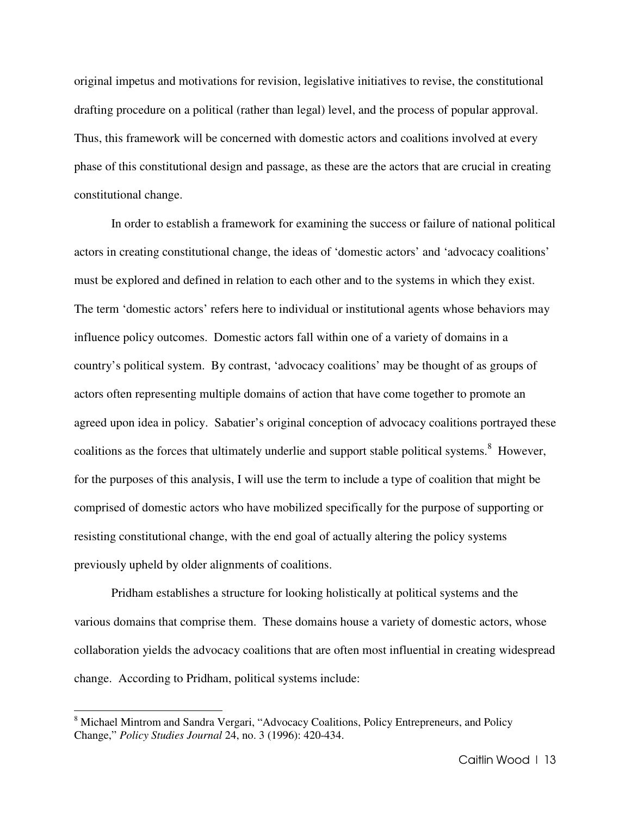original impetus and motivations for revision, legislative initiatives to revise, the constitutional drafting procedure on a political (rather than legal) level, and the process of popular approval. Thus, this framework will be concerned with domestic actors and coalitions involved at every phase of this constitutional design and passage, as these are the actors that are crucial in creating constitutional change.

In order to establish a framework for examining the success or failure of national political actors in creating constitutional change, the ideas of 'domestic actors' and 'advocacy coalitions' must be explored and defined in relation to each other and to the systems in which they exist. The term 'domestic actors' refers here to individual or institutional agents whose behaviors may influence policy outcomes. Domestic actors fall within one of a variety of domains in a country's political system. By contrast, 'advocacy coalitions' may be thought of as groups of actors often representing multiple domains of action that have come together to promote an agreed upon idea in policy. Sabatier's original conception of advocacy coalitions portrayed these coalitions as the forces that ultimately underlie and support stable political systems.<sup>8</sup> However, for the purposes of this analysis, I will use the term to include a type of coalition that might be comprised of domestic actors who have mobilized specifically for the purpose of supporting or resisting constitutional change, with the end goal of actually altering the policy systems previously upheld by older alignments of coalitions.

Pridham establishes a structure for looking holistically at political systems and the various domains that comprise them. These domains house a variety of domestic actors, whose collaboration yields the advocacy coalitions that are often most influential in creating widespread change. According to Pridham, political systems include:

<sup>&</sup>lt;sup>8</sup> Michael Mintrom and Sandra Vergari, "Advocacy Coalitions, Policy Entrepreneurs, and Policy Change," *Policy Studies Journal* 24, no. 3 (1996): 420-434.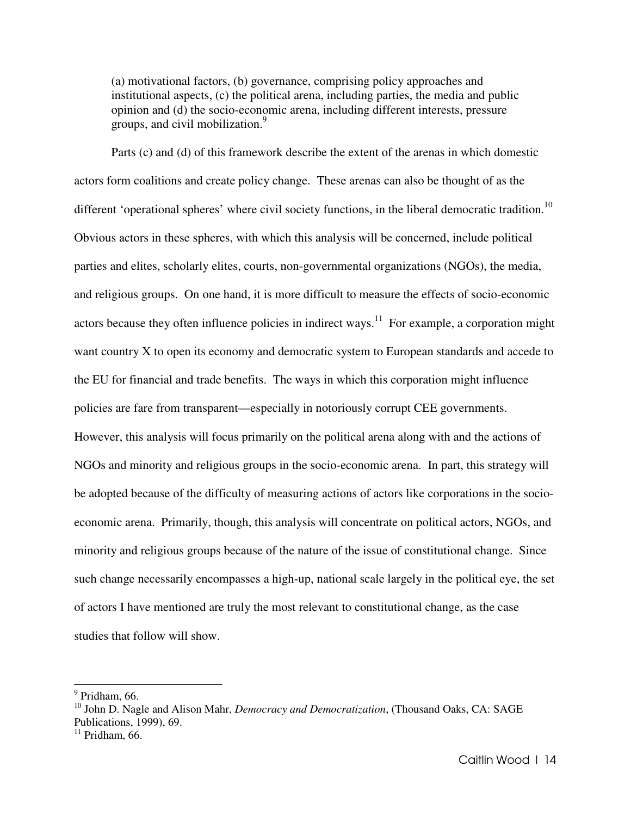(a) motivational factors, (b) governance, comprising policy approaches and institutional aspects, (c) the political arena, including parties, the media and public opinion and (d) the socio-economic arena, including different interests, pressure groups, and civil mobilization.<sup>9</sup>

Parts (c) and (d) of this framework describe the extent of the arenas in which domestic actors form coalitions and create policy change. These arenas can also be thought of as the different 'operational spheres' where civil society functions, in the liberal democratic tradition.<sup>10</sup> Obvious actors in these spheres, with which this analysis will be concerned, include political parties and elites, scholarly elites, courts, non-governmental organizations (NGOs), the media, and religious groups. On one hand, it is more difficult to measure the effects of socio-economic actors because they often influence policies in indirect ways.<sup>11</sup> For example, a corporation might want country X to open its economy and democratic system to European standards and accede to the EU for financial and trade benefits. The ways in which this corporation might influence policies are fare from transparent—especially in notoriously corrupt CEE governments. However, this analysis will focus primarily on the political arena along with and the actions of NGOs and minority and religious groups in the socio-economic arena. In part, this strategy will be adopted because of the difficulty of measuring actions of actors like corporations in the socioeconomic arena. Primarily, though, this analysis will concentrate on political actors, NGOs, and minority and religious groups because of the nature of the issue of constitutional change. Since such change necessarily encompasses a high-up, national scale largely in the political eye, the set of actors I have mentioned are truly the most relevant to constitutional change, as the case studies that follow will show.

 $<sup>9</sup>$  Pridham, 66.</sup>

<sup>&</sup>lt;sup>10</sup> John D. Nagle and Alison Mahr, *Democracy and Democratization*, (Thousand Oaks, CA: SAGE Publications, 1999), 69.

 $11$  Pridham, 66.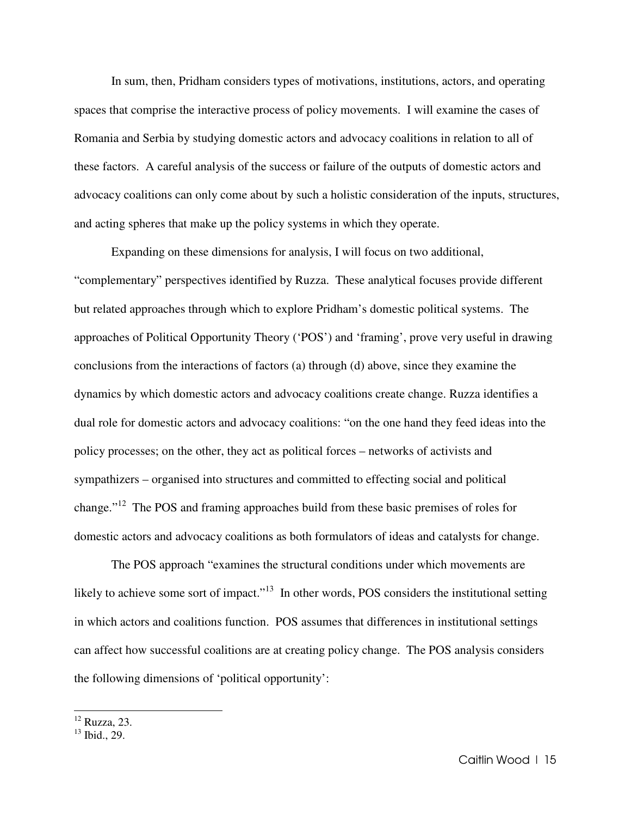In sum, then, Pridham considers types of motivations, institutions, actors, and operating spaces that comprise the interactive process of policy movements. I will examine the cases of Romania and Serbia by studying domestic actors and advocacy coalitions in relation to all of these factors. A careful analysis of the success or failure of the outputs of domestic actors and advocacy coalitions can only come about by such a holistic consideration of the inputs, structures, and acting spheres that make up the policy systems in which they operate.

Expanding on these dimensions for analysis, I will focus on two additional, "complementary" perspectives identified by Ruzza. These analytical focuses provide different but related approaches through which to explore Pridham's domestic political systems. The approaches of Political Opportunity Theory ('POS') and 'framing', prove very useful in drawing conclusions from the interactions of factors (a) through (d) above, since they examine the dynamics by which domestic actors and advocacy coalitions create change. Ruzza identifies a dual role for domestic actors and advocacy coalitions: "on the one hand they feed ideas into the policy processes; on the other, they act as political forces – networks of activists and sympathizers – organised into structures and committed to effecting social and political change."<sup>12</sup> The POS and framing approaches build from these basic premises of roles for domestic actors and advocacy coalitions as both formulators of ideas and catalysts for change.

 The POS approach "examines the structural conditions under which movements are likely to achieve some sort of impact."<sup>13</sup> In other words, POS considers the institutional setting in which actors and coalitions function. POS assumes that differences in institutional settings can affect how successful coalitions are at creating policy change. The POS analysis considers the following dimensions of 'political opportunity':

<sup>12</sup> Ruzza, 23.

 $^{13}$  Ibid., 29.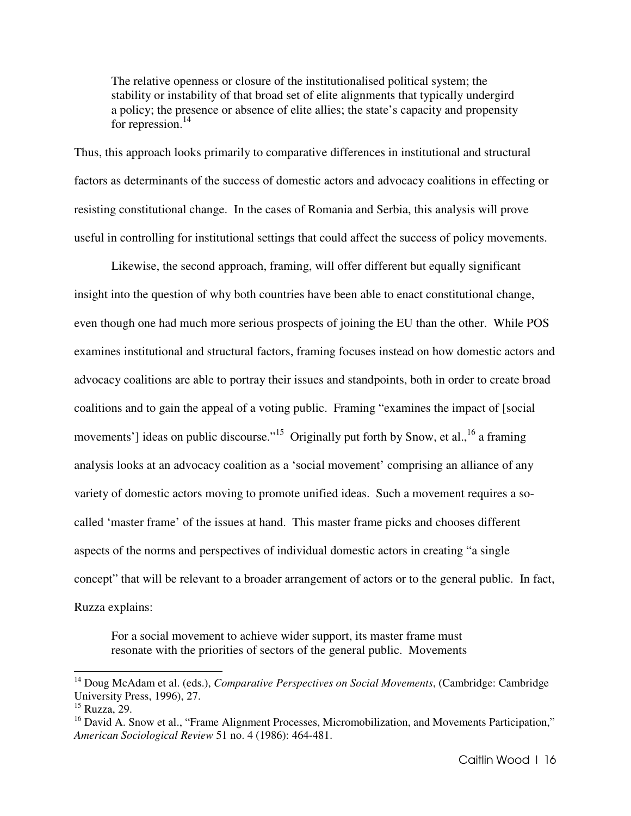The relative openness or closure of the institutionalised political system; the stability or instability of that broad set of elite alignments that typically undergird a policy; the presence or absence of elite allies; the state's capacity and propensity for repression. $14$ 

Thus, this approach looks primarily to comparative differences in institutional and structural factors as determinants of the success of domestic actors and advocacy coalitions in effecting or resisting constitutional change. In the cases of Romania and Serbia, this analysis will prove useful in controlling for institutional settings that could affect the success of policy movements.

 Likewise, the second approach, framing, will offer different but equally significant insight into the question of why both countries have been able to enact constitutional change, even though one had much more serious prospects of joining the EU than the other. While POS examines institutional and structural factors, framing focuses instead on how domestic actors and advocacy coalitions are able to portray their issues and standpoints, both in order to create broad coalitions and to gain the appeal of a voting public. Framing "examines the impact of [social movements'] ideas on public discourse."<sup>15</sup> Originally put forth by Snow, et al., <sup>16</sup> a framing analysis looks at an advocacy coalition as a 'social movement' comprising an alliance of any variety of domestic actors moving to promote unified ideas. Such a movement requires a socalled 'master frame' of the issues at hand. This master frame picks and chooses different aspects of the norms and perspectives of individual domestic actors in creating "a single concept" that will be relevant to a broader arrangement of actors or to the general public. In fact, Ruzza explains:

For a social movement to achieve wider support, its master frame must resonate with the priorities of sectors of the general public. Movements

<sup>&</sup>lt;sup>14</sup> Doug McAdam et al. (eds.), *Comparative Perspectives on Social Movements*, (Cambridge: Cambridge University Press, 1996), 27.

<sup>15</sup> Ruzza, 29.

<sup>&</sup>lt;sup>16</sup> David A. Snow et al., "Frame Alignment Processes, Micromobilization, and Movements Participation," *American Sociological Review* 51 no. 4 (1986): 464-481.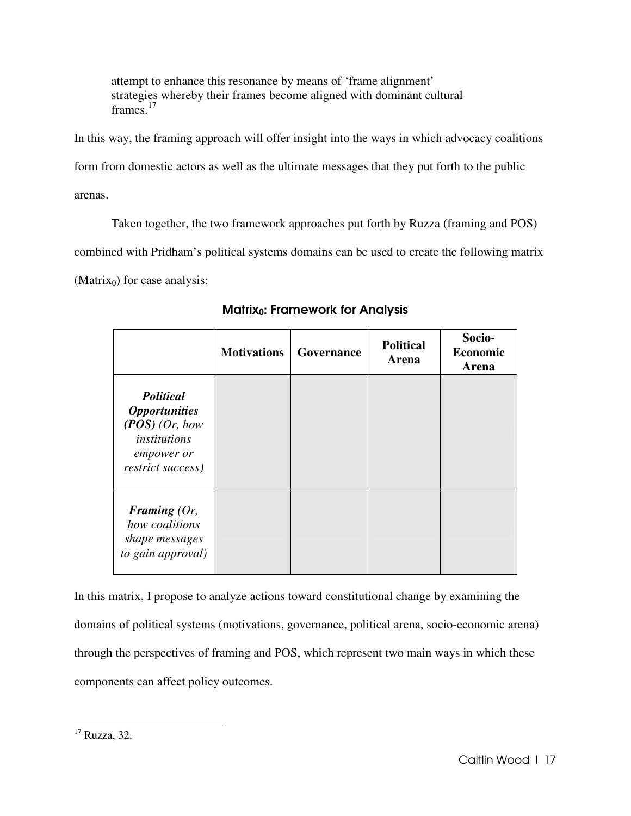attempt to enhance this resonance by means of 'frame alignment' strategies whereby their frames become aligned with dominant cultural frames.<sup>17</sup>

In this way, the framing approach will offer insight into the ways in which advocacy coalitions form from domestic actors as well as the ultimate messages that they put forth to the public arenas.

Taken together, the two framework approaches put forth by Ruzza (framing and POS)

combined with Pridham's political systems domains can be used to create the following matrix

(Matrix $_0$ ) for case analysis:

|                                                                                                                 | <b>Motivations</b> | Governance | <b>Political</b><br>Arena | Socio-<br><b>Economic</b><br>Arena |
|-----------------------------------------------------------------------------------------------------------------|--------------------|------------|---------------------------|------------------------------------|
| <b>Political</b><br><b>Opportunities</b><br>$(POS)$ (Or, how<br>institutions<br>empower or<br>restrict success) |                    |            |                           |                                    |
| Framing $(Or,$<br>how coalitions<br>shape messages<br>to gain approval)                                         |                    |            |                           |                                    |

Matrix<sub>0</sub>: Framework for Analysis

In this matrix, I propose to analyze actions toward constitutional change by examining the domains of political systems (motivations, governance, political arena, socio-economic arena) through the perspectives of framing and POS, which represent two main ways in which these components can affect policy outcomes.

l.

 $17$  Ruzza, 32.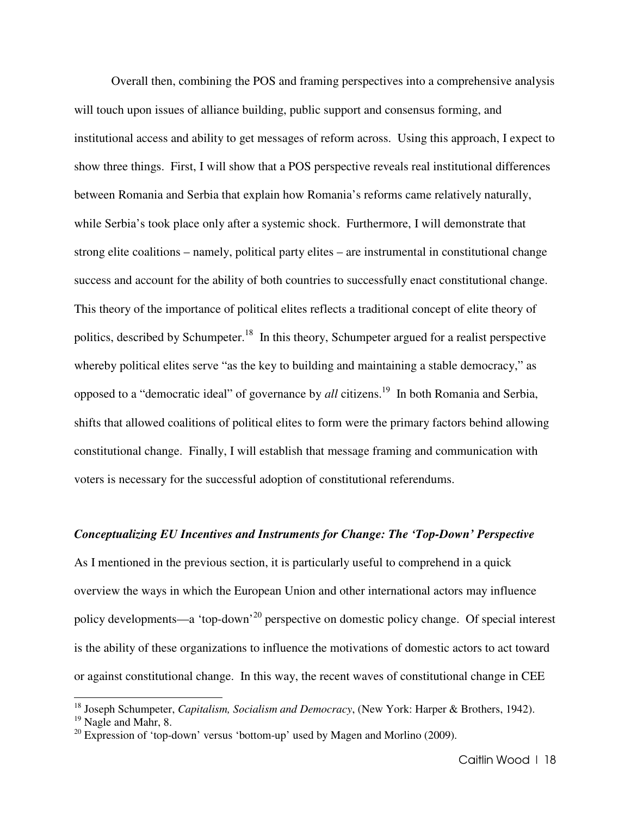Overall then, combining the POS and framing perspectives into a comprehensive analysis will touch upon issues of alliance building, public support and consensus forming, and institutional access and ability to get messages of reform across. Using this approach, I expect to show three things. First, I will show that a POS perspective reveals real institutional differences between Romania and Serbia that explain how Romania's reforms came relatively naturally, while Serbia's took place only after a systemic shock. Furthermore, I will demonstrate that strong elite coalitions – namely, political party elites – are instrumental in constitutional change success and account for the ability of both countries to successfully enact constitutional change. This theory of the importance of political elites reflects a traditional concept of elite theory of politics, described by Schumpeter.<sup>18</sup> In this theory, Schumpeter argued for a realist perspective whereby political elites serve "as the key to building and maintaining a stable democracy," as opposed to a "democratic ideal" of governance by *all* citizens.<sup>19</sup> In both Romania and Serbia, shifts that allowed coalitions of political elites to form were the primary factors behind allowing constitutional change. Finally, I will establish that message framing and communication with voters is necessary for the successful adoption of constitutional referendums.

#### *Conceptualizing EU Incentives and Instruments for Change: The 'Top-Down' Perspective*

As I mentioned in the previous section, it is particularly useful to comprehend in a quick overview the ways in which the European Union and other international actors may influence policy developments—a 'top-down'<sup>20</sup> perspective on domestic policy change. Of special interest is the ability of these organizations to influence the motivations of domestic actors to act toward or against constitutional change. In this way, the recent waves of constitutional change in CEE

<sup>18</sup> Joseph Schumpeter, *Capitalism, Socialism and Democracy*, (New York: Harper & Brothers, 1942).  $19$  Nagle and Mahr, 8.

<sup>&</sup>lt;sup>20</sup> Expression of 'top-down' versus 'bottom-up' used by Magen and Morlino (2009).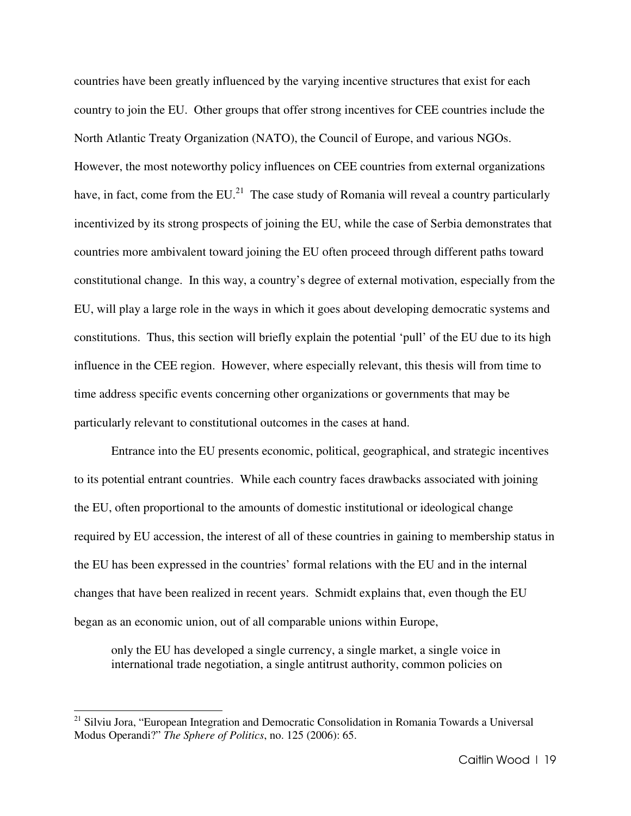countries have been greatly influenced by the varying incentive structures that exist for each country to join the EU. Other groups that offer strong incentives for CEE countries include the North Atlantic Treaty Organization (NATO), the Council of Europe, and various NGOs. However, the most noteworthy policy influences on CEE countries from external organizations have, in fact, come from the  $EU^{21}$ . The case study of Romania will reveal a country particularly incentivized by its strong prospects of joining the EU, while the case of Serbia demonstrates that countries more ambivalent toward joining the EU often proceed through different paths toward constitutional change. In this way, a country's degree of external motivation, especially from the EU, will play a large role in the ways in which it goes about developing democratic systems and constitutions. Thus, this section will briefly explain the potential 'pull' of the EU due to its high influence in the CEE region. However, where especially relevant, this thesis will from time to time address specific events concerning other organizations or governments that may be particularly relevant to constitutional outcomes in the cases at hand.

 Entrance into the EU presents economic, political, geographical, and strategic incentives to its potential entrant countries. While each country faces drawbacks associated with joining the EU, often proportional to the amounts of domestic institutional or ideological change required by EU accession, the interest of all of these countries in gaining to membership status in the EU has been expressed in the countries' formal relations with the EU and in the internal changes that have been realized in recent years. Schmidt explains that, even though the EU began as an economic union, out of all comparable unions within Europe,

only the EU has developed a single currency, a single market, a single voice in international trade negotiation, a single antitrust authority, common policies on

<sup>&</sup>lt;sup>21</sup> Silviu Jora, "European Integration and Democratic Consolidation in Romania Towards a Universal Modus Operandi?" *The Sphere of Politics*, no. 125 (2006): 65.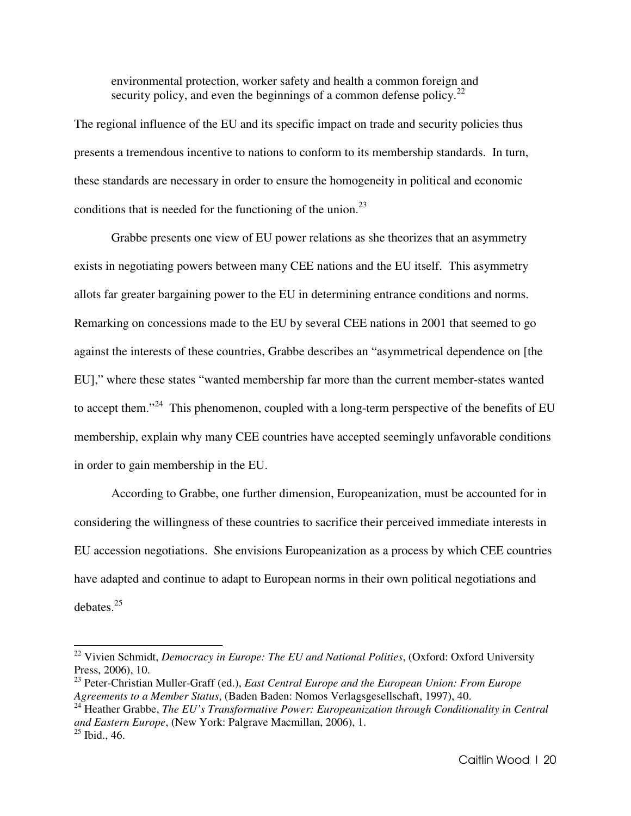environmental protection, worker safety and health a common foreign and security policy, and even the beginnings of a common defense policy. $2^2$ 

The regional influence of the EU and its specific impact on trade and security policies thus presents a tremendous incentive to nations to conform to its membership standards. In turn, these standards are necessary in order to ensure the homogeneity in political and economic conditions that is needed for the functioning of the union. $^{23}$ 

Grabbe presents one view of EU power relations as she theorizes that an asymmetry exists in negotiating powers between many CEE nations and the EU itself. This asymmetry allots far greater bargaining power to the EU in determining entrance conditions and norms. Remarking on concessions made to the EU by several CEE nations in 2001 that seemed to go against the interests of these countries, Grabbe describes an "asymmetrical dependence on [the EU]," where these states "wanted membership far more than the current member-states wanted to accept them."<sup>24</sup> This phenomenon, coupled with a long-term perspective of the benefits of EU membership, explain why many CEE countries have accepted seemingly unfavorable conditions in order to gain membership in the EU.

According to Grabbe, one further dimension, Europeanization, must be accounted for in considering the willingness of these countries to sacrifice their perceived immediate interests in EU accession negotiations. She envisions Europeanization as a process by which CEE countries have adapted and continue to adapt to European norms in their own political negotiations and debates.<sup>25</sup>

 $\overline{a}$ 

<sup>24</sup> Heather Grabbe, *The EU's Transformative Power: Europeanization through Conditionality in Central and Eastern Europe*, (New York: Palgrave Macmillan, 2006), 1.  $^{25}$  Ibid., 46.

<sup>&</sup>lt;sup>22</sup> Vivien Schmidt, *Democracy in Europe: The EU and National Polities*, (Oxford: Oxford University Press, 2006), 10.

<sup>23</sup> Peter-Christian Muller-Graff (ed.), *East Central Europe and the European Union: From Europe Agreements to a Member Status*, (Baden Baden: Nomos Verlagsgesellschaft, 1997), 40.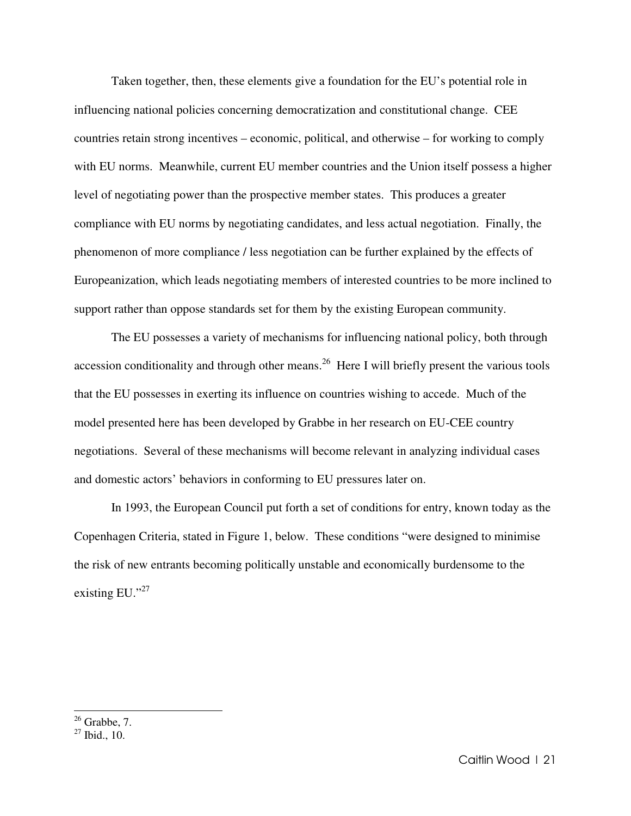Taken together, then, these elements give a foundation for the EU's potential role in influencing national policies concerning democratization and constitutional change. CEE countries retain strong incentives – economic, political, and otherwise – for working to comply with EU norms. Meanwhile, current EU member countries and the Union itself possess a higher level of negotiating power than the prospective member states. This produces a greater compliance with EU norms by negotiating candidates, and less actual negotiation. Finally, the phenomenon of more compliance / less negotiation can be further explained by the effects of Europeanization, which leads negotiating members of interested countries to be more inclined to support rather than oppose standards set for them by the existing European community.

The EU possesses a variety of mechanisms for influencing national policy, both through accession conditionality and through other means.<sup>26</sup> Here I will briefly present the various tools that the EU possesses in exerting its influence on countries wishing to accede. Much of the model presented here has been developed by Grabbe in her research on EU-CEE country negotiations. Several of these mechanisms will become relevant in analyzing individual cases and domestic actors' behaviors in conforming to EU pressures later on.

 In 1993, the European Council put forth a set of conditions for entry, known today as the Copenhagen Criteria, stated in Figure 1, below. These conditions "were designed to minimise the risk of new entrants becoming politically unstable and economically burdensome to the existing EU."<sup>27</sup>

 $26$  Grabbe, 7.

 $27$  Ibid., 10.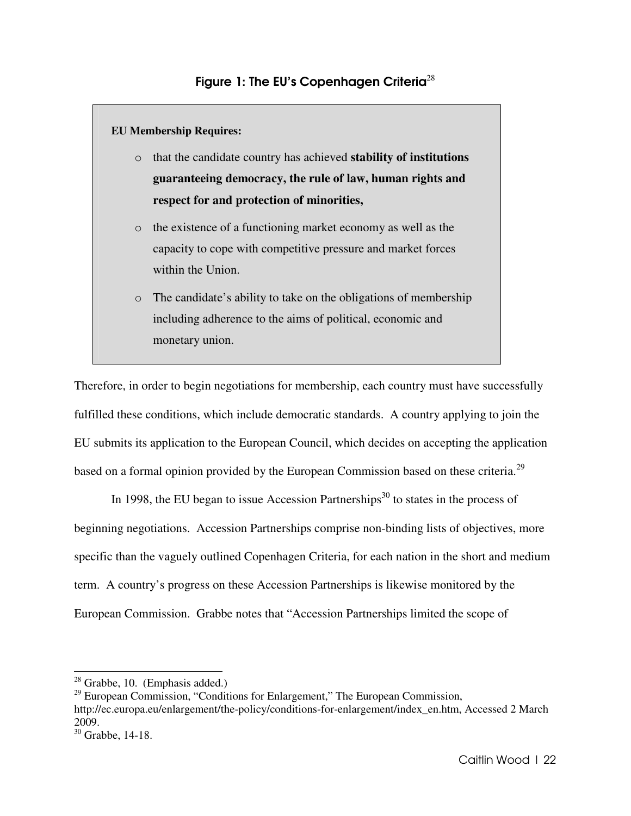### **EU Membership Requires:**

- o that the candidate country has achieved **stability of institutions guaranteeing democracy, the rule of law, human rights and respect for and protection of minorities,**
- o the existence of a functioning market economy as well as the capacity to cope with competitive pressure and market forces within the Union.
- o The candidate's ability to take on the obligations of membership including adherence to the aims of political, economic and monetary union.

Therefore, in order to begin negotiations for membership, each country must have successfully fulfilled these conditions, which include democratic standards. A country applying to join the EU submits its application to the European Council, which decides on accepting the application based on a formal opinion provided by the European Commission based on these criteria.<sup>29</sup>

In 1998, the EU began to issue Accession Partnerships $30$  to states in the process of beginning negotiations. Accession Partnerships comprise non-binding lists of objectives, more specific than the vaguely outlined Copenhagen Criteria, for each nation in the short and medium term. A country's progress on these Accession Partnerships is likewise monitored by the European Commission. Grabbe notes that "Accession Partnerships limited the scope of

l.

 $28$  Grabbe, 10. (Emphasis added.)

 $29$  European Commission, "Conditions for Enlargement," The European Commission, http://ec.europa.eu/enlargement/the-policy/conditions-for-enlargement/index\_en.htm, Accessed 2 March 2009.

<sup>30</sup> Grabbe, 14-18.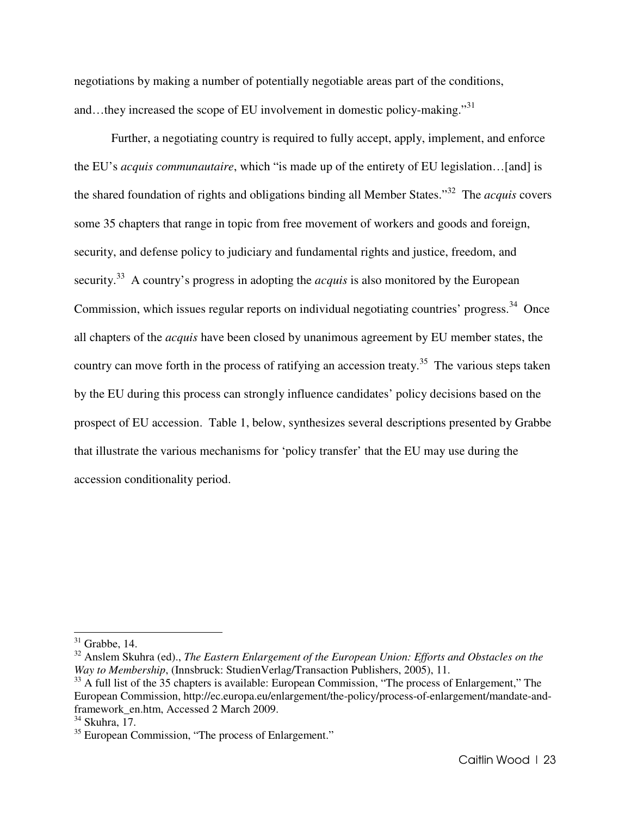negotiations by making a number of potentially negotiable areas part of the conditions, and...they increased the scope of EU involvement in domestic policy-making."<sup>31</sup>

Further, a negotiating country is required to fully accept, apply, implement, and enforce the EU's *acquis communautaire*, which "is made up of the entirety of EU legislation…[and] is the shared foundation of rights and obligations binding all Member States."<sup>32</sup> The *acquis* covers some 35 chapters that range in topic from free movement of workers and goods and foreign, security, and defense policy to judiciary and fundamental rights and justice, freedom, and security.<sup>33</sup> A country's progress in adopting the *acquis* is also monitored by the European Commission, which issues regular reports on individual negotiating countries' progress.<sup>34</sup> Once all chapters of the *acquis* have been closed by unanimous agreement by EU member states, the country can move forth in the process of ratifying an accession treaty.<sup>35</sup> The various steps taken by the EU during this process can strongly influence candidates' policy decisions based on the prospect of EU accession. Table 1, below, synthesizes several descriptions presented by Grabbe that illustrate the various mechanisms for 'policy transfer' that the EU may use during the accession conditionality period.

 $31$  Grabbe, 14.

<sup>&</sup>lt;sup>32</sup> Anslem Skuhra (ed)., *The Eastern Enlargement of the European Union: Efforts and Obstacles on the Way to Membership*, (Innsbruck: StudienVerlag/Transaction Publishers, 2005), 11.

<sup>&</sup>lt;sup>33</sup> A full list of the 35 chapters is available: European Commission, "The process of Enlargement," The European Commission, http://ec.europa.eu/enlargement/the-policy/process-of-enlargement/mandate-andframework\_en.htm, Accessed 2 March 2009.

 $34$  Skuhra, 17.

<sup>&</sup>lt;sup>35</sup> European Commission, "The process of Enlargement."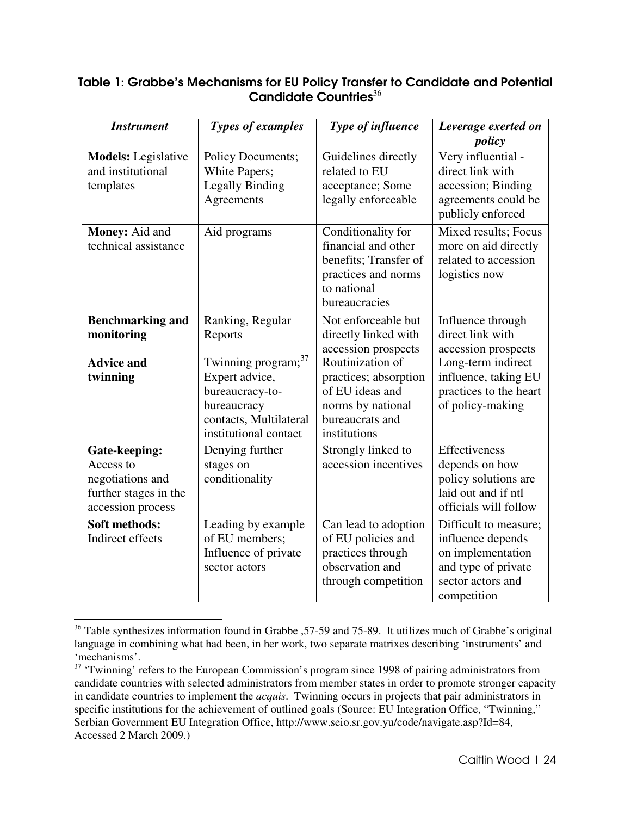## Table 1: Grabbe's Mechanisms for EU Policy Transfer to Candidate and Potential Candidate Countries $36$

| <b>Instrument</b>                                                                            | <b>Types of examples</b>                                                                                                               | Type of influence                                                                                                         | Leverage exerted on                                                                                                        |
|----------------------------------------------------------------------------------------------|----------------------------------------------------------------------------------------------------------------------------------------|---------------------------------------------------------------------------------------------------------------------------|----------------------------------------------------------------------------------------------------------------------------|
| <b>Models:</b> Legislative<br>and institutional<br>templates                                 | <b>Policy Documents;</b><br>White Papers;<br><b>Legally Binding</b><br>Agreements                                                      | Guidelines directly<br>related to EU<br>acceptance; Some<br>legally enforceable                                           | policy<br>Very influential -<br>direct link with<br>accession; Binding<br>agreements could be<br>publicly enforced         |
| Money: Aid and<br>technical assistance                                                       | Aid programs                                                                                                                           | Conditionality for<br>financial and other<br>benefits; Transfer of<br>practices and norms<br>to national<br>bureaucracies | Mixed results; Focus<br>more on aid directly<br>related to accession<br>logistics now                                      |
| <b>Benchmarking and</b><br>monitoring                                                        | Ranking, Regular<br>Reports                                                                                                            | Not enforceable but<br>directly linked with<br>accession prospects                                                        | Influence through<br>direct link with<br>accession prospects                                                               |
| <b>Advice and</b><br>twinning                                                                | Twinning program; <sup>37</sup><br>Expert advice,<br>bureaucracy-to-<br>bureaucracy<br>contacts, Multilateral<br>institutional contact | Routinization of<br>practices; absorption<br>of EU ideas and<br>norms by national<br>bureaucrats and<br>institutions      | Long-term indirect<br>influence, taking EU<br>practices to the heart<br>of policy-making                                   |
| Gate-keeping:<br>Access to<br>negotiations and<br>further stages in the<br>accession process | Denying further<br>stages on<br>conditionality                                                                                         | Strongly linked to<br>accession incentives                                                                                | Effectiveness<br>depends on how<br>policy solutions are<br>laid out and if ntl<br>officials will follow                    |
| Soft methods:<br>Indirect effects                                                            | Leading by example<br>of EU members;<br>Influence of private<br>sector actors                                                          | Can lead to adoption<br>of EU policies and<br>practices through<br>observation and<br>through competition                 | Difficult to measure;<br>influence depends<br>on implementation<br>and type of private<br>sector actors and<br>competition |

<sup>&</sup>lt;sup>36</sup> Table synthesizes information found in Grabbe , 57-59 and 75-89. It utilizes much of Grabbe's original language in combining what had been, in her work, two separate matrixes describing 'instruments' and 'mechanisms'.

l.

<sup>&</sup>lt;sup>37</sup> 'Twinning' refers to the European Commission's program since 1998 of pairing administrators from candidate countries with selected administrators from member states in order to promote stronger capacity in candidate countries to implement the *acquis*. Twinning occurs in projects that pair administrators in specific institutions for the achievement of outlined goals (Source: EU Integration Office, "Twinning," Serbian Government EU Integration Office, http://www.seio.sr.gov.yu/code/navigate.asp?Id=84, Accessed 2 March 2009.)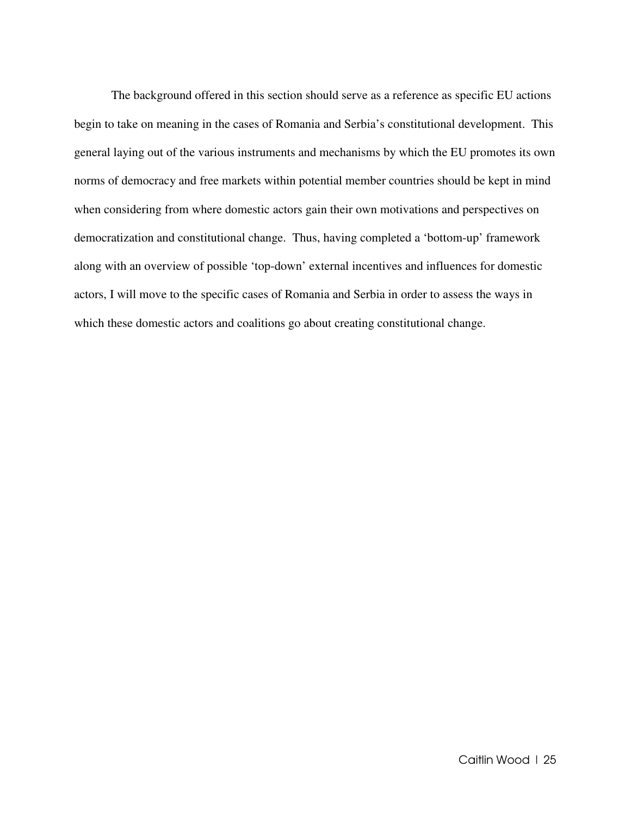The background offered in this section should serve as a reference as specific EU actions begin to take on meaning in the cases of Romania and Serbia's constitutional development. This general laying out of the various instruments and mechanisms by which the EU promotes its own norms of democracy and free markets within potential member countries should be kept in mind when considering from where domestic actors gain their own motivations and perspectives on democratization and constitutional change. Thus, having completed a 'bottom-up' framework along with an overview of possible 'top-down' external incentives and influences for domestic actors, I will move to the specific cases of Romania and Serbia in order to assess the ways in which these domestic actors and coalitions go about creating constitutional change.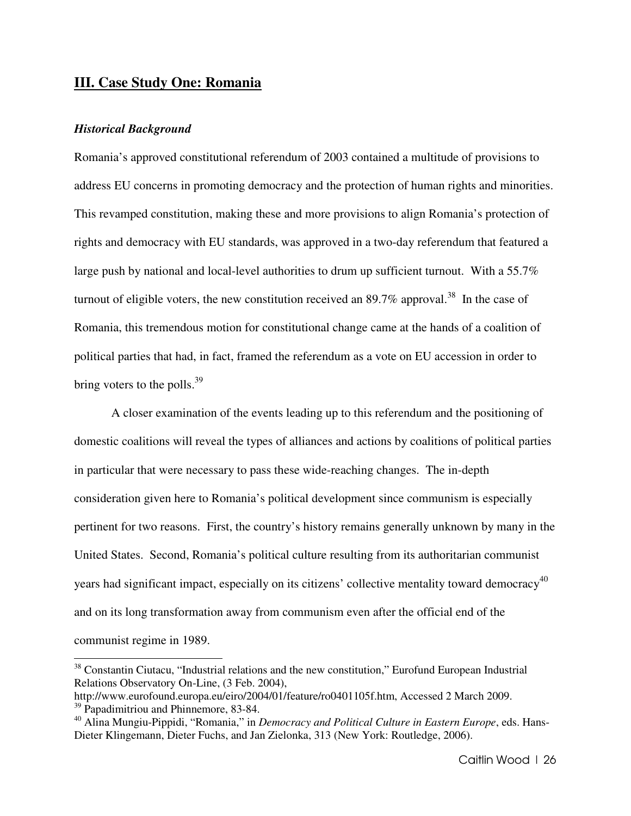## **III. Case Study One: Romania**

#### *Historical Background*

l.

Romania's approved constitutional referendum of 2003 contained a multitude of provisions to address EU concerns in promoting democracy and the protection of human rights and minorities. This revamped constitution, making these and more provisions to align Romania's protection of rights and democracy with EU standards, was approved in a two-day referendum that featured a large push by national and local-level authorities to drum up sufficient turnout. With a 55.7% turnout of eligible voters, the new constitution received an  $89.7\%$  approval.<sup>38</sup> In the case of Romania, this tremendous motion for constitutional change came at the hands of a coalition of political parties that had, in fact, framed the referendum as a vote on EU accession in order to bring voters to the polls.<sup>39</sup>

A closer examination of the events leading up to this referendum and the positioning of domestic coalitions will reveal the types of alliances and actions by coalitions of political parties in particular that were necessary to pass these wide-reaching changes. The in-depth consideration given here to Romania's political development since communism is especially pertinent for two reasons. First, the country's history remains generally unknown by many in the United States. Second, Romania's political culture resulting from its authoritarian communist years had significant impact, especially on its citizens' collective mentality toward democracy<sup>40</sup> and on its long transformation away from communism even after the official end of the communist regime in 1989.

<sup>&</sup>lt;sup>38</sup> Constantin Ciutacu, "Industrial relations and the new constitution," Eurofund European Industrial Relations Observatory On-Line, (3 Feb. 2004),

http://www.eurofound.europa.eu/eiro/2004/01/feature/ro0401105f.htm, Accessed 2 March 2009. <sup>39</sup> Papadimitriou and Phinnemore, 83-84.

<sup>&</sup>lt;sup>40</sup> Alina Mungiu-Pippidi, "Romania," in *Democracy and Political Culture in Eastern Europe*, eds. Hans-Dieter Klingemann, Dieter Fuchs, and Jan Zielonka, 313 (New York: Routledge, 2006).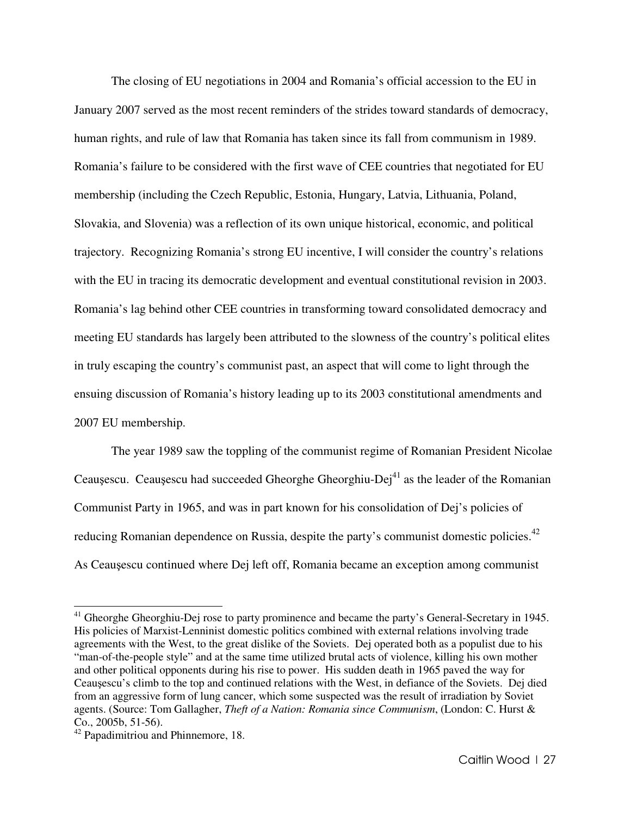The closing of EU negotiations in 2004 and Romania's official accession to the EU in January 2007 served as the most recent reminders of the strides toward standards of democracy, human rights, and rule of law that Romania has taken since its fall from communism in 1989. Romania's failure to be considered with the first wave of CEE countries that negotiated for EU membership (including the Czech Republic, Estonia, Hungary, Latvia, Lithuania, Poland, Slovakia, and Slovenia) was a reflection of its own unique historical, economic, and political trajectory. Recognizing Romania's strong EU incentive, I will consider the country's relations with the EU in tracing its democratic development and eventual constitutional revision in 2003. Romania's lag behind other CEE countries in transforming toward consolidated democracy and meeting EU standards has largely been attributed to the slowness of the country's political elites in truly escaping the country's communist past, an aspect that will come to light through the ensuing discussion of Romania's history leading up to its 2003 constitutional amendments and 2007 EU membership.

 The year 1989 saw the toppling of the communist regime of Romanian President Nicolae Ceauşescu. Ceauşescu had succeeded Gheorghe Gheorghiu-Dej<sup>41</sup> as the leader of the Romanian Communist Party in 1965, and was in part known for his consolidation of Dej's policies of reducing Romanian dependence on Russia, despite the party's communist domestic policies.<sup>42</sup> As Ceauşescu continued where Dej left off, Romania became an exception among communist

<sup>&</sup>lt;sup>41</sup> Gheorghe Gheorghiu-Dej rose to party prominence and became the party's General-Secretary in 1945. His policies of Marxist-Lenninist domestic politics combined with external relations involving trade agreements with the West, to the great dislike of the Soviets. Dej operated both as a populist due to his "man-of-the-people style" and at the same time utilized brutal acts of violence, killing his own mother and other political opponents during his rise to power. His sudden death in 1965 paved the way for Ceauşescu's climb to the top and continued relations with the West, in defiance of the Soviets. Dej died from an aggressive form of lung cancer, which some suspected was the result of irradiation by Soviet agents. (Source: Tom Gallagher, *Theft of a Nation: Romania since Communism*, (London: C. Hurst & Co., 2005b, 51-56).

<sup>42</sup> Papadimitriou and Phinnemore, 18.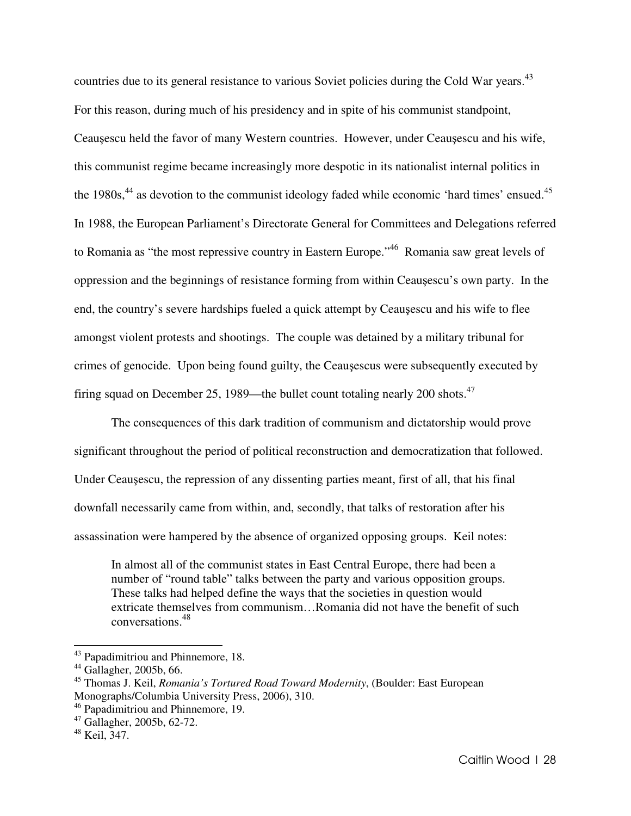countries due to its general resistance to various Soviet policies during the Cold War years.<sup>43</sup> For this reason, during much of his presidency and in spite of his communist standpoint, Ceauşescu held the favor of many Western countries. However, under Ceauşescu and his wife, this communist regime became increasingly more despotic in its nationalist internal politics in the  $1980s<sup>44</sup>$  as devotion to the communist ideology faded while economic 'hard times' ensued.<sup>45</sup> In 1988, the European Parliament's Directorate General for Committees and Delegations referred to Romania as "the most repressive country in Eastern Europe."<sup>46</sup> Romania saw great levels of oppression and the beginnings of resistance forming from within Ceauşescu's own party. In the end, the country's severe hardships fueled a quick attempt by Ceauşescu and his wife to flee amongst violent protests and shootings. The couple was detained by a military tribunal for crimes of genocide. Upon being found guilty, the Ceauşescus were subsequently executed by firing squad on December 25, 1989—the bullet count totaling nearly 200 shots.<sup>47</sup>

 The consequences of this dark tradition of communism and dictatorship would prove significant throughout the period of political reconstruction and democratization that followed. Under Ceauşescu, the repression of any dissenting parties meant, first of all, that his final downfall necessarily came from within, and, secondly, that talks of restoration after his assassination were hampered by the absence of organized opposing groups. Keil notes:

In almost all of the communist states in East Central Europe, there had been a number of "round table" talks between the party and various opposition groups. These talks had helped define the ways that the societies in question would extricate themselves from communism…Romania did not have the benefit of such conversations.<sup>48</sup>

<sup>43</sup> Papadimitriou and Phinnemore, 18.

 $44$  Gallagher, 2005b, 66.

<sup>45</sup> Thomas J. Keil, *Romania's Tortured Road Toward Modernity*, (Boulder: East European Monographs/Columbia University Press, 2006), 310.

<sup>46</sup> Papadimitriou and Phinnemore, 19.

<sup>47</sup> Gallagher, 2005b, 62-72.

<sup>48</sup> Keil, 347.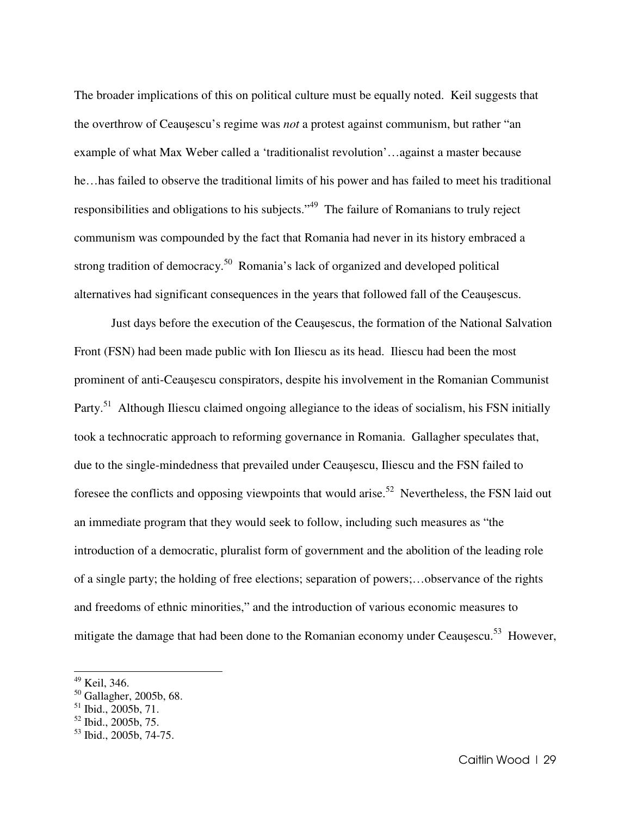The broader implications of this on political culture must be equally noted. Keil suggests that the overthrow of Ceauşescu's regime was *not* a protest against communism, but rather "an example of what Max Weber called a 'traditionalist revolution'…against a master because he…has failed to observe the traditional limits of his power and has failed to meet his traditional responsibilities and obligations to his subjects."<sup>49</sup> The failure of Romanians to truly reject communism was compounded by the fact that Romania had never in its history embraced a strong tradition of democracy.<sup>50</sup> Romania's lack of organized and developed political alternatives had significant consequences in the years that followed fall of the Ceauşescus.

 Just days before the execution of the Ceauşescus, the formation of the National Salvation Front (FSN) had been made public with Ion Iliescu as its head. Iliescu had been the most prominent of anti-Ceauşescu conspirators, despite his involvement in the Romanian Communist Party.<sup>51</sup> Although Iliescu claimed ongoing allegiance to the ideas of socialism, his FSN initially took a technocratic approach to reforming governance in Romania. Gallagher speculates that, due to the single-mindedness that prevailed under Ceauşescu, Iliescu and the FSN failed to foresee the conflicts and opposing viewpoints that would arise.<sup>52</sup> Nevertheless, the FSN laid out an immediate program that they would seek to follow, including such measures as "the introduction of a democratic, pluralist form of government and the abolition of the leading role of a single party; the holding of free elections; separation of powers;…observance of the rights and freedoms of ethnic minorities," and the introduction of various economic measures to mitigate the damage that had been done to the Romanian economy under Ceausescu.<sup>53</sup> However,

Keil, 346.

<sup>50</sup> Gallagher, 2005b, 68.

<sup>51</sup> Ibid., 2005b, 71.

 $52$  Ibid., 2005b, 75.

<sup>53</sup> Ibid., 2005b, 74-75.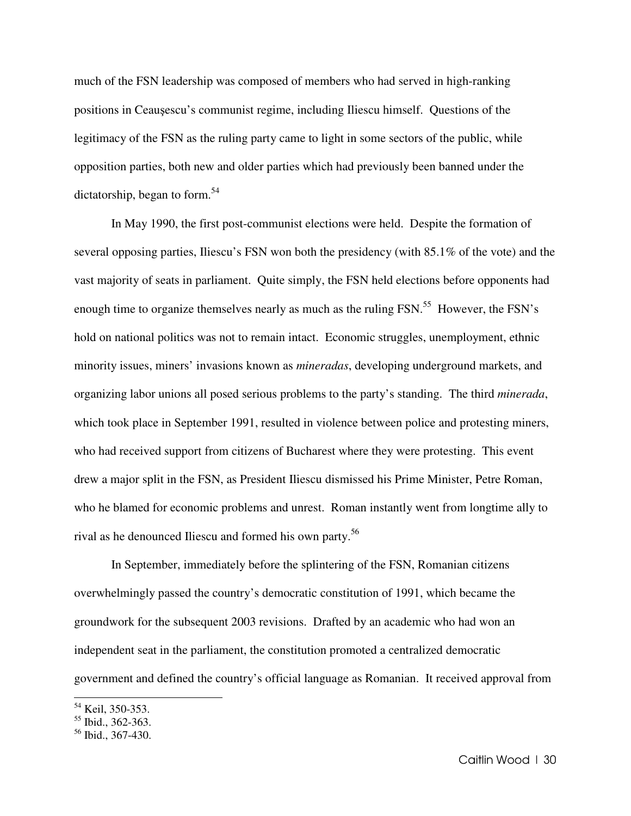much of the FSN leadership was composed of members who had served in high-ranking positions in Ceauşescu's communist regime, including Iliescu himself. Questions of the legitimacy of the FSN as the ruling party came to light in some sectors of the public, while opposition parties, both new and older parties which had previously been banned under the dictatorship, began to form.<sup>54</sup>

 In May 1990, the first post-communist elections were held. Despite the formation of several opposing parties, Iliescu's FSN won both the presidency (with 85.1% of the vote) and the vast majority of seats in parliament. Quite simply, the FSN held elections before opponents had enough time to organize themselves nearly as much as the ruling FSN.<sup>55</sup> However, the FSN's hold on national politics was not to remain intact. Economic struggles, unemployment, ethnic minority issues, miners' invasions known as *mineradas*, developing underground markets, and organizing labor unions all posed serious problems to the party's standing. The third *minerada*, which took place in September 1991, resulted in violence between police and protesting miners, who had received support from citizens of Bucharest where they were protesting. This event drew a major split in the FSN, as President Iliescu dismissed his Prime Minister, Petre Roman, who he blamed for economic problems and unrest. Roman instantly went from longtime ally to rival as he denounced Iliescu and formed his own party.<sup>56</sup>

In September, immediately before the splintering of the FSN, Romanian citizens overwhelmingly passed the country's democratic constitution of 1991, which became the groundwork for the subsequent 2003 revisions. Drafted by an academic who had won an independent seat in the parliament, the constitution promoted a centralized democratic government and defined the country's official language as Romanian. It received approval from

<sup>&</sup>lt;sup>54</sup> Keil, 350-353.

<sup>55</sup> Ibid., 362-363.

 $56$  Ibid., 367-430.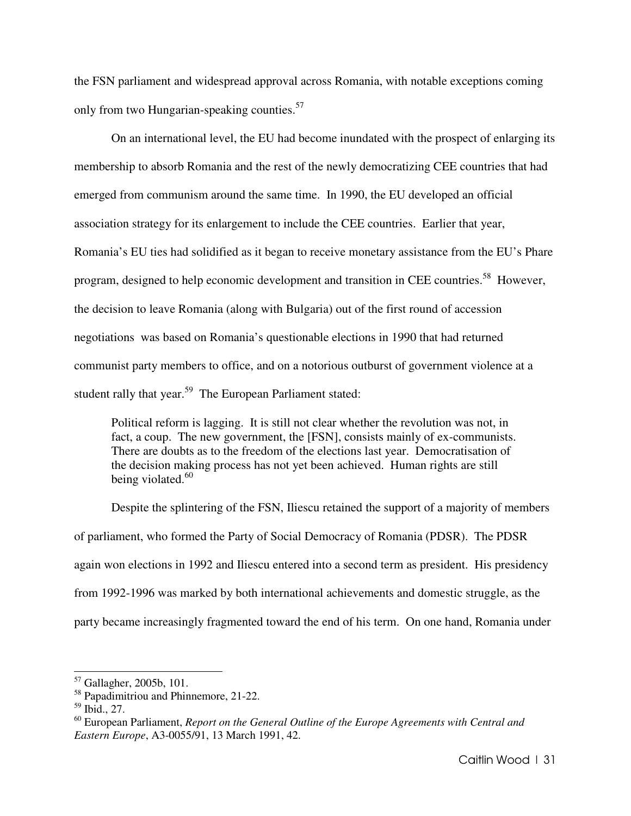the FSN parliament and widespread approval across Romania, with notable exceptions coming only from two Hungarian-speaking counties.<sup>57</sup>

 On an international level, the EU had become inundated with the prospect of enlarging its membership to absorb Romania and the rest of the newly democratizing CEE countries that had emerged from communism around the same time. In 1990, the EU developed an official association strategy for its enlargement to include the CEE countries. Earlier that year, Romania's EU ties had solidified as it began to receive monetary assistance from the EU's Phare program, designed to help economic development and transition in CEE countries.<sup>58</sup> However, the decision to leave Romania (along with Bulgaria) out of the first round of accession negotiations was based on Romania's questionable elections in 1990 that had returned communist party members to office, and on a notorious outburst of government violence at a student rally that year.<sup>59</sup> The European Parliament stated:

Political reform is lagging. It is still not clear whether the revolution was not, in fact, a coup. The new government, the [FSN], consists mainly of ex-communists. There are doubts as to the freedom of the elections last year. Democratisation of the decision making process has not yet been achieved. Human rights are still being violated. $60$ 

Despite the splintering of the FSN, Iliescu retained the support of a majority of members of parliament, who formed the Party of Social Democracy of Romania (PDSR). The PDSR again won elections in 1992 and Iliescu entered into a second term as president. His presidency from 1992-1996 was marked by both international achievements and domestic struggle, as the party became increasingly fragmented toward the end of his term. On one hand, Romania under

<sup>57</sup> Gallagher, 2005b, 101.

<sup>58</sup> Papadimitriou and Phinnemore, 21-22.

<sup>59</sup> Ibid., 27.

<sup>60</sup> European Parliament, *Report on the General Outline of the Europe Agreements with Central and Eastern Europe*, A3-0055/91, 13 March 1991, 42.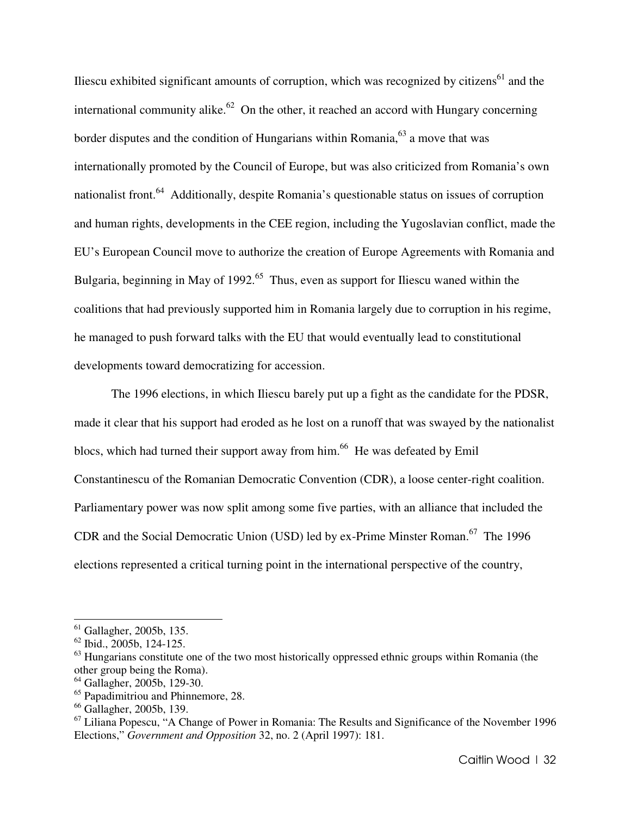Iliescu exhibited significant amounts of corruption, which was recognized by citizens<sup>61</sup> and the international community alike.<sup>62</sup> On the other, it reached an accord with Hungary concerning border disputes and the condition of Hungarians within Romania,<sup>63</sup> a move that was internationally promoted by the Council of Europe, but was also criticized from Romania's own nationalist front.<sup>64</sup> Additionally, despite Romania's questionable status on issues of corruption and human rights, developments in the CEE region, including the Yugoslavian conflict, made the EU's European Council move to authorize the creation of Europe Agreements with Romania and Bulgaria, beginning in May of 1992.<sup>65</sup> Thus, even as support for Iliescu waned within the coalitions that had previously supported him in Romania largely due to corruption in his regime, he managed to push forward talks with the EU that would eventually lead to constitutional developments toward democratizing for accession.

The 1996 elections, in which Iliescu barely put up a fight as the candidate for the PDSR, made it clear that his support had eroded as he lost on a runoff that was swayed by the nationalist blocs, which had turned their support away from him.<sup>66</sup> He was defeated by Emil Constantinescu of the Romanian Democratic Convention (CDR), a loose center-right coalition. Parliamentary power was now split among some five parties, with an alliance that included the CDR and the Social Democratic Union (USD) led by ex-Prime Minster Roman.<sup>67</sup> The 1996 elections represented a critical turning point in the international perspective of the country,

l.

 $61$  Gallagher, 2005b, 135.

 $62$  Ibid., 2005b, 124-125.

<sup>&</sup>lt;sup>63</sup> Hungarians constitute one of the two most historically oppressed ethnic groups within Romania (the other group being the Roma).

<sup>64</sup> Gallagher, 2005b, 129-30.

<sup>&</sup>lt;sup>65</sup> Papadimitriou and Phinnemore, 28.

<sup>66</sup> Gallagher, 2005b, 139.

 $67$  Liliana Popescu, "A Change of Power in Romania: The Results and Significance of the November 1996 Elections," *Government and Opposition* 32, no. 2 (April 1997): 181.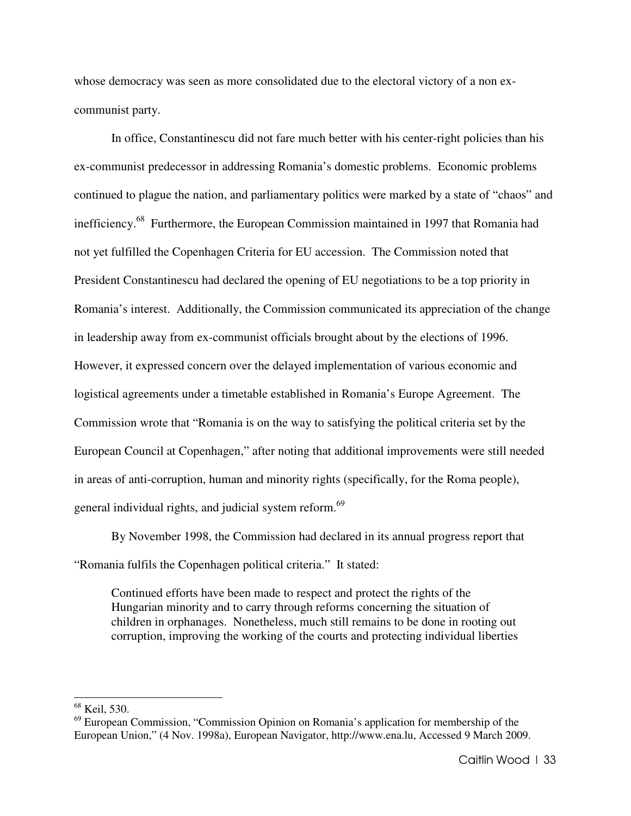whose democracy was seen as more consolidated due to the electoral victory of a non excommunist party.

In office, Constantinescu did not fare much better with his center-right policies than his ex-communist predecessor in addressing Romania's domestic problems. Economic problems continued to plague the nation, and parliamentary politics were marked by a state of "chaos" and inefficiency.<sup>68</sup> Furthermore, the European Commission maintained in 1997 that Romania had not yet fulfilled the Copenhagen Criteria for EU accession. The Commission noted that President Constantinescu had declared the opening of EU negotiations to be a top priority in Romania's interest. Additionally, the Commission communicated its appreciation of the change in leadership away from ex-communist officials brought about by the elections of 1996. However, it expressed concern over the delayed implementation of various economic and logistical agreements under a timetable established in Romania's Europe Agreement. The Commission wrote that "Romania is on the way to satisfying the political criteria set by the European Council at Copenhagen," after noting that additional improvements were still needed in areas of anti-corruption, human and minority rights (specifically, for the Roma people), general individual rights, and judicial system reform.<sup>69</sup>

By November 1998, the Commission had declared in its annual progress report that "Romania fulfils the Copenhagen political criteria." It stated:

Continued efforts have been made to respect and protect the rights of the Hungarian minority and to carry through reforms concerning the situation of children in orphanages. Nonetheless, much still remains to be done in rooting out corruption, improving the working of the courts and protecting individual liberties

<sup>68</sup> Keil, 530.

 $69$  European Commission, "Commission Opinion on Romania's application for membership of the European Union," (4 Nov. 1998a), European Navigator, http://www.ena.lu, Accessed 9 March 2009.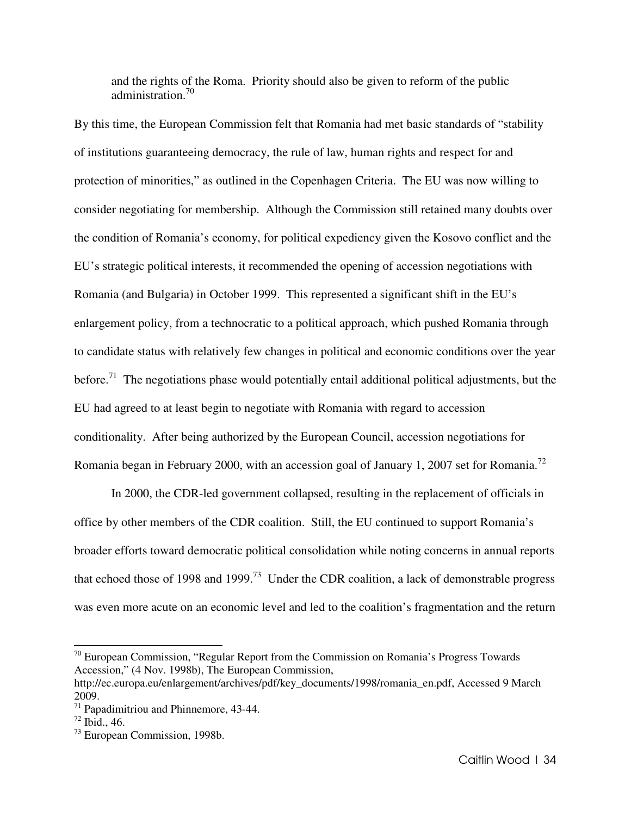and the rights of the Roma. Priority should also be given to reform of the public administration.<sup>70</sup>

By this time, the European Commission felt that Romania had met basic standards of "stability of institutions guaranteeing democracy, the rule of law, human rights and respect for and protection of minorities," as outlined in the Copenhagen Criteria. The EU was now willing to consider negotiating for membership. Although the Commission still retained many doubts over the condition of Romania's economy, for political expediency given the Kosovo conflict and the EU's strategic political interests, it recommended the opening of accession negotiations with Romania (and Bulgaria) in October 1999. This represented a significant shift in the EU's enlargement policy, from a technocratic to a political approach, which pushed Romania through to candidate status with relatively few changes in political and economic conditions over the year before.<sup>71</sup> The negotiations phase would potentially entail additional political adjustments, but the EU had agreed to at least begin to negotiate with Romania with regard to accession conditionality. After being authorized by the European Council, accession negotiations for Romania began in February 2000, with an accession goal of January 1, 2007 set for Romania.<sup>72</sup>

 In 2000, the CDR-led government collapsed, resulting in the replacement of officials in office by other members of the CDR coalition. Still, the EU continued to support Romania's broader efforts toward democratic political consolidation while noting concerns in annual reports that echoed those of 1998 and 1999.<sup>73</sup> Under the CDR coalition, a lack of demonstrable progress was even more acute on an economic level and led to the coalition's fragmentation and the return

 $70$  European Commission, "Regular Report from the Commission on Romania's Progress Towards Accession," (4 Nov. 1998b), The European Commission,

http://ec.europa.eu/enlargement/archives/pdf/key\_documents/1998/romania\_en.pdf, Accessed 9 March 2009.

 $71$  Papadimitriou and Phinnemore, 43-44.

 $72$  Ibid., 46.

<sup>73</sup> European Commission, 1998b.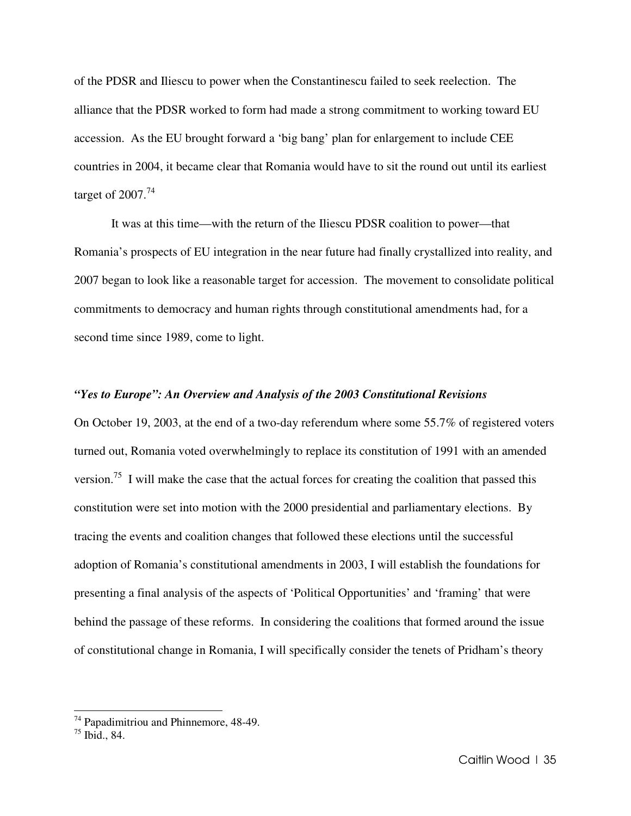of the PDSR and Iliescu to power when the Constantinescu failed to seek reelection. The alliance that the PDSR worked to form had made a strong commitment to working toward EU accession. As the EU brought forward a 'big bang' plan for enlargement to include CEE countries in 2004, it became clear that Romania would have to sit the round out until its earliest target of  $2007.<sup>74</sup>$ 

It was at this time—with the return of the Iliescu PDSR coalition to power—that Romania's prospects of EU integration in the near future had finally crystallized into reality, and 2007 began to look like a reasonable target for accession. The movement to consolidate political commitments to democracy and human rights through constitutional amendments had, for a second time since 1989, come to light.

#### *"Yes to Europe": An Overview and Analysis of the 2003 Constitutional Revisions*

On October 19, 2003, at the end of a two-day referendum where some 55.7% of registered voters turned out, Romania voted overwhelmingly to replace its constitution of 1991 with an amended version.<sup>75</sup> I will make the case that the actual forces for creating the coalition that passed this constitution were set into motion with the 2000 presidential and parliamentary elections. By tracing the events and coalition changes that followed these elections until the successful adoption of Romania's constitutional amendments in 2003, I will establish the foundations for presenting a final analysis of the aspects of 'Political Opportunities' and 'framing' that were behind the passage of these reforms. In considering the coalitions that formed around the issue of constitutional change in Romania, I will specifically consider the tenets of Pridham's theory

<sup>74</sup> Papadimitriou and Phinnemore, 48-49.

 $^{75}$  Ibid., 84.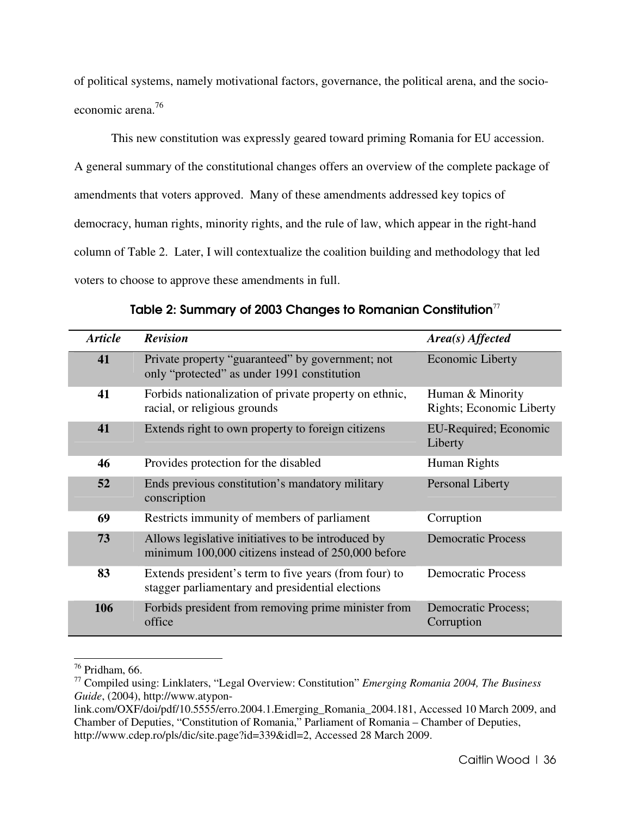of political systems, namely motivational factors, governance, the political arena, and the socioeconomic arena.<sup>76</sup>

This new constitution was expressly geared toward priming Romania for EU accession. A general summary of the constitutional changes offers an overview of the complete package of amendments that voters approved. Many of these amendments addressed key topics of democracy, human rights, minority rights, and the rule of law, which appear in the right-hand column of Table 2. Later, I will contextualize the coalition building and methodology that led voters to choose to approve these amendments in full.

| <b>Article</b> | <b>Revision</b>                                                                                           | Area(s) Affected                             |
|----------------|-----------------------------------------------------------------------------------------------------------|----------------------------------------------|
| 41             | Private property "guaranteed" by government; not<br>only "protected" as under 1991 constitution           | <b>Economic Liberty</b>                      |
| 41             | Forbids nationalization of private property on ethnic,<br>racial, or religious grounds                    | Human & Minority<br>Rights; Economic Liberty |
| 41             | Extends right to own property to foreign citizens                                                         | EU-Required; Economic<br>Liberty             |
| 46             | Provides protection for the disabled                                                                      | Human Rights                                 |
| 52             | Ends previous constitution's mandatory military<br>conscription                                           | Personal Liberty                             |
| 69             | Restricts immunity of members of parliament                                                               | Corruption                                   |
| 73             | Allows legislative initiatives to be introduced by<br>minimum 100,000 citizens instead of 250,000 before  | <b>Democratic Process</b>                    |
| 83             | Extends president's term to five years (from four) to<br>stagger parliamentary and presidential elections | <b>Democratic Process</b>                    |
| 106            | Forbids president from removing prime minister from<br>office                                             | <b>Democratic Process;</b><br>Corruption     |

Table 2: Summary of 2003 Changes to Romanian Constitution<sup>77</sup>

<sup>76</sup> Pridham, 66.

<sup>77</sup> Compiled using: Linklaters, "Legal Overview: Constitution" *Emerging Romania 2004, The Business Guide*, (2004), http://www.atypon-

link.com/OXF/doi/pdf/10.5555/erro.2004.1.Emerging\_Romania\_2004.181, Accessed 10 March 2009, and Chamber of Deputies, "Constitution of Romania," Parliament of Romania – Chamber of Deputies, http://www.cdep.ro/pls/dic/site.page?id=339&idl=2, Accessed 28 March 2009.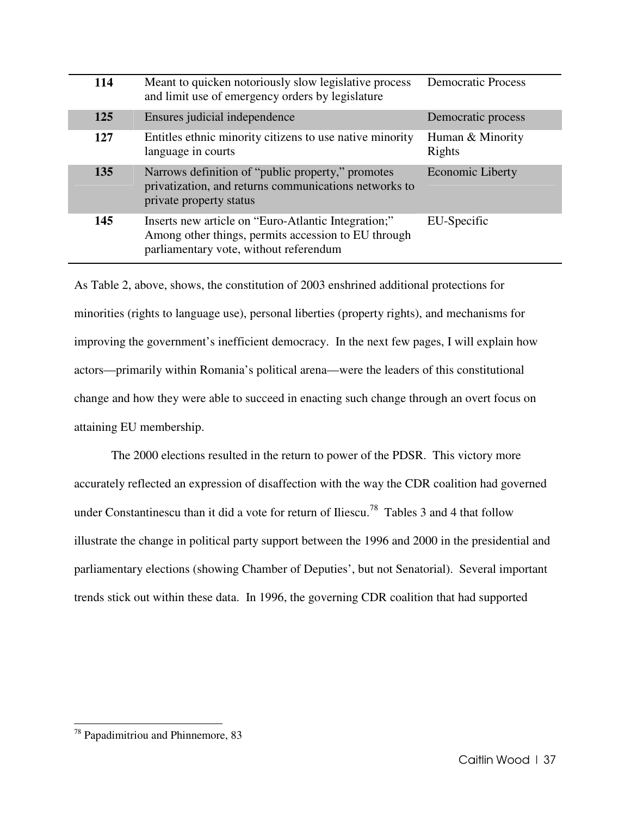| 114 | Meant to quicken notoriously slow legislative process<br>and limit use of emergency orders by legislature                                            | <b>Democratic Process</b>  |
|-----|------------------------------------------------------------------------------------------------------------------------------------------------------|----------------------------|
| 125 | Ensures judicial independence                                                                                                                        | Democratic process         |
| 127 | Entitles ethnic minority citizens to use native minority<br>language in courts                                                                       | Human & Minority<br>Rights |
| 135 | Narrows definition of "public property," promotes<br>privatization, and returns communications networks to<br>private property status                | <b>Economic Liberty</b>    |
| 145 | Inserts new article on "Euro-Atlantic Integration;"<br>Among other things, permits accession to EU through<br>parliamentary vote, without referendum | EU-Specific                |

As Table 2, above, shows, the constitution of 2003 enshrined additional protections for minorities (rights to language use), personal liberties (property rights), and mechanisms for improving the government's inefficient democracy. In the next few pages, I will explain how actors—primarily within Romania's political arena—were the leaders of this constitutional change and how they were able to succeed in enacting such change through an overt focus on attaining EU membership.

 The 2000 elections resulted in the return to power of the PDSR. This victory more accurately reflected an expression of disaffection with the way the CDR coalition had governed under Constantinescu than it did a vote for return of Iliescu.<sup>78</sup> Tables 3 and 4 that follow illustrate the change in political party support between the 1996 and 2000 in the presidential and parliamentary elections (showing Chamber of Deputies', but not Senatorial). Several important trends stick out within these data. In 1996, the governing CDR coalition that had supported

<sup>78</sup> Papadimitriou and Phinnemore, 83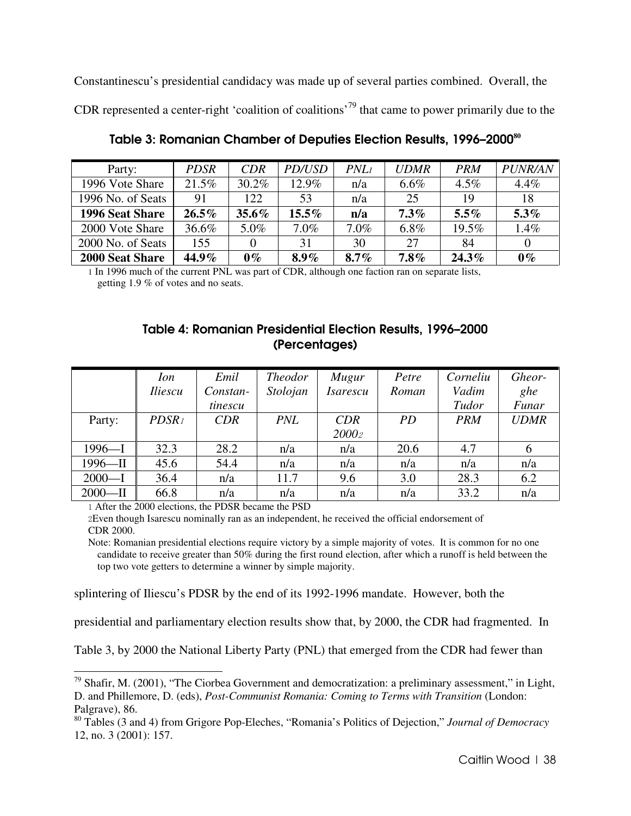Constantinescu's presidential candidacy was made up of several parties combined. Overall, the CDR represented a center-right 'coalition of coalitions'<sup>79</sup> that came to power primarily due to the

| Party:                 | <b>PDSR</b> | <b>CDR</b> | PD/USD   | PNL1    | <b>UDMR</b> | <b>PRM</b> | <b>PUNR/AN</b> |
|------------------------|-------------|------------|----------|---------|-------------|------------|----------------|
| 1996 Vote Share        | 21.5%       | 30.2%      | 12.9%    | n/a     | $6.6\%$     | $4.5\%$    | 4.4%           |
| 1996 No. of Seats      | 91          | 122        | 53       | n/a     | 25          | 19         | 18             |
| 1996 Seat Share        | $26.5\%$    | $35.6\%$   | $15.5\%$ | n/a     | $7.3\%$     | $5.5\%$    | 5.3%           |
| 2000 Vote Share        | 36.6%       | 5.0%       | $7.0\%$  | $7.0\%$ | $6.8\%$     | 19.5%      | 1.4%           |
| 2000 No. of Seats      | 155         |            | 31       | 30      | 27          | 84         |                |
| <b>2000 Seat Share</b> | 44.9%       | $0\%$      | $8.9\%$  | $8.7\%$ | $7.8\%$     | $24.3\%$   | $0\%$          |

Table 3: Romanian Chamber of Deputies Election Results, 1996–2000**<sup>80</sup>**

1 In 1996 much of the current PNL was part of CDR, although one faction ran on separate lists, getting 1.9 % of votes and no seats.

## Table 4: Romanian Presidential Election Results, 1996–2000 (Percentages)

|            | Ion<br><i><u><b>Iliescu</b></u></i> | Emil<br>Constan- | <b>Theodor</b><br>Stolojan | Mugur<br><b>Isarescu</b> | Petre<br>Roman | Corneliu<br>Vadim | Gheor-<br>ghe |
|------------|-------------------------------------|------------------|----------------------------|--------------------------|----------------|-------------------|---------------|
|            |                                     | tinescu          |                            |                          |                | Tudor             | Funar         |
| Party:     | PDSR <sub>1</sub>                   | <b>CDR</b>       | PNL                        | CDR                      | <i>PD</i>      | <b>PRM</b>        | <b>UDMR</b>   |
|            |                                     |                  |                            | 20002                    |                |                   |               |
| $1996 - I$ | 32.3                                | 28.2             | n/a                        | n/a                      | 20.6           | 4.7               | 6             |
| $1996 - H$ | 45.6                                | 54.4             | n/a                        | n/a                      | n/a            | n/a               | n/a           |
| $2000 - I$ | 36.4                                | n/a              | 11.7                       | 9.6                      | 3.0            | 28.3              | 6.2           |
| $2000 - H$ | 66.8                                | n/a              | n/a                        | n/a                      | n/a            | 33.2              | n/a           |

1 After the 2000 elections, the PDSR became the PSD

 $\overline{a}$ 

2Even though Isarescu nominally ran as an independent, he received the official endorsement of CDR 2000.

Note: Romanian presidential elections require victory by a simple majority of votes. It is common for no one candidate to receive greater than 50% during the first round election, after which a runoff is held between the top two vote getters to determine a winner by simple majority.

splintering of Iliescu's PDSR by the end of its 1992-1996 mandate. However, both the

presidential and parliamentary election results show that, by 2000, the CDR had fragmented. In

Table 3, by 2000 the National Liberty Party (PNL) that emerged from the CDR had fewer than

<sup>79</sup> Shafir, M. (2001), "The Ciorbea Government and democratization: a preliminary assessment," in Light, D. and Phillemore, D. (eds), *Post-Communist Romania: Coming to Terms with Transition* (London: Palgrave), 86.

<sup>80</sup> Tables (3 and 4) from Grigore Pop-Eleches, "Romania's Politics of Dejection," *Journal of Democracy* 12, no. 3 (2001): 157.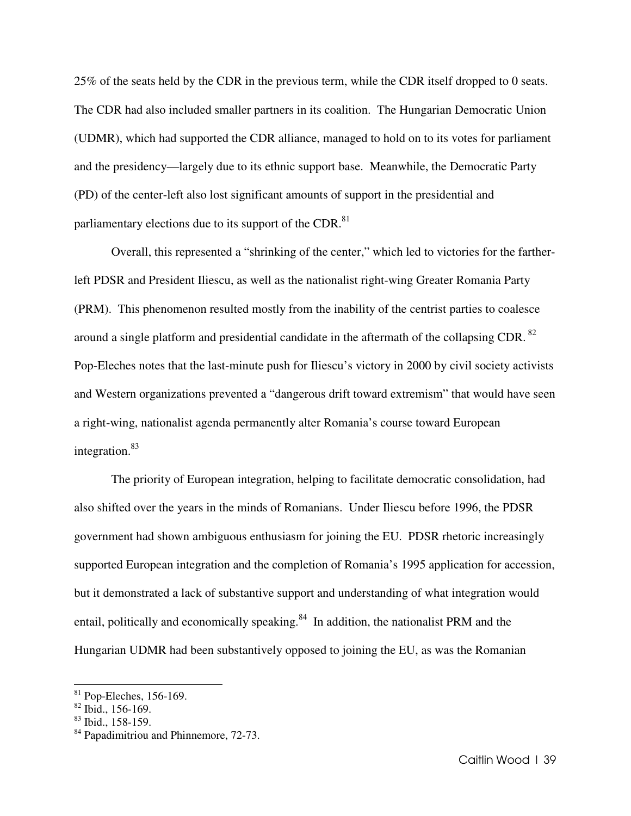25% of the seats held by the CDR in the previous term, while the CDR itself dropped to 0 seats. The CDR had also included smaller partners in its coalition. The Hungarian Democratic Union (UDMR), which had supported the CDR alliance, managed to hold on to its votes for parliament and the presidency—largely due to its ethnic support base. Meanwhile, the Democratic Party (PD) of the center-left also lost significant amounts of support in the presidential and parliamentary elections due to its support of the CDR.<sup>81</sup>

 Overall, this represented a "shrinking of the center," which led to victories for the fartherleft PDSR and President Iliescu, as well as the nationalist right-wing Greater Romania Party (PRM). This phenomenon resulted mostly from the inability of the centrist parties to coalesce around a single platform and presidential candidate in the aftermath of the collapsing CDR. $^{82}$ Pop-Eleches notes that the last-minute push for Iliescu's victory in 2000 by civil society activists and Western organizations prevented a "dangerous drift toward extremism" that would have seen a right-wing, nationalist agenda permanently alter Romania's course toward European integration.<sup>83</sup>

The priority of European integration, helping to facilitate democratic consolidation, had also shifted over the years in the minds of Romanians. Under Iliescu before 1996, the PDSR government had shown ambiguous enthusiasm for joining the EU. PDSR rhetoric increasingly supported European integration and the completion of Romania's 1995 application for accession, but it demonstrated a lack of substantive support and understanding of what integration would entail, politically and economically speaking.<sup>84</sup> In addition, the nationalist PRM and the Hungarian UDMR had been substantively opposed to joining the EU, as was the Romanian

 $81$  Pop-Eleches, 156-169.

 $82$  Ibid., 156-169.

<sup>83</sup> Ibid., 158-159.

<sup>&</sup>lt;sup>84</sup> Papadimitriou and Phinnemore, 72-73.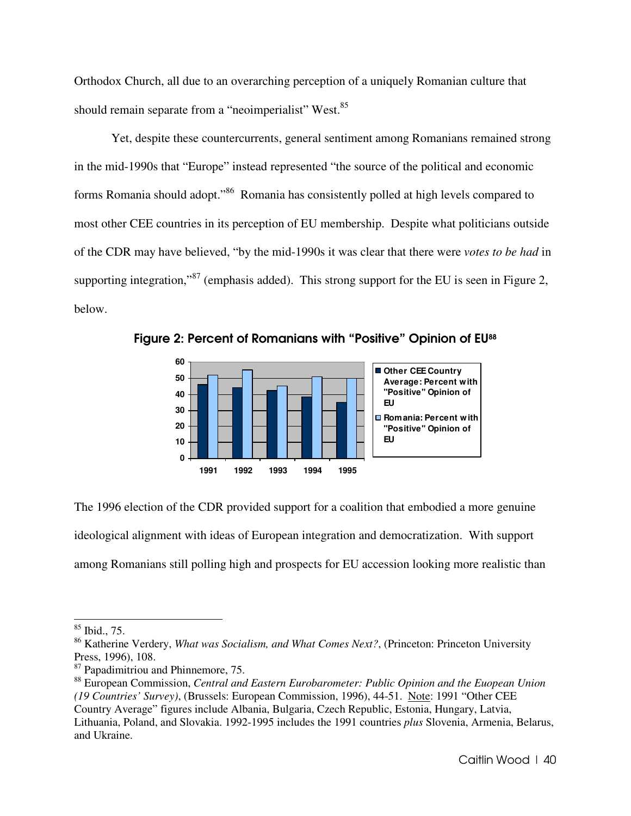Orthodox Church, all due to an overarching perception of a uniquely Romanian culture that should remain separate from a "neoimperialist" West.<sup>85</sup>

Yet, despite these countercurrents, general sentiment among Romanians remained strong in the mid-1990s that "Europe" instead represented "the source of the political and economic forms Romania should adopt."<sup>86</sup> Romania has consistently polled at high levels compared to most other CEE countries in its perception of EU membership. Despite what politicians outside of the CDR may have believed, "by the mid-1990s it was clear that there were *votes to be had* in supporting integration,"<sup>87</sup> (emphasis added). This strong support for the EU is seen in Figure 2, below.



Figure 2: Percent of Romanians with "Positive" Opinion of EU<sup>88</sup>

The 1996 election of the CDR provided support for a coalition that embodied a more genuine ideological alignment with ideas of European integration and democratization. With support among Romanians still polling high and prospects for EU accession looking more realistic than

 $85$  Ibid., 75.

<sup>86</sup> Katherine Verdery, *What was Socialism, and What Comes Next?*, (Princeton: Princeton University Press, 1996), 108.

<sup>&</sup>lt;sup>87</sup> Papadimitriou and Phinnemore, 75.

<sup>88</sup> European Commission, *Central and Eastern Eurobarometer: Public Opinion and the Euopean Union (19 Countries' Survey)*, (Brussels: European Commission, 1996), 44-51. Note: 1991 "Other CEE Country Average" figures include Albania, Bulgaria, Czech Republic, Estonia, Hungary, Latvia, Lithuania, Poland, and Slovakia. 1992-1995 includes the 1991 countries *plus* Slovenia, Armenia, Belarus, and Ukraine.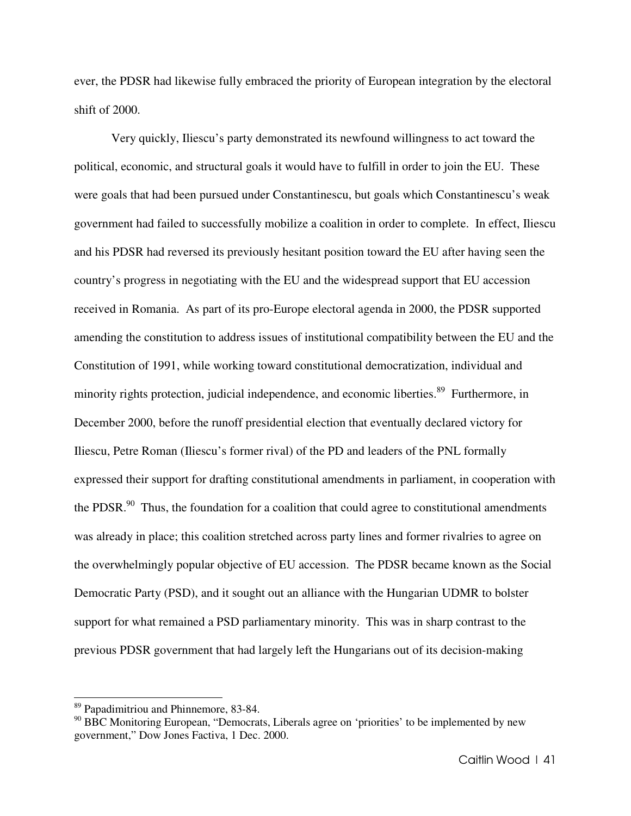ever, the PDSR had likewise fully embraced the priority of European integration by the electoral shift of 2000.

Very quickly, Iliescu's party demonstrated its newfound willingness to act toward the political, economic, and structural goals it would have to fulfill in order to join the EU. These were goals that had been pursued under Constantinescu, but goals which Constantinescu's weak government had failed to successfully mobilize a coalition in order to complete. In effect, Iliescu and his PDSR had reversed its previously hesitant position toward the EU after having seen the country's progress in negotiating with the EU and the widespread support that EU accession received in Romania. As part of its pro-Europe electoral agenda in 2000, the PDSR supported amending the constitution to address issues of institutional compatibility between the EU and the Constitution of 1991, while working toward constitutional democratization, individual and minority rights protection, judicial independence, and economic liberties.<sup>89</sup> Furthermore, in December 2000, before the runoff presidential election that eventually declared victory for Iliescu, Petre Roman (Iliescu's former rival) of the PD and leaders of the PNL formally expressed their support for drafting constitutional amendments in parliament, in cooperation with the PDSR. $90$  Thus, the foundation for a coalition that could agree to constitutional amendments was already in place; this coalition stretched across party lines and former rivalries to agree on the overwhelmingly popular objective of EU accession. The PDSR became known as the Social Democratic Party (PSD), and it sought out an alliance with the Hungarian UDMR to bolster support for what remained a PSD parliamentary minority. This was in sharp contrast to the previous PDSR government that had largely left the Hungarians out of its decision-making

<sup>89</sup> Papadimitriou and Phinnemore, 83-84.

 $90$  BBC Monitoring European, "Democrats, Liberals agree on 'priorities' to be implemented by new government," Dow Jones Factiva, 1 Dec. 2000.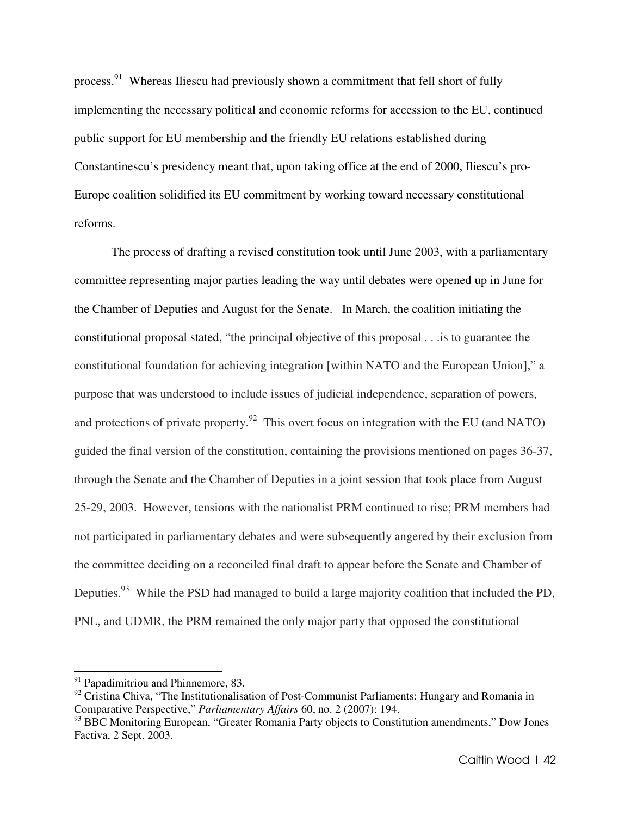process.<sup>91</sup> Whereas Iliescu had previously shown a commitment that fell short of fully implementing the necessary political and economic reforms for accession to the EU, continued public support for EU membership and the friendly EU relations established during Constantinescu's presidency meant that, upon taking office at the end of 2000, Iliescu's pro-Europe coalition solidified its EU commitment by working toward necessary constitutional reforms.

The process of drafting a revised constitution took until June 2003, with a parliamentary committee representing major parties leading the way until debates were opened up in June for the Chamber of Deputies and August for the Senate. In March, the coalition initiating the constitutional proposal stated, "the principal objective of this proposal . . .is to guarantee the constitutional foundation for achieving integration [within NATO and the European Union]," a purpose that was understood to include issues of judicial independence, separation of powers, and protections of private property.<sup>92</sup> This overt focus on integration with the EU (and NATO) guided the final version of the constitution, containing the provisions mentioned on pages 36-37, through the Senate and the Chamber of Deputies in a joint session that took place from August 25-29, 2003. However, tensions with the nationalist PRM continued to rise; PRM members had not participated in parliamentary debates and were subsequently angered by their exclusion from the committee deciding on a reconciled final draft to appear before the Senate and Chamber of Deputies.<sup>93</sup> While the PSD had managed to build a large majority coalition that included the PD, PNL, and UDMR, the PRM remained the only major party that opposed the constitutional

 $91$  Papadimitriou and Phinnemore, 83.

<sup>&</sup>lt;sup>92</sup> Cristina Chiva, "The Institutionalisation of Post-Communist Parliaments: Hungary and Romania in Comparative Perspective," *Parliamentary Affairs* 60, no. 2 (2007): 194.

<sup>&</sup>lt;sup>93</sup> BBC Monitoring European, "Greater Romania Party objects to Constitution amendments," Dow Jones Factiva, 2 Sept. 2003.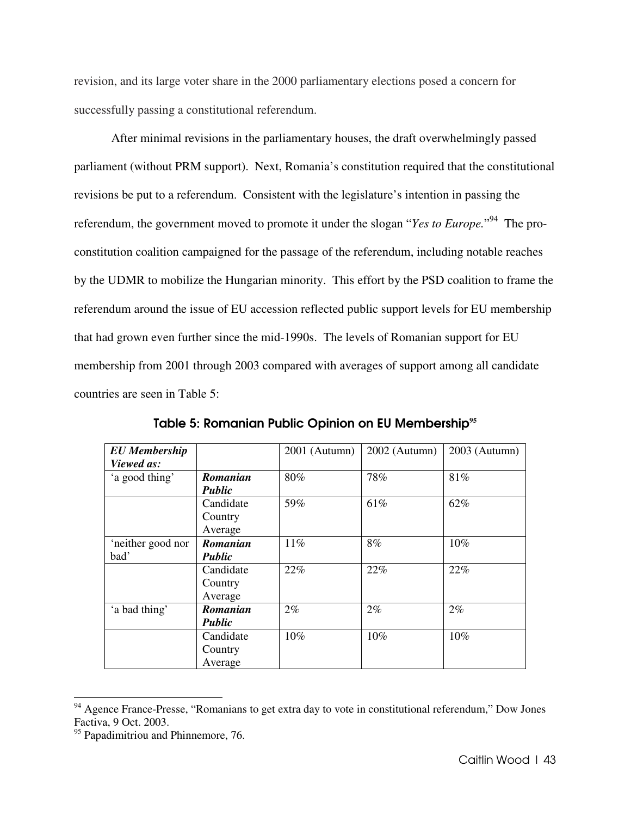revision, and its large voter share in the 2000 parliamentary elections posed a concern for successfully passing a constitutional referendum.

After minimal revisions in the parliamentary houses, the draft overwhelmingly passed parliament (without PRM support). Next, Romania's constitution required that the constitutional revisions be put to a referendum. Consistent with the legislature's intention in passing the referendum, the government moved to promote it under the slogan "*Yes to Europe*."<sup>94</sup> The proconstitution coalition campaigned for the passage of the referendum, including notable reaches by the UDMR to mobilize the Hungarian minority. This effort by the PSD coalition to frame the referendum around the issue of EU accession reflected public support levels for EU membership that had grown even further since the mid-1990s. The levels of Romanian support for EU membership from 2001 through 2003 compared with averages of support among all candidate countries are seen in Table 5:

| <b>EU</b> Membership |               | $2001$ (Autumn) | $2002$ (Autumn) | 2003 (Autumn) |
|----------------------|---------------|-----------------|-----------------|---------------|
| Viewed as:           |               |                 |                 |               |
| 'a good thing'       | Romanian      | 80%             | 78%             | 81%           |
|                      | <b>Public</b> |                 |                 |               |
|                      | Candidate     | 59%             | 61%             | 62%           |
|                      | Country       |                 |                 |               |
|                      | Average       |                 |                 |               |
| 'neither good nor    | Romanian      | 11%             | 8%              | 10%           |
| bad'                 | <b>Public</b> |                 |                 |               |
|                      | Candidate     | 22%             | 22%             | 22%           |
|                      | Country       |                 |                 |               |
|                      | Average       |                 |                 |               |
| 'a bad thing'        | Romanian      | $2\%$           | $2\%$           | 2%            |
|                      | Public        |                 |                 |               |
|                      | Candidate     | 10%             | 10%             | 10%           |
|                      | Country       |                 |                 |               |
|                      | Average       |                 |                 |               |

Table 5: Romanian Public Opinion on EU Membership**<sup>95</sup>**

<sup>&</sup>lt;sup>94</sup> Agence France-Presse, "Romanians to get extra day to vote in constitutional referendum," Dow Jones Factiva, 9 Oct. 2003.

<sup>&</sup>lt;sup>95</sup> Papadimitriou and Phinnemore, 76.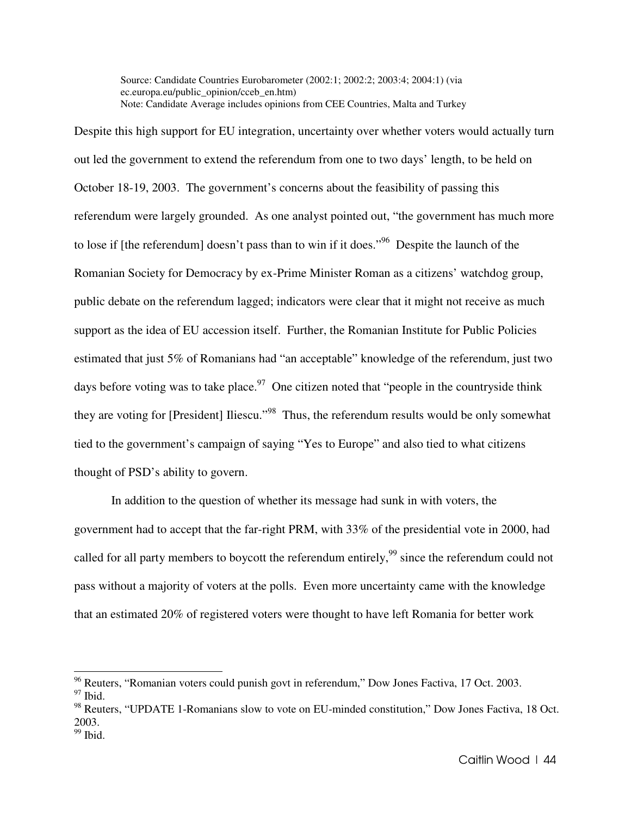Source: Candidate Countries Eurobarometer (2002:1; 2002:2; 2003:4; 2004:1) (via ec.europa.eu/public\_opinion/cceb\_en.htm) Note: Candidate Average includes opinions from CEE Countries, Malta and Turkey

Despite this high support for EU integration, uncertainty over whether voters would actually turn out led the government to extend the referendum from one to two days' length, to be held on October 18-19, 2003. The government's concerns about the feasibility of passing this referendum were largely grounded. As one analyst pointed out, "the government has much more to lose if [the referendum] doesn't pass than to win if it does.<sup>"96</sup> Despite the launch of the Romanian Society for Democracy by ex-Prime Minister Roman as a citizens' watchdog group, public debate on the referendum lagged; indicators were clear that it might not receive as much support as the idea of EU accession itself. Further, the Romanian Institute for Public Policies estimated that just 5% of Romanians had "an acceptable" knowledge of the referendum, just two days before voting was to take place.<sup>97</sup> One citizen noted that "people in the countryside think they are voting for [President] Iliescu."<sup>98</sup> Thus, the referendum results would be only somewhat tied to the government's campaign of saying "Yes to Europe" and also tied to what citizens thought of PSD's ability to govern.

In addition to the question of whether its message had sunk in with voters, the government had to accept that the far-right PRM, with 33% of the presidential vote in 2000, had called for all party members to boycott the referendum entirely,<sup>99</sup> since the referendum could not pass without a majority of voters at the polls. Even more uncertainty came with the knowledge that an estimated 20% of registered voters were thought to have left Romania for better work

 $96$  Reuters, "Romanian voters could punish govt in referendum," Dow Jones Factiva, 17 Oct. 2003.

 $97$  Ibid.

<sup>98</sup> Reuters, "UPDATE 1-Romanians slow to vote on EU-minded constitution," Dow Jones Factiva, 18 Oct. 2003.  $99$  Ibid.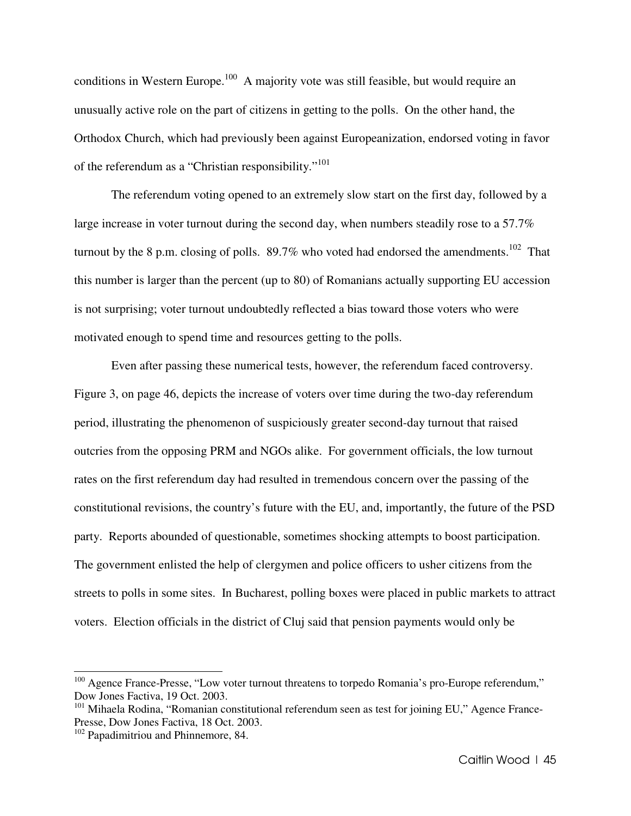conditions in Western Europe.<sup>100</sup> A majority vote was still feasible, but would require an unusually active role on the part of citizens in getting to the polls. On the other hand, the Orthodox Church, which had previously been against Europeanization, endorsed voting in favor of the referendum as a "Christian responsibility."<sup>101</sup>

 The referendum voting opened to an extremely slow start on the first day, followed by a large increase in voter turnout during the second day, when numbers steadily rose to a 57.7% turnout by the 8 p.m. closing of polls.  $89.7\%$  who voted had endorsed the amendments.<sup>102</sup> That this number is larger than the percent (up to 80) of Romanians actually supporting EU accession is not surprising; voter turnout undoubtedly reflected a bias toward those voters who were motivated enough to spend time and resources getting to the polls.

 Even after passing these numerical tests, however, the referendum faced controversy. Figure 3, on page 46, depicts the increase of voters over time during the two-day referendum period, illustrating the phenomenon of suspiciously greater second-day turnout that raised outcries from the opposing PRM and NGOs alike. For government officials, the low turnout rates on the first referendum day had resulted in tremendous concern over the passing of the constitutional revisions, the country's future with the EU, and, importantly, the future of the PSD party. Reports abounded of questionable, sometimes shocking attempts to boost participation. The government enlisted the help of clergymen and police officers to usher citizens from the streets to polls in some sites. In Bucharest, polling boxes were placed in public markets to attract voters. Election officials in the district of Cluj said that pension payments would only be

 $100$  Agence France-Presse, "Low voter turnout threatens to torpedo Romania's pro-Europe referendum," Dow Jones Factiva, 19 Oct. 2003.

<sup>&</sup>lt;sup>101</sup> Mihaela Rodina, "Romanian constitutional referendum seen as test for joining EU," Agence France-Presse, Dow Jones Factiva, 18 Oct. 2003.

<sup>&</sup>lt;sup>102</sup> Papadimitriou and Phinnemore, 84.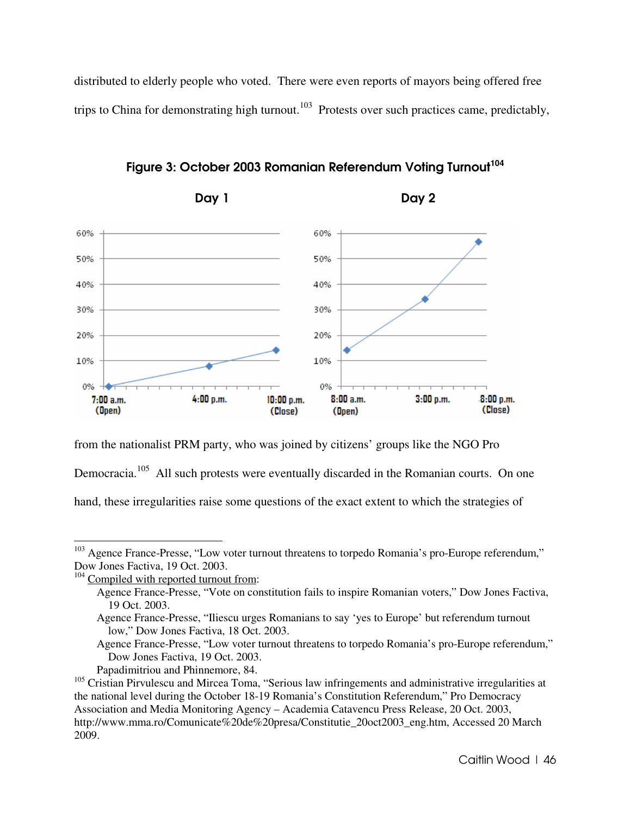distributed to elderly people who voted. There were even reports of mayors being offered free trips to China for demonstrating high turnout.<sup>103</sup> Protests over such practices came, predictably,



Figure 3: October 2003 Romanian Referendum Voting Turnout**<sup>104</sup>**

from the nationalist PRM party, who was joined by citizens' groups like the NGO Pro

Democracia.<sup>105</sup> All such protests were eventually discarded in the Romanian courts. On one

hand, these irregularities raise some questions of the exact extent to which the strategies of

 $103$  Agence France-Presse, "Low voter turnout threatens to torpedo Romania's pro-Europe referendum," Dow Jones Factiva, 19 Oct. 2003.

<sup>&</sup>lt;sup>104</sup> Compiled with reported turnout from:

Agence France-Presse, "Vote on constitution fails to inspire Romanian voters," Dow Jones Factiva, 19 Oct. 2003.

Agence France-Presse, "Iliescu urges Romanians to say 'yes to Europe' but referendum turnout low," Dow Jones Factiva, 18 Oct. 2003.

Agence France-Presse, "Low voter turnout threatens to torpedo Romania's pro-Europe referendum," Dow Jones Factiva, 19 Oct. 2003.

Papadimitriou and Phinnemore, 84.

<sup>&</sup>lt;sup>105</sup> Cristian Pirvulescu and Mircea Toma, "Serious law infringements and administrative irregularities at the national level during the October 18-19 Romania's Constitution Referendum," Pro Democracy Association and Media Monitoring Agency – Academia Catavencu Press Release, 20 Oct. 2003, http://www.mma.ro/Comunicate%20de%20presa/Constitutie\_20oct2003\_eng.htm, Accessed 20 March 2009.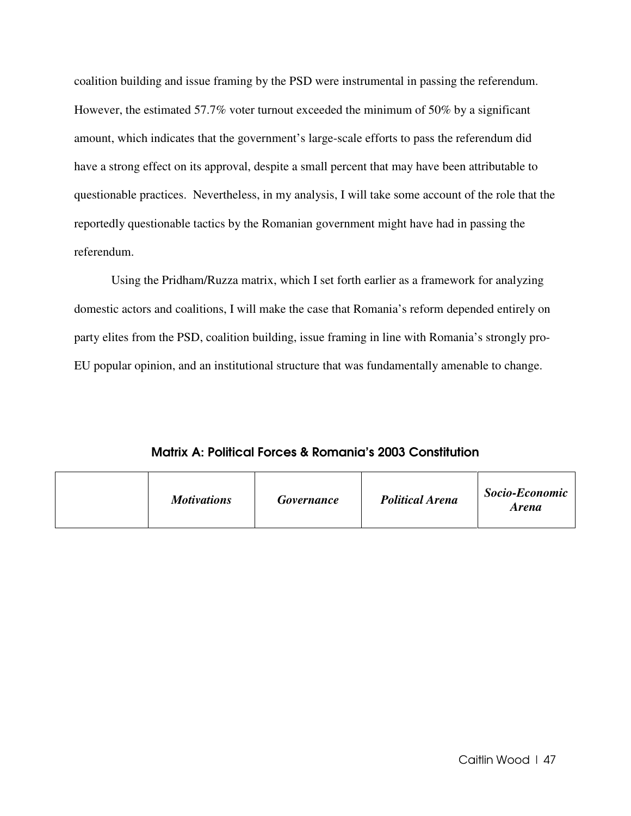coalition building and issue framing by the PSD were instrumental in passing the referendum. However, the estimated 57.7% voter turnout exceeded the minimum of 50% by a significant amount, which indicates that the government's large-scale efforts to pass the referendum did have a strong effect on its approval, despite a small percent that may have been attributable to questionable practices. Nevertheless, in my analysis, I will take some account of the role that the reportedly questionable tactics by the Romanian government might have had in passing the referendum.

Using the Pridham/Ruzza matrix, which I set forth earlier as a framework for analyzing domestic actors and coalitions, I will make the case that Romania's reform depended entirely on party elites from the PSD, coalition building, issue framing in line with Romania's strongly pro-EU popular opinion, and an institutional structure that was fundamentally amenable to change.

Matrix A: Political Forces & Romania's 2003 Constitution

|  | <b>Motivations</b> | <b>Governance</b> | <b>Political Arena</b> | Socio-Economic<br><b>Arena</b> |
|--|--------------------|-------------------|------------------------|--------------------------------|
|--|--------------------|-------------------|------------------------|--------------------------------|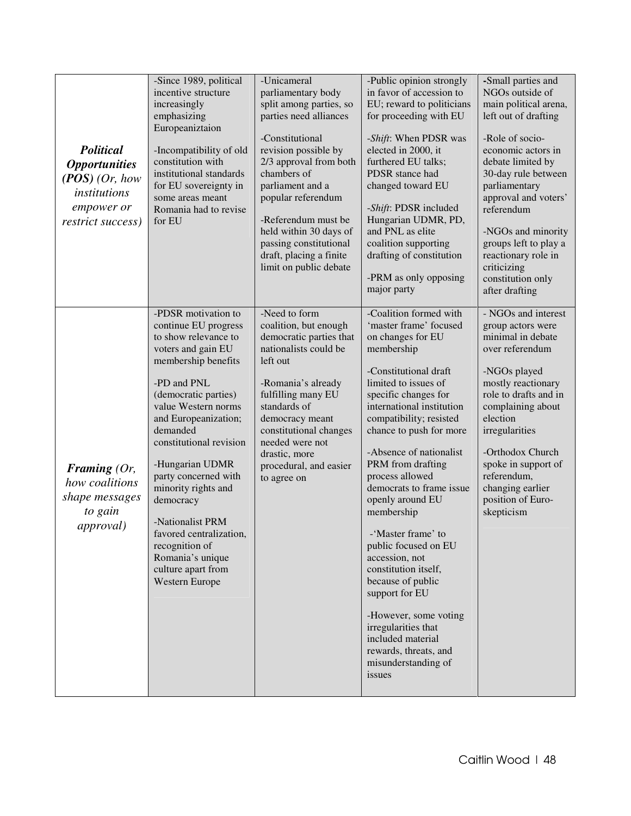| <b>Political</b><br><i><b>Opportunities</b></i><br>$(POS)$ (Or, how<br><i>institutions</i><br>empower or<br>restrict success) | -Since 1989, political<br>incentive structure<br>increasingly<br>emphasizing<br>Europeaniztaion<br>-Incompatibility of old<br>constitution with<br>institutional standards<br>for EU sovereignty in<br>some areas meant<br>Romania had to revise<br>for EU                                                                                                                                                                                                | -Unicameral<br>parliamentary body<br>split among parties, so<br>parties need alliances<br>-Constitutional<br>revision possible by<br>2/3 approval from both<br>chambers of<br>parliament and a<br>popular referendum<br>-Referendum must be<br>held within 30 days of<br>passing constitutional<br>draft, placing a finite<br>limit on public debate | -Public opinion strongly<br>in favor of accession to<br>EU; reward to politicians<br>for proceeding with EU<br>-Shift: When PDSR was<br>elected in 2000, it<br>furthered EU talks;<br>PDSR stance had<br>changed toward EU<br>-Shift: PDSR included<br>Hungarian UDMR, PD,<br>and PNL as elite<br>coalition supporting<br>drafting of constitution<br>-PRM as only opposing<br>major party                                                                                                                                                                                                                                                     | -Small parties and<br>NGOs outside of<br>main political arena,<br>left out of drafting<br>-Role of socio-<br>economic actors in<br>debate limited by<br>30-day rule between<br>parliamentary<br>approval and voters'<br>referendum<br>-NGOs and minority<br>groups left to play a<br>reactionary role in<br>criticizing<br>constitution only<br>after drafting |
|-------------------------------------------------------------------------------------------------------------------------------|-----------------------------------------------------------------------------------------------------------------------------------------------------------------------------------------------------------------------------------------------------------------------------------------------------------------------------------------------------------------------------------------------------------------------------------------------------------|------------------------------------------------------------------------------------------------------------------------------------------------------------------------------------------------------------------------------------------------------------------------------------------------------------------------------------------------------|------------------------------------------------------------------------------------------------------------------------------------------------------------------------------------------------------------------------------------------------------------------------------------------------------------------------------------------------------------------------------------------------------------------------------------------------------------------------------------------------------------------------------------------------------------------------------------------------------------------------------------------------|----------------------------------------------------------------------------------------------------------------------------------------------------------------------------------------------------------------------------------------------------------------------------------------------------------------------------------------------------------------|
| Framing $(Or,$<br>how coalitions<br>shape messages<br>to gain<br><i>approval</i> )                                            | -PDSR motivation to<br>continue EU progress<br>to show relevance to<br>voters and gain EU<br>membership benefits<br>-PD and PNL<br>(democratic parties)<br>value Western norms<br>and Europeanization;<br>demanded<br>constitutional revision<br>-Hungarian UDMR<br>party concerned with<br>minority rights and<br>democracy<br>-Nationalist PRM<br>favored centralization,<br>recognition of<br>Romania's unique<br>culture apart from<br>Western Europe | -Need to form<br>coalition, but enough<br>democratic parties that<br>nationalists could be<br>left out<br>-Romania's already<br>fulfilling many EU<br>standards of<br>democracy meant<br>constitutional changes<br>needed were not<br>drastic, more<br>procedural, and easier<br>to agree on                                                         | -Coalition formed with<br>'master frame' focused<br>on changes for EU<br>membership<br>-Constitutional draft<br>limited to issues of<br>specific changes for<br>international institution<br>compatibility; resisted<br>chance to push for more<br>-Absence of nationalist<br>PRM from drafting<br>process allowed<br>democrats to frame issue<br>openly around EU<br>membership<br>-'Master frame' to<br>public focused on EU<br>accession, not<br>constitution itself,<br>because of public<br>support for EU<br>-However, some voting<br>irregularities that<br>included material<br>rewards, threats, and<br>misunderstanding of<br>issues | - NGOs and interest<br>group actors were<br>minimal in debate<br>over referendum<br>-NGOs played<br>mostly reactionary<br>role to drafts and in<br>complaining about<br>election<br>irregularities<br>-Orthodox Church<br>spoke in support of<br>referendum,<br>changing earlier<br>position of Euro-<br>skepticism                                            |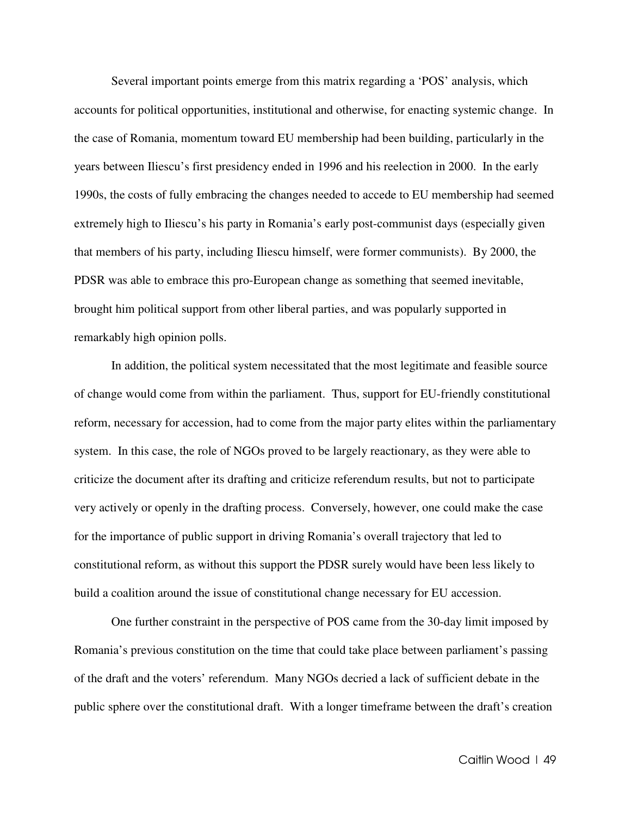Several important points emerge from this matrix regarding a 'POS' analysis, which accounts for political opportunities, institutional and otherwise, for enacting systemic change. In the case of Romania, momentum toward EU membership had been building, particularly in the years between Iliescu's first presidency ended in 1996 and his reelection in 2000. In the early 1990s, the costs of fully embracing the changes needed to accede to EU membership had seemed extremely high to Iliescu's his party in Romania's early post-communist days (especially given that members of his party, including Iliescu himself, were former communists). By 2000, the PDSR was able to embrace this pro-European change as something that seemed inevitable, brought him political support from other liberal parties, and was popularly supported in remarkably high opinion polls.

 In addition, the political system necessitated that the most legitimate and feasible source of change would come from within the parliament. Thus, support for EU-friendly constitutional reform, necessary for accession, had to come from the major party elites within the parliamentary system. In this case, the role of NGOs proved to be largely reactionary, as they were able to criticize the document after its drafting and criticize referendum results, but not to participate very actively or openly in the drafting process. Conversely, however, one could make the case for the importance of public support in driving Romania's overall trajectory that led to constitutional reform, as without this support the PDSR surely would have been less likely to build a coalition around the issue of constitutional change necessary for EU accession.

 One further constraint in the perspective of POS came from the 30-day limit imposed by Romania's previous constitution on the time that could take place between parliament's passing of the draft and the voters' referendum. Many NGOs decried a lack of sufficient debate in the public sphere over the constitutional draft. With a longer timeframe between the draft's creation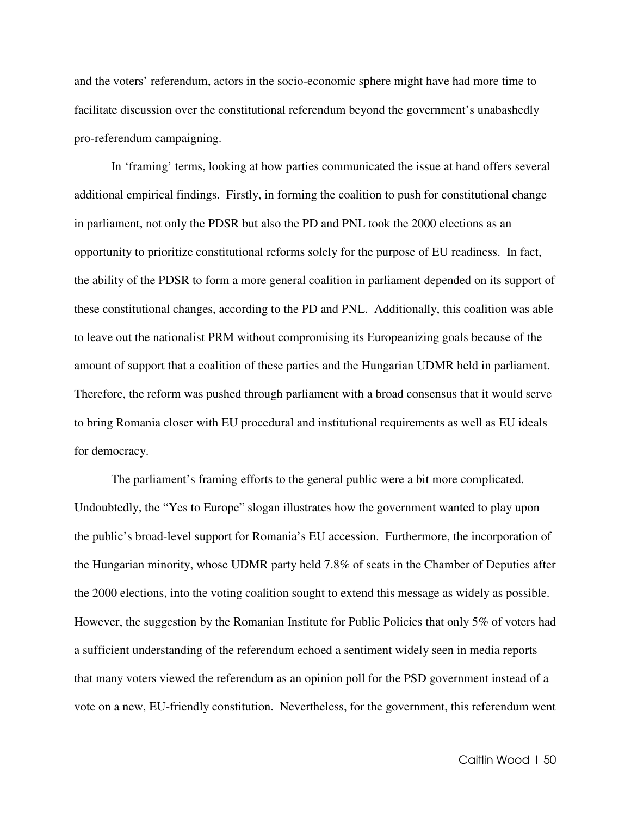and the voters' referendum, actors in the socio-economic sphere might have had more time to facilitate discussion over the constitutional referendum beyond the government's unabashedly pro-referendum campaigning.

 In 'framing' terms, looking at how parties communicated the issue at hand offers several additional empirical findings. Firstly, in forming the coalition to push for constitutional change in parliament, not only the PDSR but also the PD and PNL took the 2000 elections as an opportunity to prioritize constitutional reforms solely for the purpose of EU readiness. In fact, the ability of the PDSR to form a more general coalition in parliament depended on its support of these constitutional changes, according to the PD and PNL. Additionally, this coalition was able to leave out the nationalist PRM without compromising its Europeanizing goals because of the amount of support that a coalition of these parties and the Hungarian UDMR held in parliament. Therefore, the reform was pushed through parliament with a broad consensus that it would serve to bring Romania closer with EU procedural and institutional requirements as well as EU ideals for democracy.

 The parliament's framing efforts to the general public were a bit more complicated. Undoubtedly, the "Yes to Europe" slogan illustrates how the government wanted to play upon the public's broad-level support for Romania's EU accession. Furthermore, the incorporation of the Hungarian minority, whose UDMR party held 7.8% of seats in the Chamber of Deputies after the 2000 elections, into the voting coalition sought to extend this message as widely as possible. However, the suggestion by the Romanian Institute for Public Policies that only 5% of voters had a sufficient understanding of the referendum echoed a sentiment widely seen in media reports that many voters viewed the referendum as an opinion poll for the PSD government instead of a vote on a new, EU-friendly constitution. Nevertheless, for the government, this referendum went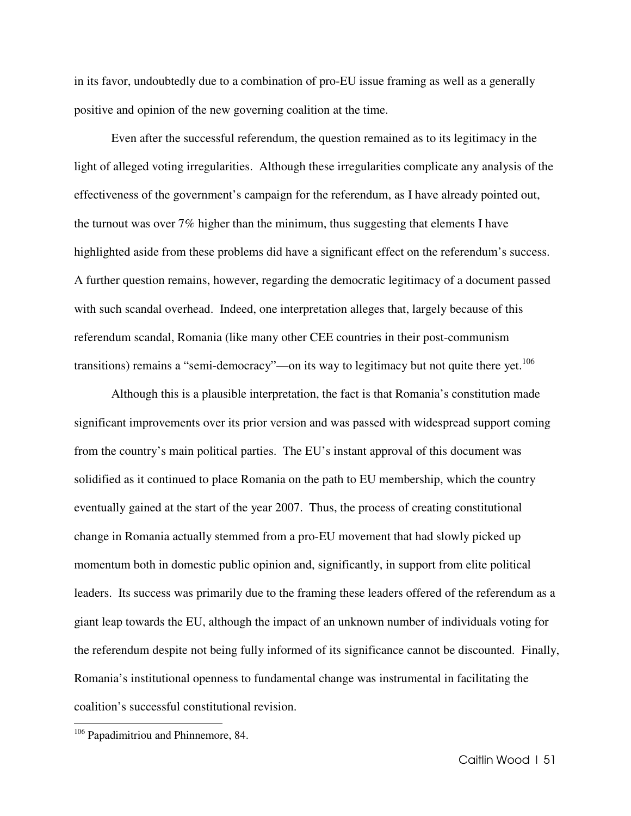in its favor, undoubtedly due to a combination of pro-EU issue framing as well as a generally positive and opinion of the new governing coalition at the time.

 Even after the successful referendum, the question remained as to its legitimacy in the light of alleged voting irregularities. Although these irregularities complicate any analysis of the effectiveness of the government's campaign for the referendum, as I have already pointed out, the turnout was over 7% higher than the minimum, thus suggesting that elements I have highlighted aside from these problems did have a significant effect on the referendum's success. A further question remains, however, regarding the democratic legitimacy of a document passed with such scandal overhead. Indeed, one interpretation alleges that, largely because of this referendum scandal, Romania (like many other CEE countries in their post-communism transitions) remains a "semi-democracy"—on its way to legitimacy but not quite there yet.<sup>106</sup>

Although this is a plausible interpretation, the fact is that Romania's constitution made significant improvements over its prior version and was passed with widespread support coming from the country's main political parties. The EU's instant approval of this document was solidified as it continued to place Romania on the path to EU membership, which the country eventually gained at the start of the year 2007. Thus, the process of creating constitutional change in Romania actually stemmed from a pro-EU movement that had slowly picked up momentum both in domestic public opinion and, significantly, in support from elite political leaders. Its success was primarily due to the framing these leaders offered of the referendum as a giant leap towards the EU, although the impact of an unknown number of individuals voting for the referendum despite not being fully informed of its significance cannot be discounted. Finally, Romania's institutional openness to fundamental change was instrumental in facilitating the coalition's successful constitutional revision.

<sup>&</sup>lt;sup>106</sup> Papadimitriou and Phinnemore, 84.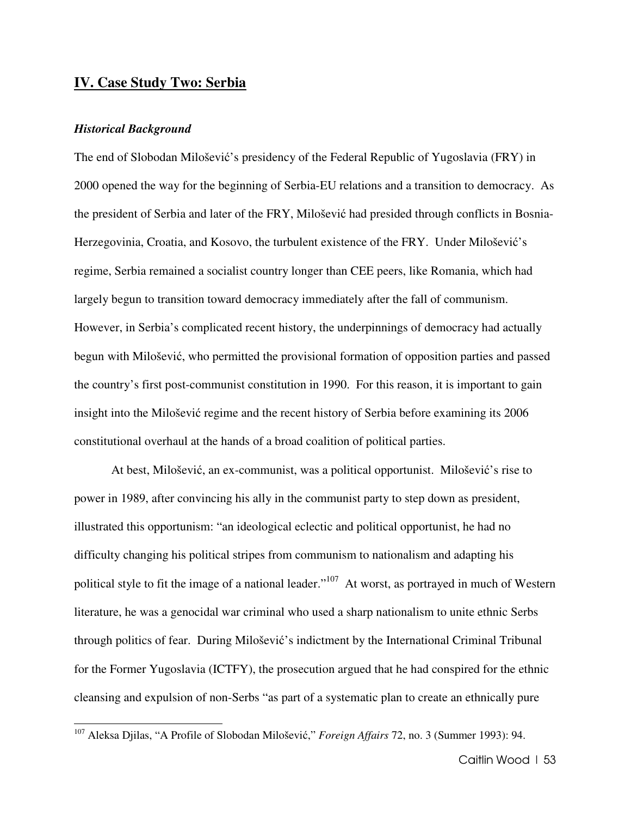## **IV. Case Study Two: Serbia**

#### *Historical Background*

l.

The end of Slobodan Milošević's presidency of the Federal Republic of Yugoslavia (FRY) in 2000 opened the way for the beginning of Serbia-EU relations and a transition to democracy. As the president of Serbia and later of the FRY, Milošević had presided through conflicts in Bosnia-Herzegovinia, Croatia, and Kosovo, the turbulent existence of the FRY. Under Milošević's regime, Serbia remained a socialist country longer than CEE peers, like Romania, which had largely begun to transition toward democracy immediately after the fall of communism. However, in Serbia's complicated recent history, the underpinnings of democracy had actually begun with Milošević, who permitted the provisional formation of opposition parties and passed the country's first post-communist constitution in 1990. For this reason, it is important to gain insight into the Milošević regime and the recent history of Serbia before examining its 2006 constitutional overhaul at the hands of a broad coalition of political parties.

At best, Milošević, an ex-communist, was a political opportunist. Milošević's rise to power in 1989, after convincing his ally in the communist party to step down as president, illustrated this opportunism: "an ideological eclectic and political opportunist, he had no difficulty changing his political stripes from communism to nationalism and adapting his political style to fit the image of a national leader."<sup>107</sup> At worst, as portrayed in much of Western literature, he was a genocidal war criminal who used a sharp nationalism to unite ethnic Serbs through politics of fear. During Milošević's indictment by the International Criminal Tribunal for the Former Yugoslavia (ICTFY), the prosecution argued that he had conspired for the ethnic cleansing and expulsion of non-Serbs "as part of a systematic plan to create an ethnically pure

<sup>107</sup> Aleksa Djilas, "A Profile of Slobodan Milošević," *Foreign Affairs* 72, no. 3 (Summer 1993): 94.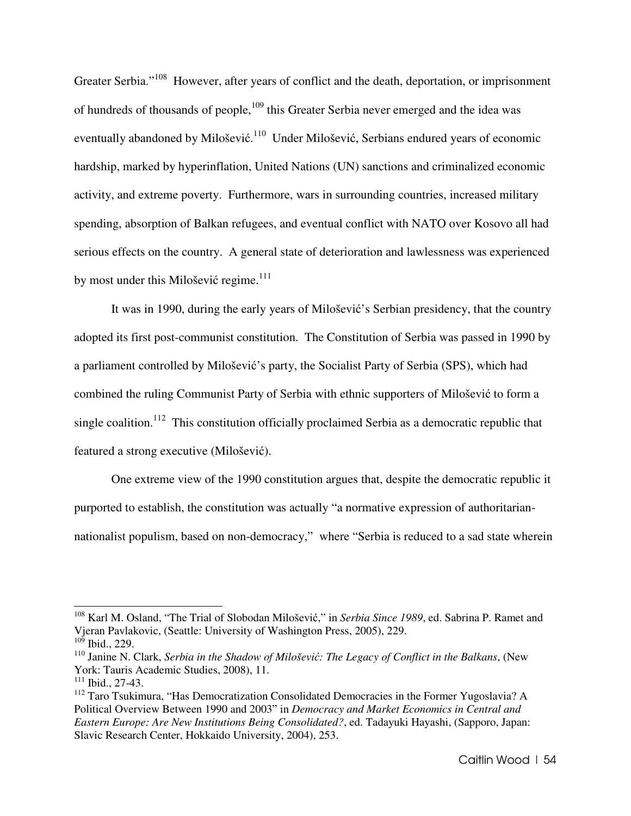Greater Serbia."<sup>108</sup> However, after years of conflict and the death, deportation, or imprisonment of hundreds of thousands of people,<sup>109</sup> this Greater Serbia never emerged and the idea was eventually abandoned by Milošević.<sup>110</sup> Under Milošević, Serbians endured years of economic hardship, marked by hyperinflation, United Nations (UN) sanctions and criminalized economic activity, and extreme poverty. Furthermore, wars in surrounding countries, increased military spending, absorption of Balkan refugees, and eventual conflict with NATO over Kosovo all had serious effects on the country. A general state of deterioration and lawlessness was experienced by most under this Milošević regime. $111$ 

It was in 1990, during the early years of Milošević's Serbian presidency, that the country adopted its first post-communist constitution. The Constitution of Serbia was passed in 1990 by a parliament controlled by Milošević's party, the Socialist Party of Serbia (SPS), which had combined the ruling Communist Party of Serbia with ethnic supporters of Milošević to form a single coalition.<sup>112</sup> This constitution officially proclaimed Serbia as a democratic republic that featured a strong executive (Milošević).

One extreme view of the 1990 constitution argues that, despite the democratic republic it purported to establish, the constitution was actually "a normative expression of authoritariannationalist populism, based on non-democracy," where "Serbia is reduced to a sad state wherein

<sup>108</sup> Karl M. Osland, "The Trial of Slobodan Milošević," in *Serbia Since 1989*, ed. Sabrina P. Ramet and Vjeran Pavlakovic, (Seattle: University of Washington Press, 2005), 229.  $10<sup>5</sup>$  Ibid., 229.

<sup>110</sup> Janine N. Clark, *Serbia in the Shadow of Miloševi*ć*: The Legacy of Conflict in the Balkans*, (New York: Tauris Academic Studies, 2008), 11.

 $111$  Ibid., 27-43.

<sup>&</sup>lt;sup>112</sup> Taro Tsukimura, "Has Democratization Consolidated Democracies in the Former Yugoslavia? A Political Overview Between 1990 and 2003" in *Democracy and Market Economics in Central and Eastern Europe: Are New Institutions Being Consolidated?*, ed. Tadayuki Hayashi, (Sapporo, Japan: Slavic Research Center, Hokkaido University, 2004), 253.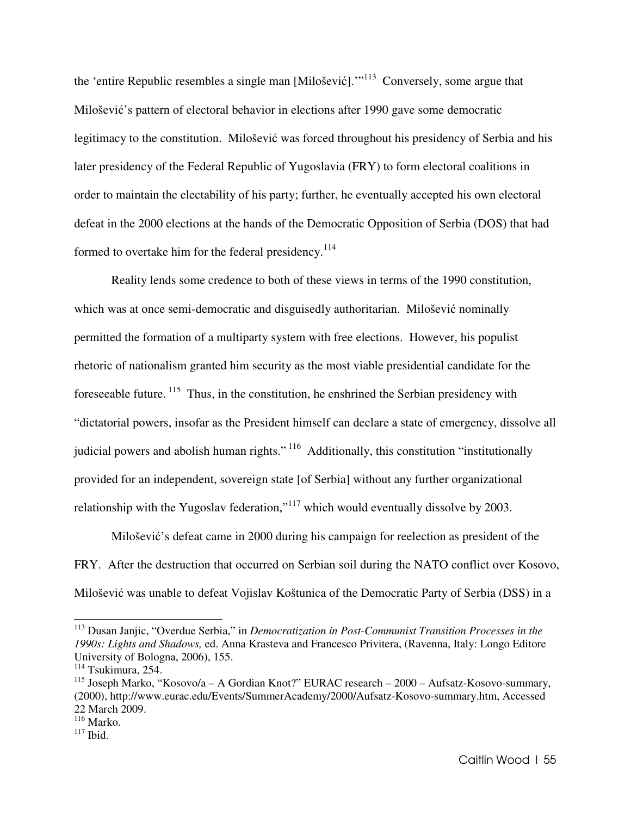the 'entire Republic resembles a single man [Milošević].'"<sup>113</sup> Conversely, some argue that Milošević's pattern of electoral behavior in elections after 1990 gave some democratic legitimacy to the constitution. Milošević was forced throughout his presidency of Serbia and his later presidency of the Federal Republic of Yugoslavia (FRY) to form electoral coalitions in order to maintain the electability of his party; further, he eventually accepted his own electoral defeat in the 2000 elections at the hands of the Democratic Opposition of Serbia (DOS) that had formed to overtake him for the federal presidency.<sup>114</sup>

Reality lends some credence to both of these views in terms of the 1990 constitution, which was at once semi-democratic and disguisedly authoritarian. Milošević nominally permitted the formation of a multiparty system with free elections. However, his populist rhetoric of nationalism granted him security as the most viable presidential candidate for the foreseeable future.<sup>115</sup> Thus, in the constitution, he enshrined the Serbian presidency with "dictatorial powers, insofar as the President himself can declare a state of emergency, dissolve all judicial powers and abolish human rights."<sup>116</sup> Additionally, this constitution "institutionally provided for an independent, sovereign state [of Serbia] without any further organizational relationship with the Yugoslav federation,"<sup>117</sup> which would eventually dissolve by 2003.

Milošević's defeat came in 2000 during his campaign for reelection as president of the FRY. After the destruction that occurred on Serbian soil during the NATO conflict over Kosovo, Milošević was unable to defeat Vojislav Koštunica of the Democratic Party of Serbia (DSS) in a

<sup>113</sup> Dusan Janjic, "Overdue Serbia," in *Democratization in Post-Communist Transition Processes in the 1990s: Lights and Shadows,* ed. Anna Krasteva and Francesco Privitera, (Ravenna, Italy: Longo Editore University of Bologna, 2006), 155.

<sup>114</sup> Tsukimura, 254.

<sup>115</sup> Joseph Marko, "Kosovo/a – A Gordian Knot?" EURAC research – 2000 – Aufsatz-Kosovo-summary, (2000), http://www.eurac.edu/Events/SummerAcademy/2000/Aufsatz-Kosovo-summary.htm, Accessed 22 March 2009.

 $^{116}$  Marko.

 $117$  Ibid.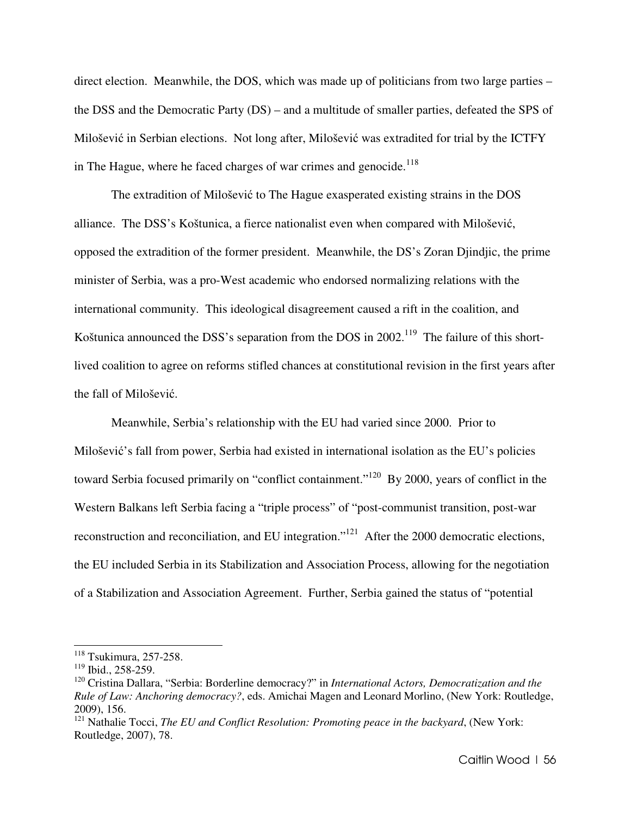direct election. Meanwhile, the DOS, which was made up of politicians from two large parties – the DSS and the Democratic Party (DS) – and a multitude of smaller parties, defeated the SPS of Milošević in Serbian elections. Not long after, Milošević was extradited for trial by the ICTFY in The Hague, where he faced charges of war crimes and genocide.<sup>118</sup>

The extradition of Milošević to The Hague exasperated existing strains in the DOS alliance. The DSS's Koštunica, a fierce nationalist even when compared with Milošević, opposed the extradition of the former president. Meanwhile, the DS's Zoran Djindjic, the prime minister of Serbia, was a pro-West academic who endorsed normalizing relations with the international community. This ideological disagreement caused a rift in the coalition, and Koštunica announced the DSS's separation from the DOS in  $2002$ .<sup>119</sup> The failure of this shortlived coalition to agree on reforms stifled chances at constitutional revision in the first years after the fall of Milošević.

Meanwhile, Serbia's relationship with the EU had varied since 2000. Prior to Milošević's fall from power, Serbia had existed in international isolation as the EU's policies toward Serbia focused primarily on "conflict containment."<sup>120</sup> By 2000, years of conflict in the Western Balkans left Serbia facing a "triple process" of "post-communist transition, post-war reconstruction and reconciliation, and EU integration."<sup>121</sup> After the 2000 democratic elections, the EU included Serbia in its Stabilization and Association Process, allowing for the negotiation of a Stabilization and Association Agreement. Further, Serbia gained the status of "potential

<sup>118</sup> Tsukimura, 257-258.

<sup>119</sup> Ibid., 258-259.

<sup>120</sup> Cristina Dallara, "Serbia: Borderline democracy?" in *International Actors, Democratization and the Rule of Law: Anchoring democracy?*, eds. Amichai Magen and Leonard Morlino, (New York: Routledge, 2009), 156.

<sup>&</sup>lt;sup>121</sup> Nathalie Tocci, *The EU and Conflict Resolution: Promoting peace in the backyard*, (New York: Routledge, 2007), 78.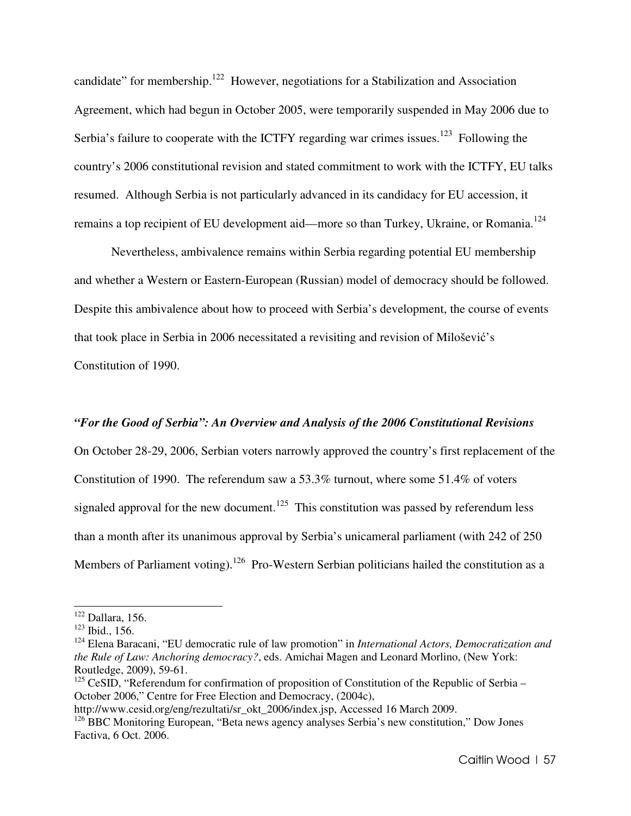candidate" for membership.<sup>122</sup> However, negotiations for a Stabilization and Association Agreement, which had begun in October 2005, were temporarily suspended in May 2006 due to Serbia's failure to cooperate with the ICTFY regarding war crimes issues.<sup>123</sup> Following the country's 2006 constitutional revision and stated commitment to work with the ICTFY, EU talks resumed. Although Serbia is not particularly advanced in its candidacy for EU accession, it remains a top recipient of EU development aid—more so than Turkey, Ukraine, or Romania.<sup>124</sup>

 Nevertheless, ambivalence remains within Serbia regarding potential EU membership and whether a Western or Eastern-European (Russian) model of democracy should be followed. Despite this ambivalence about how to proceed with Serbia's development, the course of events that took place in Serbia in 2006 necessitated a revisiting and revision of Milošević's Constitution of 1990.

## *"For the Good of Serbia": An Overview and Analysis of the 2006 Constitutional Revisions*

On October 28-29, 2006, Serbian voters narrowly approved the country's first replacement of the Constitution of 1990. The referendum saw a 53.3% turnout, where some 51.4% of voters signaled approval for the new document.<sup>125</sup> This constitution was passed by referendum less than a month after its unanimous approval by Serbia's unicameral parliament (with 242 of 250 Members of Parliament voting).<sup>126</sup> Pro-Western Serbian politicians hailed the constitution as a

<sup>122</sup> Dallara, 156.

<sup>123</sup> Ibid., 156.

<sup>124</sup> Elena Baracani, "EU democratic rule of law promotion" in *International Actors, Democratization and the Rule of Law: Anchoring democracy?*, eds. Amichai Magen and Leonard Morlino, (New York: Routledge, 2009), 59-61.

<sup>&</sup>lt;sup>125</sup> CeSID, "Referendum for confirmation of proposition of Constitution of the Republic of Serbia – October 2006," Centre for Free Election and Democracy, (2004c),

http://www.cesid.org/eng/rezultati/sr\_okt\_2006/index.jsp, Accessed 16 March 2009.

<sup>&</sup>lt;sup>126</sup> BBC Monitoring European, "Beta news agency analyses Serbia's new constitution," Dow Jones Factiva, 6 Oct. 2006.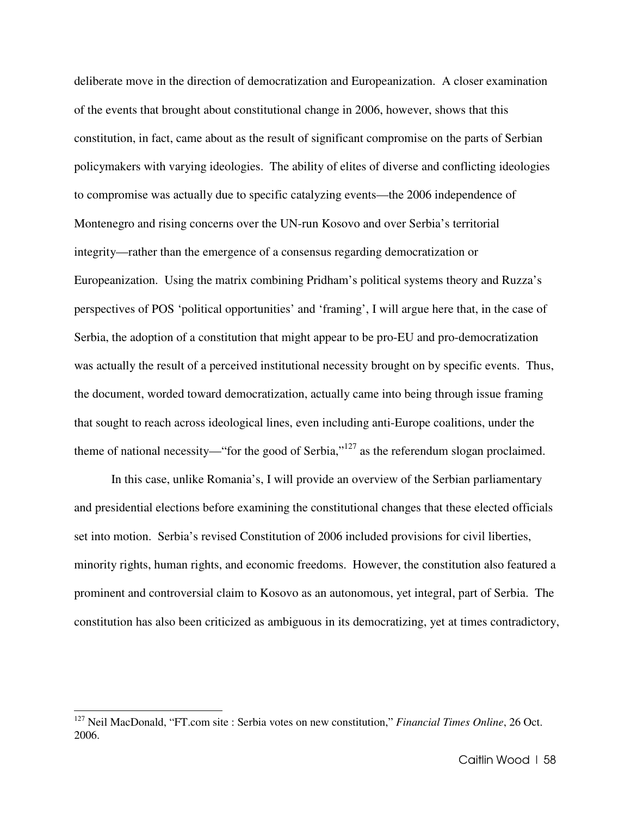deliberate move in the direction of democratization and Europeanization. A closer examination of the events that brought about constitutional change in 2006, however, shows that this constitution, in fact, came about as the result of significant compromise on the parts of Serbian policymakers with varying ideologies. The ability of elites of diverse and conflicting ideologies to compromise was actually due to specific catalyzing events—the 2006 independence of Montenegro and rising concerns over the UN-run Kosovo and over Serbia's territorial integrity—rather than the emergence of a consensus regarding democratization or Europeanization. Using the matrix combining Pridham's political systems theory and Ruzza's perspectives of POS 'political opportunities' and 'framing', I will argue here that, in the case of Serbia, the adoption of a constitution that might appear to be pro-EU and pro-democratization was actually the result of a perceived institutional necessity brought on by specific events. Thus, the document, worded toward democratization, actually came into being through issue framing that sought to reach across ideological lines, even including anti-Europe coalitions, under the theme of national necessity—"for the good of Serbia," $127$  as the referendum slogan proclaimed.

 In this case, unlike Romania's, I will provide an overview of the Serbian parliamentary and presidential elections before examining the constitutional changes that these elected officials set into motion. Serbia's revised Constitution of 2006 included provisions for civil liberties, minority rights, human rights, and economic freedoms. However, the constitution also featured a prominent and controversial claim to Kosovo as an autonomous, yet integral, part of Serbia. The constitution has also been criticized as ambiguous in its democratizing, yet at times contradictory,

<sup>127</sup> Neil MacDonald, "FT.com site : Serbia votes on new constitution," *Financial Times Online*, 26 Oct. 2006.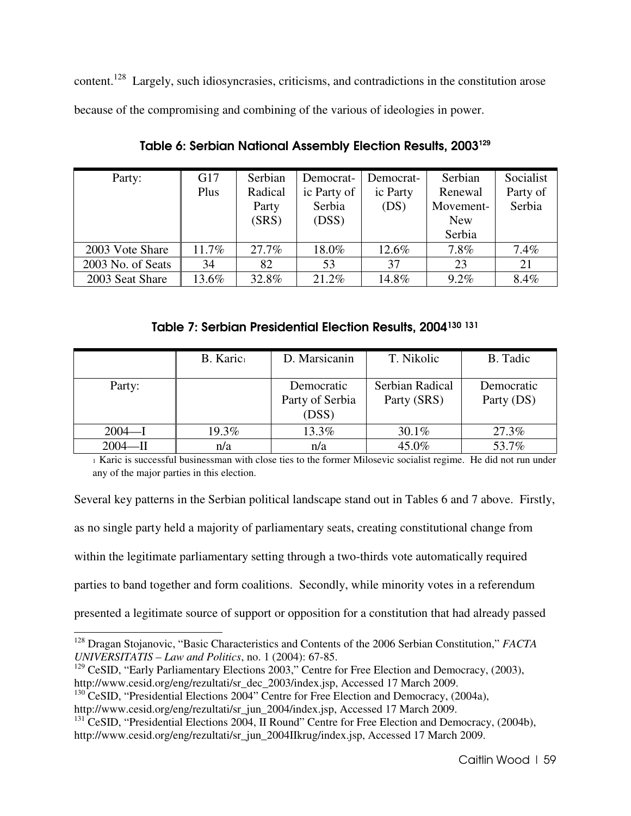content.<sup>128</sup> Largely, such idiosyncrasies, criticisms, and contradictions in the constitution arose because of the compromising and combining of the various of ideologies in power.

| Party:            | G17   | Serbian | Democrat-   | Democrat- | Serbian    | Socialist |
|-------------------|-------|---------|-------------|-----------|------------|-----------|
|                   | Plus  | Radical | ic Party of | ic Party  | Renewal    | Party of  |
|                   |       | Party   | Serbia      | (DS)      | Movement-  | Serbia    |
|                   |       | (SRS)   | (DSS)       |           | <b>New</b> |           |
|                   |       |         |             |           | Serbia     |           |
| 2003 Vote Share   | 11.7% | 27.7%   | 18.0%       | 12.6%     | 7.8%       | 7.4%      |
| 2003 No. of Seats | 34    | 82      | 53          | 37        | 23         | 21        |
| 2003 Seat Share   | 13.6% | 32.8%   | 21.2%       | 14.8%     | $9.2\%$    | 8.4%      |

Table 6: Serbian National Assembly Election Results, 2003**<sup>129</sup>**

Table 7: Serbian Presidential Election Results, 2004<sup>130</sup> <sup>131</sup>

|            | B. Karic <sub>1</sub> | D. Marsicanin                          | T. Nikolic                     | B. Tadic                 |
|------------|-----------------------|----------------------------------------|--------------------------------|--------------------------|
| Party:     |                       | Democratic<br>Party of Serbia<br>(DSS) | Serbian Radical<br>Party (SRS) | Democratic<br>Party (DS) |
| $2004 - I$ | 19.3%                 | 13.3%                                  | $30.1\%$                       | 27.3%                    |
| $2004 - D$ | n/a                   | n/a                                    | 45.0%                          | 53.7%                    |

<sup>1</sup> Karic is successful businessman with close ties to the former Milosevic socialist regime. He did not run under any of the major parties in this election.

Several key patterns in the Serbian political landscape stand out in Tables 6 and 7 above. Firstly,

as no single party held a majority of parliamentary seats, creating constitutional change from

within the legitimate parliamentary setting through a two-thirds vote automatically required

parties to band together and form coalitions. Secondly, while minority votes in a referendum

presented a legitimate source of support or opposition for a constitution that had already passed

http://www.cesid.org/eng/rezultati/sr\_jun\_2004/index.jsp, Accessed 17 March 2009.

<sup>128</sup> Dragan Stojanovic, "Basic Characteristics and Contents of the 2006 Serbian Constitution," *FACTA UNIVERSITATIS – Law and Politics*, no. 1 (2004): 67-85.

<sup>&</sup>lt;sup>129</sup> CeSID, "Early Parliamentary Elections 2003," Centre for Free Election and Democracy, (2003), http://www.cesid.org/eng/rezultati/sr\_dec\_2003/index.jsp, Accessed 17 March 2009.

 $130$  CeSID, "Presidential Elections 2004" Centre for Free Election and Democracy, (2004a),

<sup>&</sup>lt;sup>131</sup> CeSID, "Presidential Elections 2004, II Round" Centre for Free Election and Democracy, (2004b), http://www.cesid.org/eng/rezultati/sr\_jun\_2004IIkrug/index.jsp, Accessed 17 March 2009.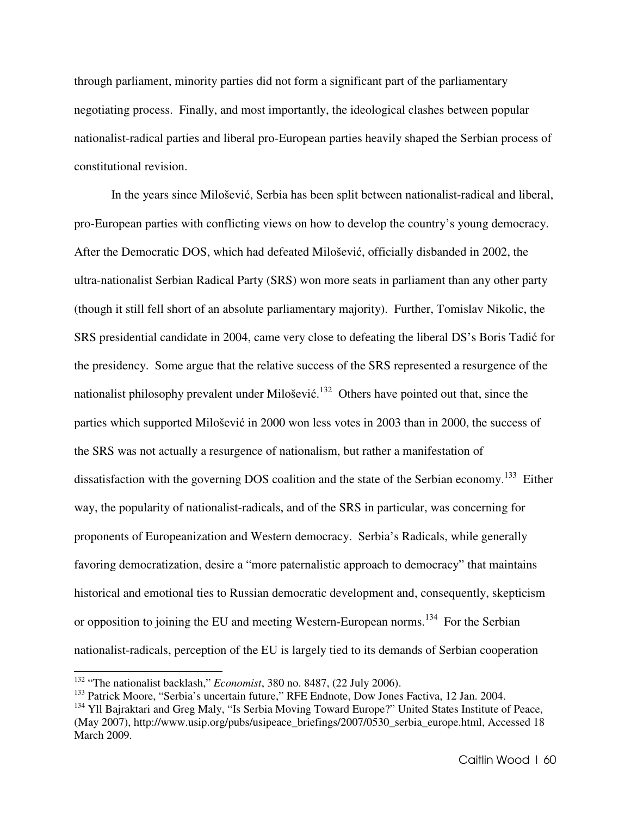through parliament, minority parties did not form a significant part of the parliamentary negotiating process. Finally, and most importantly, the ideological clashes between popular nationalist-radical parties and liberal pro-European parties heavily shaped the Serbian process of constitutional revision.

In the years since Milošević, Serbia has been split between nationalist-radical and liberal, pro-European parties with conflicting views on how to develop the country's young democracy. After the Democratic DOS, which had defeated Milošević, officially disbanded in 2002, the ultra-nationalist Serbian Radical Party (SRS) won more seats in parliament than any other party (though it still fell short of an absolute parliamentary majority). Further, Tomislav Nikolic, the SRS presidential candidate in 2004, came very close to defeating the liberal DS's Boris Tadić for the presidency. Some argue that the relative success of the SRS represented a resurgence of the nationalist philosophy prevalent under Milošević.<sup>132</sup> Others have pointed out that, since the parties which supported Milošević in 2000 won less votes in 2003 than in 2000, the success of the SRS was not actually a resurgence of nationalism, but rather a manifestation of dissatisfaction with the governing DOS coalition and the state of the Serbian economy.<sup>133</sup> Either way, the popularity of nationalist-radicals, and of the SRS in particular, was concerning for proponents of Europeanization and Western democracy. Serbia's Radicals, while generally favoring democratization, desire a "more paternalistic approach to democracy" that maintains historical and emotional ties to Russian democratic development and, consequently, skepticism or opposition to joining the EU and meeting Western-European norms.<sup>134</sup> For the Serbian nationalist-radicals, perception of the EU is largely tied to its demands of Serbian cooperation

<sup>132</sup> "The nationalist backlash," *Economist*, 380 no. 8487, (22 July 2006).

<sup>&</sup>lt;sup>133</sup> Patrick Moore, "Serbia's uncertain future," RFE Endnote, Dow Jones Factiva, 12 Jan. 2004.

<sup>&</sup>lt;sup>134</sup> Yll Bajraktari and Greg Maly, "Is Serbia Moving Toward Europe?" United States Institute of Peace, (May 2007), http://www.usip.org/pubs/usipeace\_briefings/2007/0530\_serbia\_europe.html, Accessed 18 March 2009.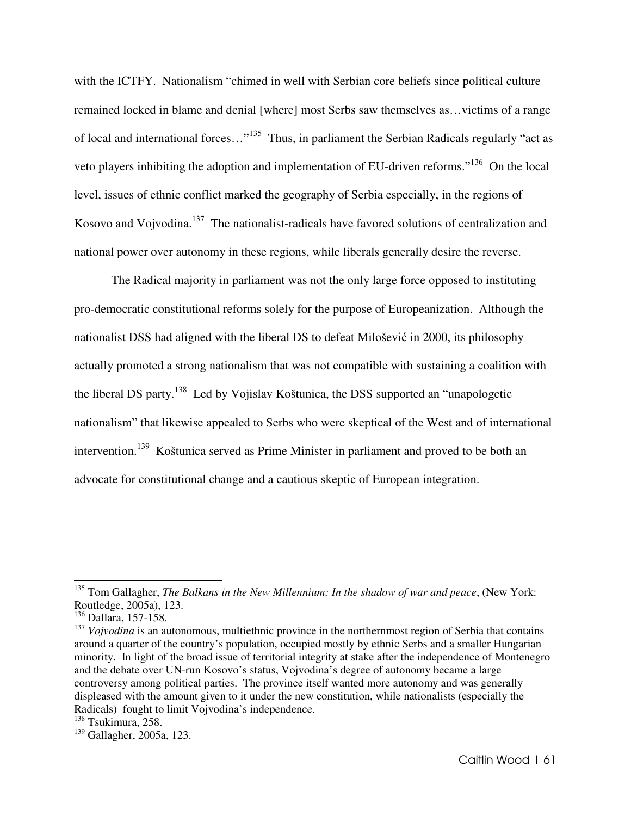with the ICTFY. Nationalism "chimed in well with Serbian core beliefs since political culture remained locked in blame and denial [where] most Serbs saw themselves as…victims of a range of local and international forces…"<sup>135</sup> Thus, in parliament the Serbian Radicals regularly "act as veto players inhibiting the adoption and implementation of EU-driven reforms."<sup>136</sup> On the local level, issues of ethnic conflict marked the geography of Serbia especially, in the regions of Kosovo and Vojvodina.<sup>137</sup> The nationalist-radicals have favored solutions of centralization and national power over autonomy in these regions, while liberals generally desire the reverse.

The Radical majority in parliament was not the only large force opposed to instituting pro-democratic constitutional reforms solely for the purpose of Europeanization. Although the nationalist DSS had aligned with the liberal DS to defeat Milošević in 2000, its philosophy actually promoted a strong nationalism that was not compatible with sustaining a coalition with the liberal DS party.<sup>138</sup> Led by Vojislav Koštunica, the DSS supported an "unapologetic nationalism" that likewise appealed to Serbs who were skeptical of the West and of international intervention.<sup>139</sup> Koštunica served as Prime Minister in parliament and proved to be both an advocate for constitutional change and a cautious skeptic of European integration.

<sup>135</sup> Tom Gallagher, *The Balkans in the New Millennium: In the shadow of war and peace*, (New York: Routledge, 2005a), 123.

<sup>136</sup> Dallara, 157-158.

<sup>&</sup>lt;sup>137</sup> *Voivodina* is an autonomous, multiethnic province in the northernmost region of Serbia that contains around a quarter of the country's population, occupied mostly by ethnic Serbs and a smaller Hungarian minority. In light of the broad issue of territorial integrity at stake after the independence of Montenegro and the debate over UN-run Kosovo's status, Vojvodina's degree of autonomy became a large controversy among political parties. The province itself wanted more autonomy and was generally displeased with the amount given to it under the new constitution, while nationalists (especially the Radicals) fought to limit Vojvodina's independence.

<sup>&</sup>lt;sup>138</sup> Tsukimura, 258.

<sup>139</sup> Gallagher, 2005a, 123.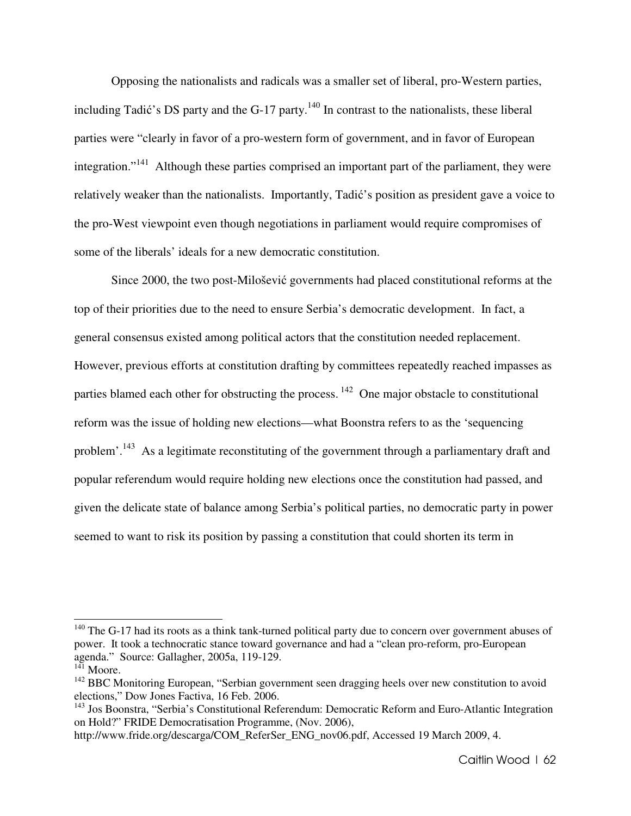Opposing the nationalists and radicals was a smaller set of liberal, pro-Western parties, including Tadić's DS party and the G-17 party.<sup>140</sup> In contrast to the nationalists, these liberal parties were "clearly in favor of a pro-western form of government, and in favor of European integration."<sup>141</sup> Although these parties comprised an important part of the parliament, they were relatively weaker than the nationalists. Importantly, Tadić's position as president gave a voice to the pro-West viewpoint even though negotiations in parliament would require compromises of some of the liberals' ideals for a new democratic constitution.

Since 2000, the two post-Milošević governments had placed constitutional reforms at the top of their priorities due to the need to ensure Serbia's democratic development. In fact, a general consensus existed among political actors that the constitution needed replacement. However, previous efforts at constitution drafting by committees repeatedly reached impasses as parties blamed each other for obstructing the process.<sup>142</sup> One major obstacle to constitutional reform was the issue of holding new elections—what Boonstra refers to as the 'sequencing problem'.<sup>143</sup> As a legitimate reconstituting of the government through a parliamentary draft and popular referendum would require holding new elections once the constitution had passed, and given the delicate state of balance among Serbia's political parties, no democratic party in power seemed to want to risk its position by passing a constitution that could shorten its term in

 $140$  The G-17 had its roots as a think tank-turned political party due to concern over government abuses of power. It took a technocratic stance toward governance and had a "clean pro-reform, pro-European agenda." Source: Gallagher, 2005a, 119-129.

<sup>&</sup>lt;sup>141</sup> Moore.

<sup>&</sup>lt;sup>142</sup> BBC Monitoring European, "Serbian government seen dragging heels over new constitution to avoid elections," Dow Jones Factiva, 16 Feb. 2006.

<sup>&</sup>lt;sup>143</sup> Jos Boonstra, "Serbia's Constitutional Referendum: Democratic Reform and Euro-Atlantic Integration on Hold?" FRIDE Democratisation Programme, (Nov. 2006),

http://www.fride.org/descarga/COM\_ReferSer\_ENG\_nov06.pdf, Accessed 19 March 2009, 4.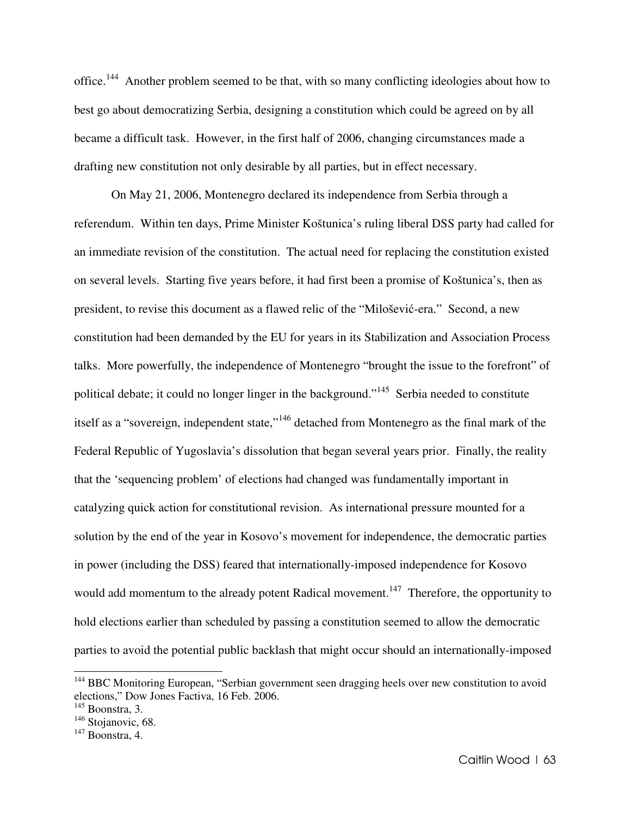office.<sup>144</sup> Another problem seemed to be that, with so many conflicting ideologies about how to best go about democratizing Serbia, designing a constitution which could be agreed on by all became a difficult task. However, in the first half of 2006, changing circumstances made a drafting new constitution not only desirable by all parties, but in effect necessary.

On May 21, 2006, Montenegro declared its independence from Serbia through a referendum. Within ten days, Prime Minister Koštunica's ruling liberal DSS party had called for an immediate revision of the constitution. The actual need for replacing the constitution existed on several levels. Starting five years before, it had first been a promise of Koštunica's, then as president, to revise this document as a flawed relic of the "Milošević-era." Second, a new constitution had been demanded by the EU for years in its Stabilization and Association Process talks. More powerfully, the independence of Montenegro "brought the issue to the forefront" of political debate; it could no longer linger in the background."<sup>145</sup> Serbia needed to constitute itself as a "sovereign, independent state,"<sup>146</sup> detached from Montenegro as the final mark of the Federal Republic of Yugoslavia's dissolution that began several years prior. Finally, the reality that the 'sequencing problem' of elections had changed was fundamentally important in catalyzing quick action for constitutional revision. As international pressure mounted for a solution by the end of the year in Kosovo's movement for independence, the democratic parties in power (including the DSS) feared that internationally-imposed independence for Kosovo would add momentum to the already potent Radical movement.<sup>147</sup> Therefore, the opportunity to hold elections earlier than scheduled by passing a constitution seemed to allow the democratic parties to avoid the potential public backlash that might occur should an internationally-imposed

<sup>&</sup>lt;sup>144</sup> BBC Monitoring European, "Serbian government seen dragging heels over new constitution to avoid elections," Dow Jones Factiva, 16 Feb. 2006.

<sup>145</sup> Boonstra, 3.

<sup>&</sup>lt;sup>146</sup> Stojanovic, 68.

 $147$  Boonstra, 4.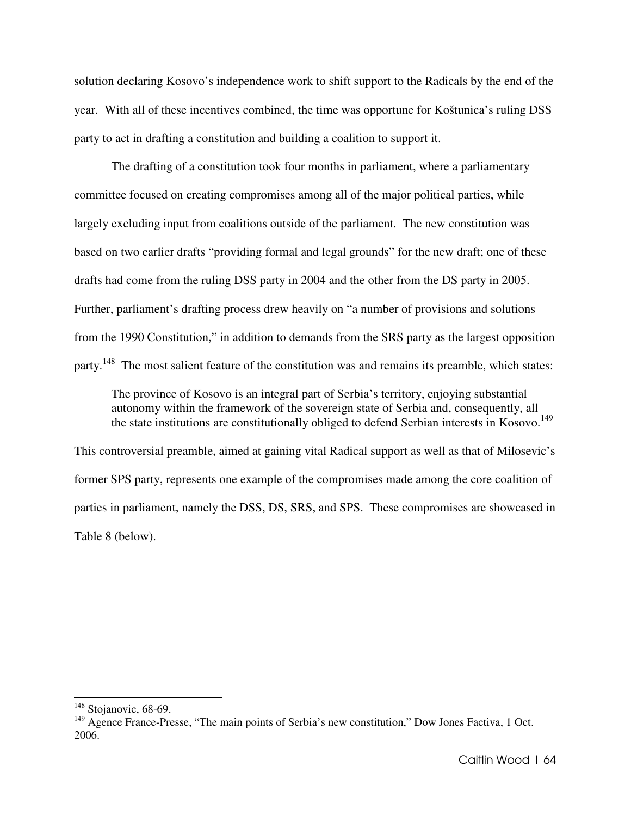solution declaring Kosovo's independence work to shift support to the Radicals by the end of the year. With all of these incentives combined, the time was opportune for Koštunica's ruling DSS party to act in drafting a constitution and building a coalition to support it.

The drafting of a constitution took four months in parliament, where a parliamentary committee focused on creating compromises among all of the major political parties, while largely excluding input from coalitions outside of the parliament. The new constitution was based on two earlier drafts "providing formal and legal grounds" for the new draft; one of these drafts had come from the ruling DSS party in 2004 and the other from the DS party in 2005. Further, parliament's drafting process drew heavily on "a number of provisions and solutions from the 1990 Constitution," in addition to demands from the SRS party as the largest opposition party.<sup>148</sup> The most salient feature of the constitution was and remains its preamble, which states:

The province of Kosovo is an integral part of Serbia's territory, enjoying substantial autonomy within the framework of the sovereign state of Serbia and, consequently, all the state institutions are constitutionally obliged to defend Serbian interests in Kosovo.<sup>149</sup>

This controversial preamble, aimed at gaining vital Radical support as well as that of Milosevic's former SPS party, represents one example of the compromises made among the core coalition of parties in parliament, namely the DSS, DS, SRS, and SPS. These compromises are showcased in Table 8 (below).

<sup>&</sup>lt;sup>148</sup> Stojanovic, 68-69.

<sup>&</sup>lt;sup>149</sup> Agence France-Presse, "The main points of Serbia's new constitution," Dow Jones Factiva, 1 Oct. 2006.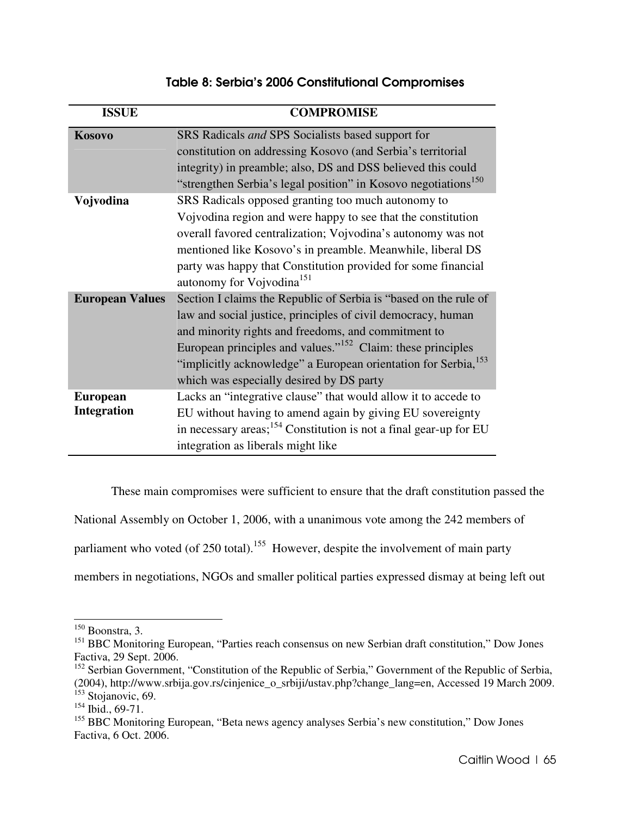# Table 8: Serbia's 2006 Constitutional Compromises

| <b>ISSUE</b>           | <b>COMPROMISE</b>                                                             |
|------------------------|-------------------------------------------------------------------------------|
| Kosovo                 | SRS Radicals and SPS Socialists based support for                             |
|                        | constitution on addressing Kosovo (and Serbia's territorial                   |
|                        | integrity) in preamble; also, DS and DSS believed this could                  |
|                        | "strengthen Serbia's legal position" in Kosovo negotiations <sup>150</sup>    |
| Vojvodina              | SRS Radicals opposed granting too much autonomy to                            |
|                        | Vojvodina region and were happy to see that the constitution                  |
|                        | overall favored centralization; Vojvodina's autonomy was not                  |
|                        | mentioned like Kosovo's in preamble. Meanwhile, liberal DS                    |
|                        | party was happy that Constitution provided for some financial                 |
|                        | autonomy for Vojvodina <sup>151</sup>                                         |
| <b>European Values</b> | Section I claims the Republic of Serbia is "based on the rule of              |
|                        | law and social justice, principles of civil democracy, human                  |
|                        | and minority rights and freedoms, and commitment to                           |
|                        | European principles and values." <sup>152</sup> Claim: these principles       |
|                        | "implicitly acknowledge" a European orientation for Serbia, <sup>153</sup>    |
|                        | which was especially desired by DS party                                      |
| <b>European</b>        | Lacks an "integrative clause" that would allow it to accede to                |
| <b>Integration</b>     | EU without having to amend again by giving EU sovereignty                     |
|                        | in necessary areas; <sup>154</sup> Constitution is not a final gear-up for EU |
|                        | integration as liberals might like                                            |

These main compromises were sufficient to ensure that the draft constitution passed the

National Assembly on October 1, 2006, with a unanimous vote among the 242 members of

parliament who voted (of 250 total).<sup>155</sup> However, despite the involvement of main party

members in negotiations, NGOs and smaller political parties expressed dismay at being left out

 $150$  Boonstra, 3.

<sup>&</sup>lt;sup>151</sup> BBC Monitoring European, "Parties reach consensus on new Serbian draft constitution," Dow Jones Factiva, 29 Sept. 2006.

<sup>&</sup>lt;sup>152</sup> Serbian Government, "Constitution of the Republic of Serbia," Government of the Republic of Serbia,

<sup>(2004),</sup> http://www.srbija.gov.rs/cinjenice\_o\_srbiji/ustav.php?change\_lang=en, Accessed 19 March 2009. <sup>153</sup> Stojanovic, 69.

 $154$  Ibid., 69-71.

<sup>&</sup>lt;sup>155</sup> BBC Monitoring European, "Beta news agency analyses Serbia's new constitution," Dow Jones Factiva, 6 Oct. 2006.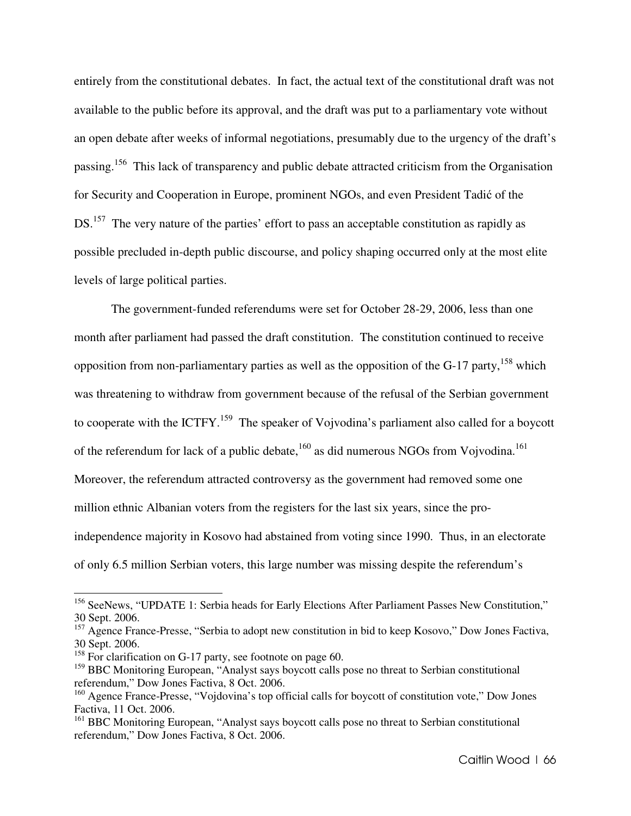entirely from the constitutional debates. In fact, the actual text of the constitutional draft was not available to the public before its approval, and the draft was put to a parliamentary vote without an open debate after weeks of informal negotiations, presumably due to the urgency of the draft's passing.<sup>156</sup> This lack of transparency and public debate attracted criticism from the Organisation for Security and Cooperation in Europe, prominent NGOs, and even President Tadić of the DS.<sup>157</sup> The very nature of the parties' effort to pass an acceptable constitution as rapidly as possible precluded in-depth public discourse, and policy shaping occurred only at the most elite levels of large political parties.

The government-funded referendums were set for October 28-29, 2006, less than one month after parliament had passed the draft constitution. The constitution continued to receive opposition from non-parliamentary parties as well as the opposition of the  $G-17$  party,<sup>158</sup> which was threatening to withdraw from government because of the refusal of the Serbian government to cooperate with the ICTFY.<sup>159</sup> The speaker of Vojvodina's parliament also called for a boycott of the referendum for lack of a public debate,  $^{160}$  as did numerous NGOs from Vojvodina.<sup>161</sup> Moreover, the referendum attracted controversy as the government had removed some one million ethnic Albanian voters from the registers for the last six years, since the proindependence majority in Kosovo had abstained from voting since 1990. Thus, in an electorate of only 6.5 million Serbian voters, this large number was missing despite the referendum's

<sup>&</sup>lt;sup>156</sup> SeeNews, "UPDATE 1: Serbia heads for Early Elections After Parliament Passes New Constitution," 30 Sept. 2006.

 $157$  Agence France-Presse, "Serbia to adopt new constitution in bid to keep Kosovo," Dow Jones Factiva, 30 Sept. 2006.

<sup>&</sup>lt;sup>158</sup> For clarification on G-17 party, see footnote on page 60.

<sup>&</sup>lt;sup>159</sup> BBC Monitoring European, "Analyst says boycott calls pose no threat to Serbian constitutional referendum," Dow Jones Factiva, 8 Oct. 2006.

<sup>&</sup>lt;sup>160</sup> Agence France-Presse, "Vojdovina's top official calls for boycott of constitution vote," Dow Jones Factiva, 11 Oct. 2006.

<sup>&</sup>lt;sup>161</sup> BBC Monitoring European, "Analyst says boycott calls pose no threat to Serbian constitutional referendum," Dow Jones Factiva, 8 Oct. 2006.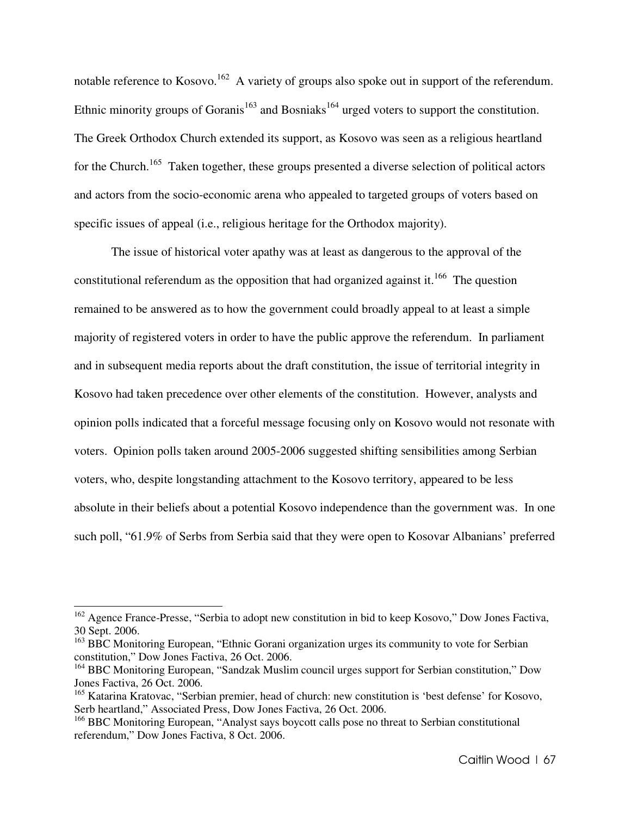notable reference to Kosovo.<sup>162</sup> A variety of groups also spoke out in support of the referendum. Ethnic minority groups of Goranis<sup>163</sup> and Bosniaks<sup>164</sup> urged voters to support the constitution. The Greek Orthodox Church extended its support, as Kosovo was seen as a religious heartland for the Church.<sup>165</sup> Taken together, these groups presented a diverse selection of political actors and actors from the socio-economic arena who appealed to targeted groups of voters based on specific issues of appeal (i.e., religious heritage for the Orthodox majority).

The issue of historical voter apathy was at least as dangerous to the approval of the constitutional referendum as the opposition that had organized against it.<sup>166</sup> The question remained to be answered as to how the government could broadly appeal to at least a simple majority of registered voters in order to have the public approve the referendum. In parliament and in subsequent media reports about the draft constitution, the issue of territorial integrity in Kosovo had taken precedence over other elements of the constitution. However, analysts and opinion polls indicated that a forceful message focusing only on Kosovo would not resonate with voters. Opinion polls taken around 2005-2006 suggested shifting sensibilities among Serbian voters, who, despite longstanding attachment to the Kosovo territory, appeared to be less absolute in their beliefs about a potential Kosovo independence than the government was. In one such poll, "61.9% of Serbs from Serbia said that they were open to Kosovar Albanians' preferred

<sup>&</sup>lt;sup>162</sup> Agence France-Presse, "Serbia to adopt new constitution in bid to keep Kosovo," Dow Jones Factiva, 30 Sept. 2006.

<sup>&</sup>lt;sup>163</sup> BBC Monitoring European, "Ethnic Gorani organization urges its community to vote for Serbian constitution," Dow Jones Factiva, 26 Oct. 2006.

<sup>&</sup>lt;sup>164</sup> BBC Monitoring European, "Sandzak Muslim council urges support for Serbian constitution," Dow Jones Factiva, 26 Oct. 2006.

<sup>&</sup>lt;sup>165</sup> Katarina Kratovac, "Serbian premier, head of church: new constitution is 'best defense' for Kosovo, Serb heartland," Associated Press, Dow Jones Factiva, 26 Oct. 2006.

<sup>&</sup>lt;sup>166</sup> BBC Monitoring European, "Analyst says boycott calls pose no threat to Serbian constitutional referendum," Dow Jones Factiva, 8 Oct. 2006.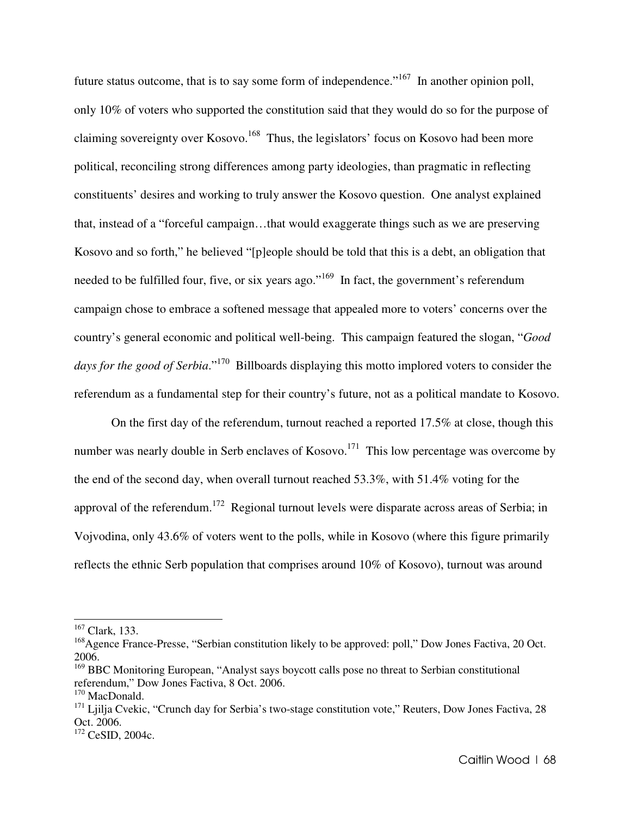future status outcome, that is to say some form of independence."<sup>167</sup> In another opinion poll, only 10% of voters who supported the constitution said that they would do so for the purpose of claiming sovereignty over Kosovo.<sup>168</sup> Thus, the legislators' focus on Kosovo had been more political, reconciling strong differences among party ideologies, than pragmatic in reflecting constituents' desires and working to truly answer the Kosovo question. One analyst explained that, instead of a "forceful campaign…that would exaggerate things such as we are preserving Kosovo and so forth," he believed "[p]eople should be told that this is a debt, an obligation that needed to be fulfilled four, five, or six years ago."<sup>169</sup> In fact, the government's referendum campaign chose to embrace a softened message that appealed more to voters' concerns over the country's general economic and political well-being. This campaign featured the slogan, "*Good*  days for the good of Serbia."<sup>170</sup> Billboards displaying this motto implored voters to consider the referendum as a fundamental step for their country's future, not as a political mandate to Kosovo.

On the first day of the referendum, turnout reached a reported 17.5% at close, though this number was nearly double in Serb enclaves of Kosovo.<sup>171</sup> This low percentage was overcome by the end of the second day, when overall turnout reached 53.3%, with 51.4% voting for the approval of the referendum.<sup>172</sup> Regional turnout levels were disparate across areas of Serbia; in Vojvodina, only 43.6% of voters went to the polls, while in Kosovo (where this figure primarily reflects the ethnic Serb population that comprises around 10% of Kosovo), turnout was around

<sup>167</sup> Clark, 133.

<sup>&</sup>lt;sup>168</sup>Agence France-Presse, "Serbian constitution likely to be approved: poll," Dow Jones Factiva, 20 Oct. 2006.

<sup>&</sup>lt;sup>169</sup> BBC Monitoring European, "Analyst says boycott calls pose no threat to Serbian constitutional referendum," Dow Jones Factiva, 8 Oct. 2006.

 $170$  MacDonald.

<sup>&</sup>lt;sup>171</sup> Liilia Cvekic, "Crunch day for Serbia's two-stage constitution vote," Reuters, Dow Jones Factiva, 28 Oct. 2006.

<sup>172</sup> CeSID, 2004c.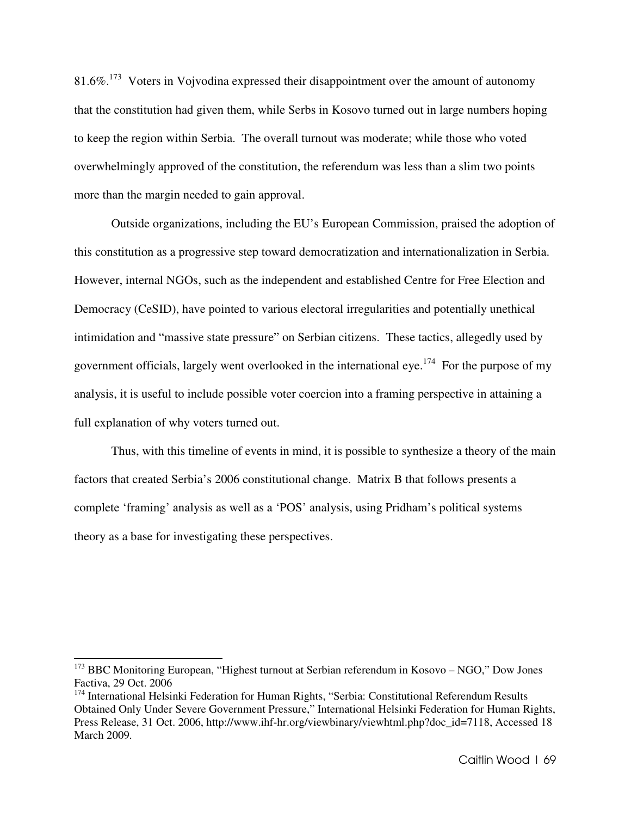81.6%.<sup>173</sup> Voters in Vojvodina expressed their disappointment over the amount of autonomy that the constitution had given them, while Serbs in Kosovo turned out in large numbers hoping to keep the region within Serbia. The overall turnout was moderate; while those who voted overwhelmingly approved of the constitution, the referendum was less than a slim two points more than the margin needed to gain approval.

Outside organizations, including the EU's European Commission, praised the adoption of this constitution as a progressive step toward democratization and internationalization in Serbia. However, internal NGOs, such as the independent and established Centre for Free Election and Democracy (CeSID), have pointed to various electoral irregularities and potentially unethical intimidation and "massive state pressure" on Serbian citizens. These tactics, allegedly used by government officials, largely went overlooked in the international eye.<sup>174</sup> For the purpose of my analysis, it is useful to include possible voter coercion into a framing perspective in attaining a full explanation of why voters turned out.

Thus, with this timeline of events in mind, it is possible to synthesize a theory of the main factors that created Serbia's 2006 constitutional change. Matrix B that follows presents a complete 'framing' analysis as well as a 'POS' analysis, using Pridham's political systems theory as a base for investigating these perspectives.

<sup>&</sup>lt;sup>173</sup> BBC Monitoring European, "Highest turnout at Serbian referendum in Kosovo – NGO," Dow Jones Factiva, 29 Oct. 2006

<sup>&</sup>lt;sup>174</sup> International Helsinki Federation for Human Rights, "Serbia: Constitutional Referendum Results Obtained Only Under Severe Government Pressure," International Helsinki Federation for Human Rights, Press Release, 31 Oct. 2006, http://www.ihf-hr.org/viewbinary/viewhtml.php?doc\_id=7118, Accessed 18 March 2009.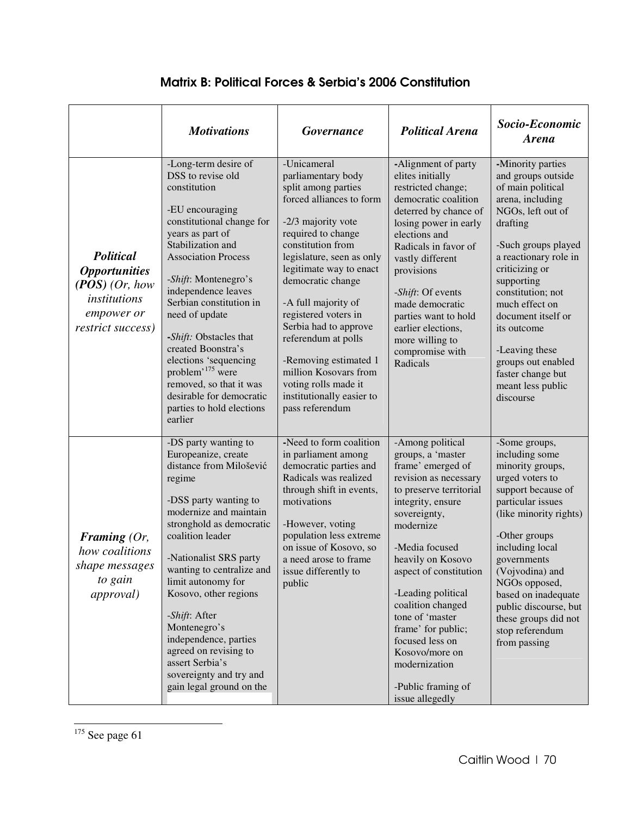# Matrix B: Political Forces & Serbia's 2006 Constitution

|                                                                                                                        | <b>Motivations</b>                                                                                                                                                                                                                                                                                                                                                                                                                                                                    | <b>Governance</b>                                                                                                                                                                                                                                                                                                                                                                                                                                           | <b>Political Arena</b>                                                                                                                                                                                                                                                                                                                                                                                               | Socio-Economic<br><b>Arena</b>                                                                                                                                                                                                                                                                                                                                               |
|------------------------------------------------------------------------------------------------------------------------|---------------------------------------------------------------------------------------------------------------------------------------------------------------------------------------------------------------------------------------------------------------------------------------------------------------------------------------------------------------------------------------------------------------------------------------------------------------------------------------|-------------------------------------------------------------------------------------------------------------------------------------------------------------------------------------------------------------------------------------------------------------------------------------------------------------------------------------------------------------------------------------------------------------------------------------------------------------|----------------------------------------------------------------------------------------------------------------------------------------------------------------------------------------------------------------------------------------------------------------------------------------------------------------------------------------------------------------------------------------------------------------------|------------------------------------------------------------------------------------------------------------------------------------------------------------------------------------------------------------------------------------------------------------------------------------------------------------------------------------------------------------------------------|
| <b>Political</b><br><i><b>Opportunities</b></i><br>$(POS)$ (Or, how<br>institutions<br>empower or<br>restrict success) | -Long-term desire of<br>DSS to revise old<br>constitution<br>-EU encouraging<br>constitutional change for<br>years as part of<br>Stabilization and<br><b>Association Process</b><br>-Shift: Montenegro's<br>independence leaves<br>Serbian constitution in<br>need of update<br>-Shift: Obstacles that<br>created Boonstra's<br>elections 'sequencing<br>problem <sup>, 175</sup> were<br>removed, so that it was<br>desirable for democratic<br>parties to hold elections<br>earlier | -Unicameral<br>parliamentary body<br>split among parties<br>forced alliances to form<br>-2/3 majority vote<br>required to change<br>constitution from<br>legislature, seen as only<br>legitimate way to enact<br>democratic change<br>-A full majority of<br>registered voters in<br>Serbia had to approve<br>referendum at polls<br>-Removing estimated 1<br>million Kosovars from<br>voting rolls made it<br>institutionally easier to<br>pass referendum | -Alignment of party<br>elites initially<br>restricted change;<br>democratic coalition<br>deterred by chance of<br>losing power in early<br>elections and<br>Radicals in favor of<br>vastly different<br>provisions<br>-Shift: Of events<br>made democratic<br>parties want to hold<br>earlier elections,<br>more willing to<br>compromise with<br>Radicals                                                           | -Minority parties<br>and groups outside<br>of main political<br>arena, including<br>NGOs, left out of<br>drafting<br>-Such groups played<br>a reactionary role in<br>criticizing or<br>supporting<br>constitution; not<br>much effect on<br>document itself or<br>its outcome<br>-Leaving these<br>groups out enabled<br>faster change but<br>meant less public<br>discourse |
| Framing $(Or,$<br>how coalitions<br>shape messages<br>to gain<br><i>approval</i> )                                     | -DS party wanting to<br>Europeanize, create<br>distance from Milošević<br>regime<br>-DSS party wanting to<br>modernize and maintain<br>stronghold as democratic<br>coalition leader<br>-Nationalist SRS party<br>wanting to centralize and<br>limit autonomy for<br>Kosovo, other regions<br>-Shift: After<br>Montenegro's<br>independence, parties<br>agreed on revising to<br>assert Serbia's<br>sovereignty and try and<br>gain legal ground on the                                | -Need to form coalition<br>in parliament among<br>democratic parties and<br>Radicals was realized<br>through shift in events,<br>motivations<br>-However, voting<br>population less extreme<br>on issue of Kosovo, so<br>a need arose to frame<br>issue differently to<br>public                                                                                                                                                                            | -Among political<br>groups, a 'master<br>frame' emerged of<br>revision as necessary<br>to preserve territorial<br>integrity, ensure<br>sovereignty,<br>modernize<br>-Media focused<br>heavily on Kosovo<br>aspect of constitution<br>-Leading political<br>coalition changed<br>tone of 'master<br>frame' for public;<br>focused less on<br>Kosovo/more on<br>modernization<br>-Public framing of<br>issue allegedly | -Some groups,<br>including some<br>minority groups,<br>urged voters to<br>support because of<br>particular issues<br>(like minority rights)<br>-Other groups<br>including local<br>governments<br>(Vojvodina) and<br>NGOs opposed,<br>based on inadequate<br>public discourse, but<br>these groups did not<br>stop referendum<br>from passing                                |

 $175$  See page 61

l.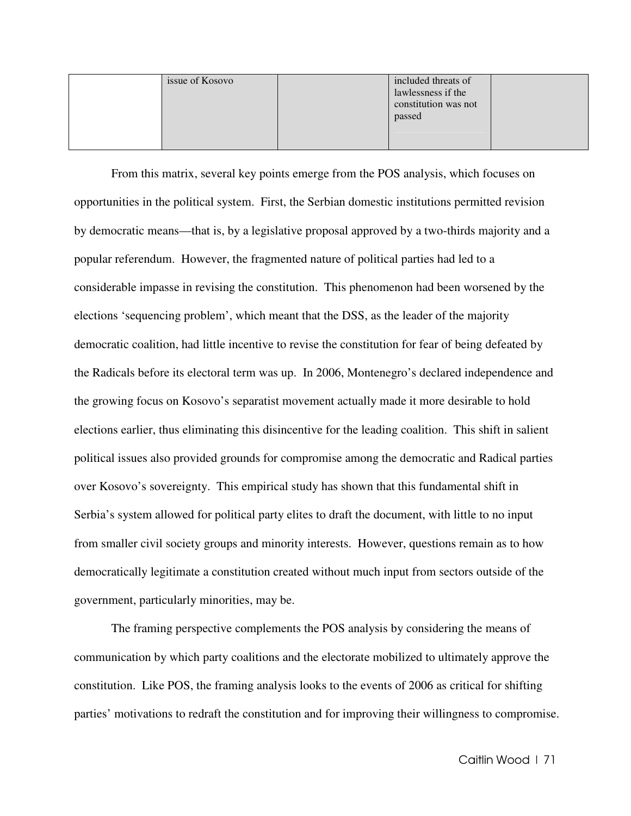| issue of Kosovo | included threats of<br>lawlessness if the<br>constitution was not<br>passed |  |
|-----------------|-----------------------------------------------------------------------------|--|
|                 |                                                                             |  |

From this matrix, several key points emerge from the POS analysis, which focuses on opportunities in the political system. First, the Serbian domestic institutions permitted revision by democratic means—that is, by a legislative proposal approved by a two-thirds majority and a popular referendum. However, the fragmented nature of political parties had led to a considerable impasse in revising the constitution. This phenomenon had been worsened by the elections 'sequencing problem', which meant that the DSS, as the leader of the majority democratic coalition, had little incentive to revise the constitution for fear of being defeated by the Radicals before its electoral term was up. In 2006, Montenegro's declared independence and the growing focus on Kosovo's separatist movement actually made it more desirable to hold elections earlier, thus eliminating this disincentive for the leading coalition. This shift in salient political issues also provided grounds for compromise among the democratic and Radical parties over Kosovo's sovereignty. This empirical study has shown that this fundamental shift in Serbia's system allowed for political party elites to draft the document, with little to no input from smaller civil society groups and minority interests. However, questions remain as to how democratically legitimate a constitution created without much input from sectors outside of the government, particularly minorities, may be.

The framing perspective complements the POS analysis by considering the means of communication by which party coalitions and the electorate mobilized to ultimately approve the constitution. Like POS, the framing analysis looks to the events of 2006 as critical for shifting parties' motivations to redraft the constitution and for improving their willingness to compromise.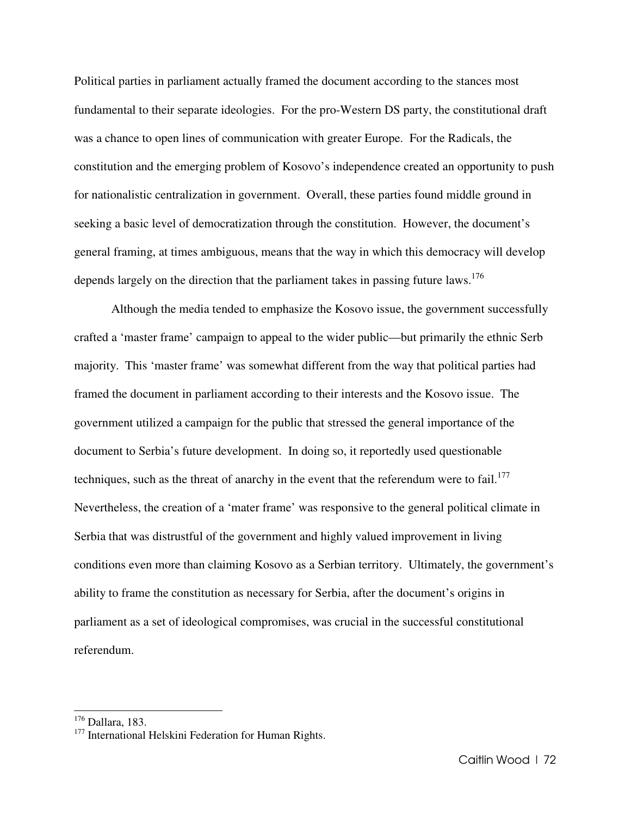Political parties in parliament actually framed the document according to the stances most fundamental to their separate ideologies. For the pro-Western DS party, the constitutional draft was a chance to open lines of communication with greater Europe. For the Radicals, the constitution and the emerging problem of Kosovo's independence created an opportunity to push for nationalistic centralization in government. Overall, these parties found middle ground in seeking a basic level of democratization through the constitution. However, the document's general framing, at times ambiguous, means that the way in which this democracy will develop depends largely on the direction that the parliament takes in passing future laws.<sup>176</sup>

Although the media tended to emphasize the Kosovo issue, the government successfully crafted a 'master frame' campaign to appeal to the wider public—but primarily the ethnic Serb majority. This 'master frame' was somewhat different from the way that political parties had framed the document in parliament according to their interests and the Kosovo issue. The government utilized a campaign for the public that stressed the general importance of the document to Serbia's future development. In doing so, it reportedly used questionable techniques, such as the threat of anarchy in the event that the referendum were to fail.<sup>177</sup> Nevertheless, the creation of a 'mater frame' was responsive to the general political climate in Serbia that was distrustful of the government and highly valued improvement in living conditions even more than claiming Kosovo as a Serbian territory. Ultimately, the government's ability to frame the constitution as necessary for Serbia, after the document's origins in parliament as a set of ideological compromises, was crucial in the successful constitutional referendum.

 $\overline{a}$ 

<sup>176</sup> Dallara, 183.

<sup>&</sup>lt;sup>177</sup> International Helskini Federation for Human Rights.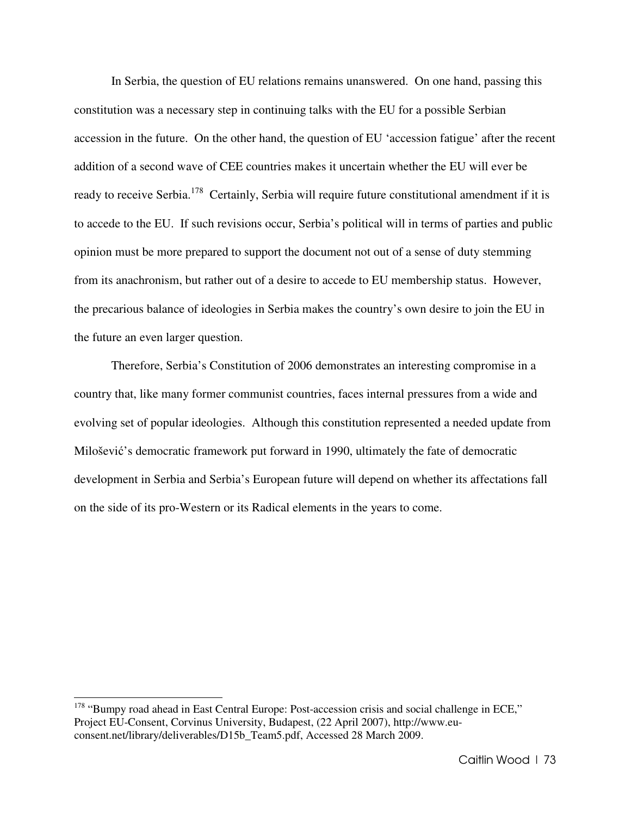In Serbia, the question of EU relations remains unanswered. On one hand, passing this constitution was a necessary step in continuing talks with the EU for a possible Serbian accession in the future. On the other hand, the question of EU 'accession fatigue' after the recent addition of a second wave of CEE countries makes it uncertain whether the EU will ever be ready to receive Serbia.<sup>178</sup> Certainly, Serbia will require future constitutional amendment if it is to accede to the EU. If such revisions occur, Serbia's political will in terms of parties and public opinion must be more prepared to support the document not out of a sense of duty stemming from its anachronism, but rather out of a desire to accede to EU membership status. However, the precarious balance of ideologies in Serbia makes the country's own desire to join the EU in the future an even larger question.

Therefore, Serbia's Constitution of 2006 demonstrates an interesting compromise in a country that, like many former communist countries, faces internal pressures from a wide and evolving set of popular ideologies. Although this constitution represented a needed update from Milošević's democratic framework put forward in 1990, ultimately the fate of democratic development in Serbia and Serbia's European future will depend on whether its affectations fall on the side of its pro-Western or its Radical elements in the years to come.

 $\overline{a}$ 

<sup>&</sup>lt;sup>178</sup> "Bumpy road ahead in East Central Europe: Post-accession crisis and social challenge in ECE," Project EU-Consent, Corvinus University, Budapest, (22 April 2007), http://www.euconsent.net/library/deliverables/D15b\_Team5.pdf, Accessed 28 March 2009.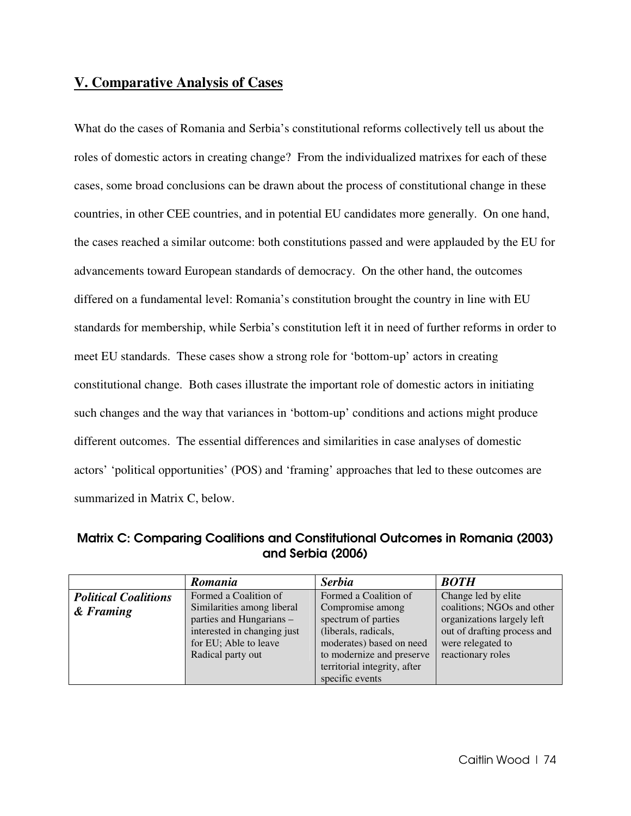# **V. Comparative Analysis of Cases**

What do the cases of Romania and Serbia's constitutional reforms collectively tell us about the roles of domestic actors in creating change? From the individualized matrixes for each of these cases, some broad conclusions can be drawn about the process of constitutional change in these countries, in other CEE countries, and in potential EU candidates more generally. On one hand, the cases reached a similar outcome: both constitutions passed and were applauded by the EU for advancements toward European standards of democracy. On the other hand, the outcomes differed on a fundamental level: Romania's constitution brought the country in line with EU standards for membership, while Serbia's constitution left it in need of further reforms in order to meet EU standards. These cases show a strong role for 'bottom-up' actors in creating constitutional change. Both cases illustrate the important role of domestic actors in initiating such changes and the way that variances in 'bottom-up' conditions and actions might produce different outcomes. The essential differences and similarities in case analyses of domestic actors' 'political opportunities' (POS) and 'framing' approaches that led to these outcomes are summarized in Matrix C, below.

Matrix C: Comparing Coalitions and Constitutional Outcomes in Romania (2003) and Serbia (2006)

|                             | <b>Romania</b>              | <b>Serbia</b>                | <b>BOTH</b>                 |
|-----------------------------|-----------------------------|------------------------------|-----------------------------|
| <b>Political Coalitions</b> | Formed a Coalition of       | Formed a Coalition of        | Change led by elite         |
| & Framing                   | Similarities among liberal  | Compromise among             | coalitions; NGOs and other  |
|                             | parties and Hungarians -    | spectrum of parties          | organizations largely left  |
|                             | interested in changing just | (liberals, radicals,         | out of drafting process and |
|                             | for EU; Able to leave       | moderates) based on need     | were relegated to           |
|                             | Radical party out           | to modernize and preserve    | reactionary roles           |
|                             |                             | territorial integrity, after |                             |
|                             |                             | specific events              |                             |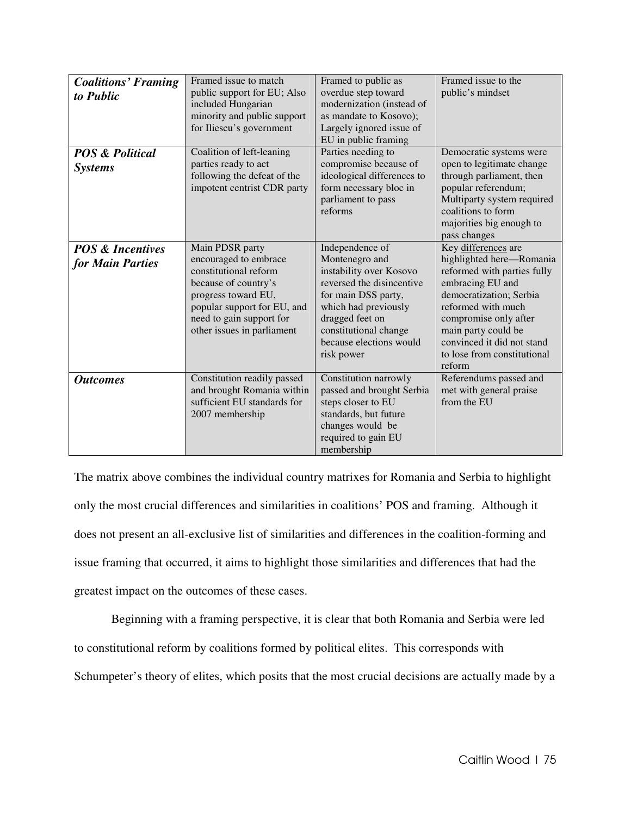| <b>Coalitions' Framing</b><br>to Public         | Framed issue to match<br>public support for EU; Also<br>included Hungarian<br>minority and public support<br>for Iliescu's government                                                                     | Framed to public as<br>overdue step toward<br>modernization (instead of<br>as mandate to Kosovo);<br>Largely ignored issue of<br>EU in public framing                                                                         | Framed issue to the<br>public's mindset                                                                                                                                                                                                                                    |
|-------------------------------------------------|-----------------------------------------------------------------------------------------------------------------------------------------------------------------------------------------------------------|-------------------------------------------------------------------------------------------------------------------------------------------------------------------------------------------------------------------------------|----------------------------------------------------------------------------------------------------------------------------------------------------------------------------------------------------------------------------------------------------------------------------|
| <b>POS &amp; Political</b><br><b>Systems</b>    | Coalition of left-leaning<br>parties ready to act<br>following the defeat of the<br>impotent centrist CDR party                                                                                           | Parties needing to<br>compromise because of<br>ideological differences to<br>form necessary bloc in<br>parliament to pass<br>reforms                                                                                          | Democratic systems were<br>open to legitimate change<br>through parliament, then<br>popular referendum;<br>Multiparty system required<br>coalitions to form<br>majorities big enough to<br>pass changes                                                                    |
| <b>POS &amp; Incentives</b><br>for Main Parties | Main PDSR party<br>encouraged to embrace<br>constitutional reform<br>because of country's<br>progress toward EU,<br>popular support for EU, and<br>need to gain support for<br>other issues in parliament | Independence of<br>Montenegro and<br>instability over Kosovo<br>reversed the disincentive<br>for main DSS party,<br>which had previously<br>dragged feet on<br>constitutional change<br>because elections would<br>risk power | Key differences are<br>highlighted here—Romania<br>reformed with parties fully<br>embracing EU and<br>democratization; Serbia<br>reformed with much<br>compromise only after<br>main party could be<br>convinced it did not stand<br>to lose from constitutional<br>reform |
| <b>Outcomes</b>                                 | Constitution readily passed<br>and brought Romania within<br>sufficient EU standards for<br>2007 membership                                                                                               | Constitution narrowly<br>passed and brought Serbia<br>steps closer to EU<br>standards, but future<br>changes would be<br>required to gain EU<br>membership                                                                    | Referendums passed and<br>met with general praise<br>from the EU                                                                                                                                                                                                           |

The matrix above combines the individual country matrixes for Romania and Serbia to highlight only the most crucial differences and similarities in coalitions' POS and framing. Although it does not present an all-exclusive list of similarities and differences in the coalition-forming and issue framing that occurred, it aims to highlight those similarities and differences that had the greatest impact on the outcomes of these cases.

 Beginning with a framing perspective, it is clear that both Romania and Serbia were led to constitutional reform by coalitions formed by political elites. This corresponds with Schumpeter's theory of elites, which posits that the most crucial decisions are actually made by a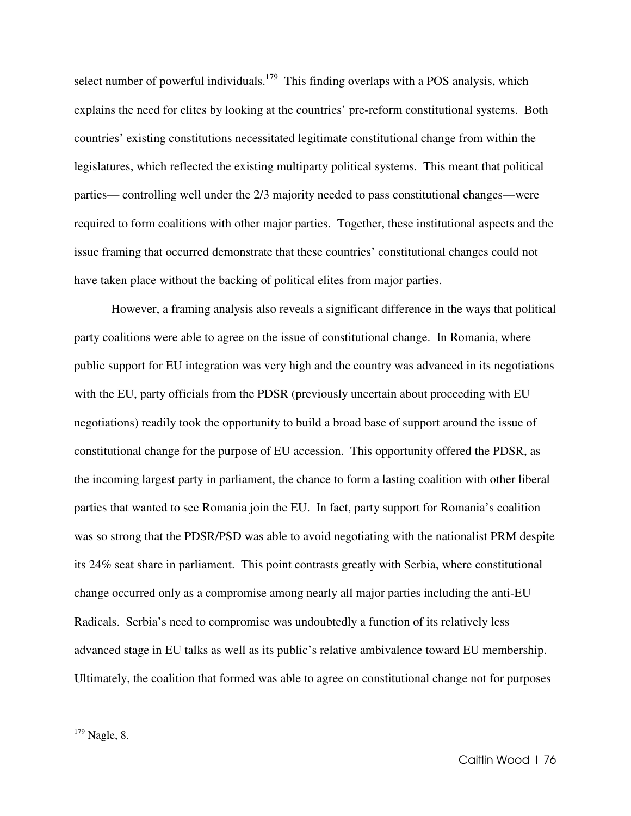select number of powerful individuals.<sup>179</sup> This finding overlaps with a POS analysis, which explains the need for elites by looking at the countries' pre-reform constitutional systems. Both countries' existing constitutions necessitated legitimate constitutional change from within the legislatures, which reflected the existing multiparty political systems. This meant that political parties— controlling well under the 2/3 majority needed to pass constitutional changes—were required to form coalitions with other major parties. Together, these institutional aspects and the issue framing that occurred demonstrate that these countries' constitutional changes could not have taken place without the backing of political elites from major parties.

 However, a framing analysis also reveals a significant difference in the ways that political party coalitions were able to agree on the issue of constitutional change. In Romania, where public support for EU integration was very high and the country was advanced in its negotiations with the EU, party officials from the PDSR (previously uncertain about proceeding with EU negotiations) readily took the opportunity to build a broad base of support around the issue of constitutional change for the purpose of EU accession. This opportunity offered the PDSR, as the incoming largest party in parliament, the chance to form a lasting coalition with other liberal parties that wanted to see Romania join the EU. In fact, party support for Romania's coalition was so strong that the PDSR/PSD was able to avoid negotiating with the nationalist PRM despite its 24% seat share in parliament. This point contrasts greatly with Serbia, where constitutional change occurred only as a compromise among nearly all major parties including the anti-EU Radicals. Serbia's need to compromise was undoubtedly a function of its relatively less advanced stage in EU talks as well as its public's relative ambivalence toward EU membership. Ultimately, the coalition that formed was able to agree on constitutional change not for purposes

l.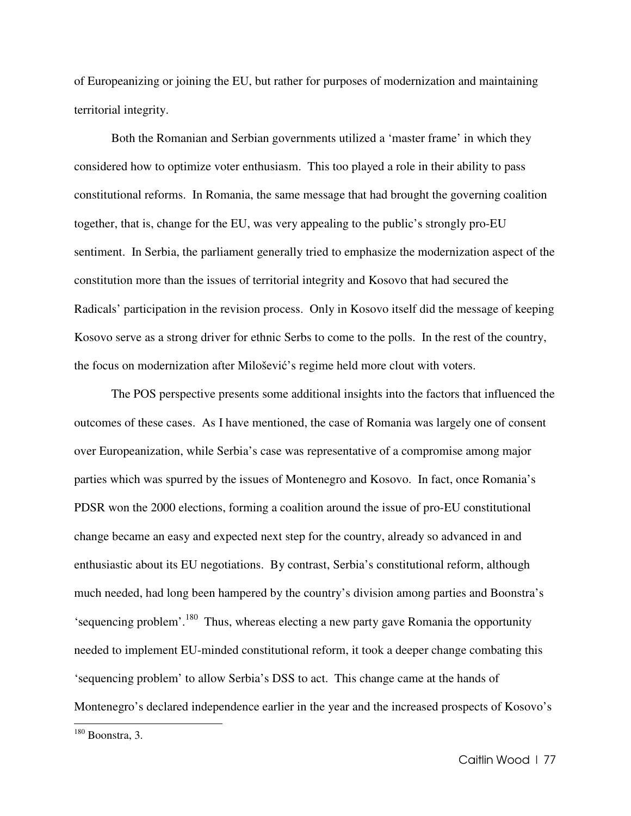of Europeanizing or joining the EU, but rather for purposes of modernization and maintaining territorial integrity.

Both the Romanian and Serbian governments utilized a 'master frame' in which they considered how to optimize voter enthusiasm. This too played a role in their ability to pass constitutional reforms. In Romania, the same message that had brought the governing coalition together, that is, change for the EU, was very appealing to the public's strongly pro-EU sentiment. In Serbia, the parliament generally tried to emphasize the modernization aspect of the constitution more than the issues of territorial integrity and Kosovo that had secured the Radicals' participation in the revision process. Only in Kosovo itself did the message of keeping Kosovo serve as a strong driver for ethnic Serbs to come to the polls. In the rest of the country, the focus on modernization after Milošević's regime held more clout with voters.

The POS perspective presents some additional insights into the factors that influenced the outcomes of these cases. As I have mentioned, the case of Romania was largely one of consent over Europeanization, while Serbia's case was representative of a compromise among major parties which was spurred by the issues of Montenegro and Kosovo. In fact, once Romania's PDSR won the 2000 elections, forming a coalition around the issue of pro-EU constitutional change became an easy and expected next step for the country, already so advanced in and enthusiastic about its EU negotiations. By contrast, Serbia's constitutional reform, although much needed, had long been hampered by the country's division among parties and Boonstra's 'sequencing problem'.<sup>180</sup> Thus, whereas electing a new party gave Romania the opportunity needed to implement EU-minded constitutional reform, it took a deeper change combating this 'sequencing problem' to allow Serbia's DSS to act. This change came at the hands of Montenegro's declared independence earlier in the year and the increased prospects of Kosovo's

 $\overline{a}$ 

 $180$  Boonstra, 3.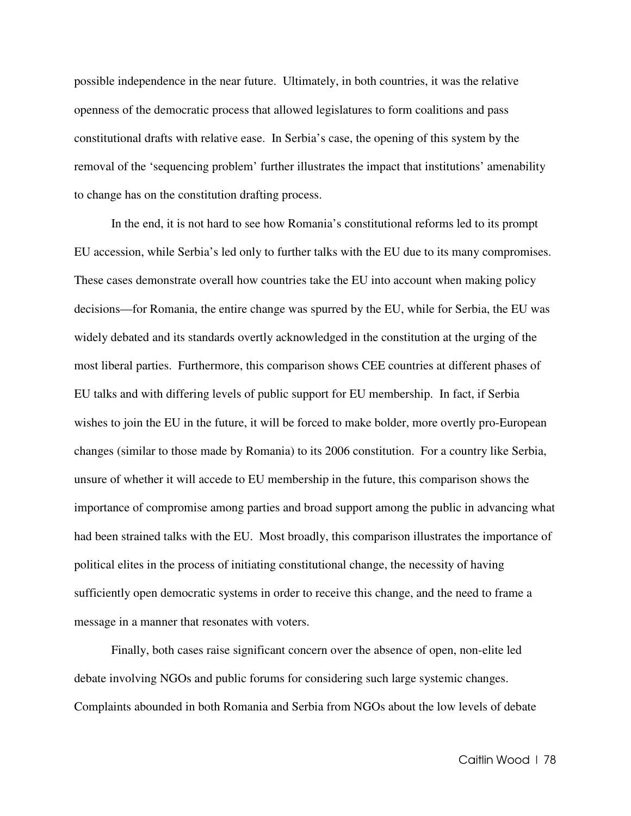possible independence in the near future. Ultimately, in both countries, it was the relative openness of the democratic process that allowed legislatures to form coalitions and pass constitutional drafts with relative ease. In Serbia's case, the opening of this system by the removal of the 'sequencing problem' further illustrates the impact that institutions' amenability to change has on the constitution drafting process.

In the end, it is not hard to see how Romania's constitutional reforms led to its prompt EU accession, while Serbia's led only to further talks with the EU due to its many compromises. These cases demonstrate overall how countries take the EU into account when making policy decisions—for Romania, the entire change was spurred by the EU, while for Serbia, the EU was widely debated and its standards overtly acknowledged in the constitution at the urging of the most liberal parties. Furthermore, this comparison shows CEE countries at different phases of EU talks and with differing levels of public support for EU membership. In fact, if Serbia wishes to join the EU in the future, it will be forced to make bolder, more overtly pro-European changes (similar to those made by Romania) to its 2006 constitution. For a country like Serbia, unsure of whether it will accede to EU membership in the future, this comparison shows the importance of compromise among parties and broad support among the public in advancing what had been strained talks with the EU. Most broadly, this comparison illustrates the importance of political elites in the process of initiating constitutional change, the necessity of having sufficiently open democratic systems in order to receive this change, and the need to frame a message in a manner that resonates with voters.

Finally, both cases raise significant concern over the absence of open, non-elite led debate involving NGOs and public forums for considering such large systemic changes. Complaints abounded in both Romania and Serbia from NGOs about the low levels of debate

Caitlin Wood | 78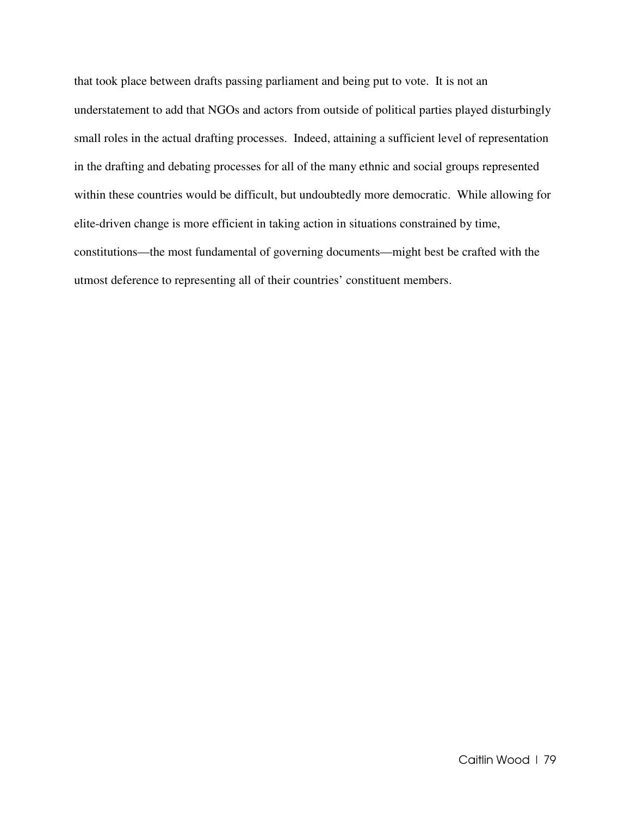that took place between drafts passing parliament and being put to vote. It is not an understatement to add that NGOs and actors from outside of political parties played disturbingly small roles in the actual drafting processes. Indeed, attaining a sufficient level of representation in the drafting and debating processes for all of the many ethnic and social groups represented within these countries would be difficult, but undoubtedly more democratic. While allowing for elite-driven change is more efficient in taking action in situations constrained by time, constitutions—the most fundamental of governing documents—might best be crafted with the utmost deference to representing all of their countries' constituent members.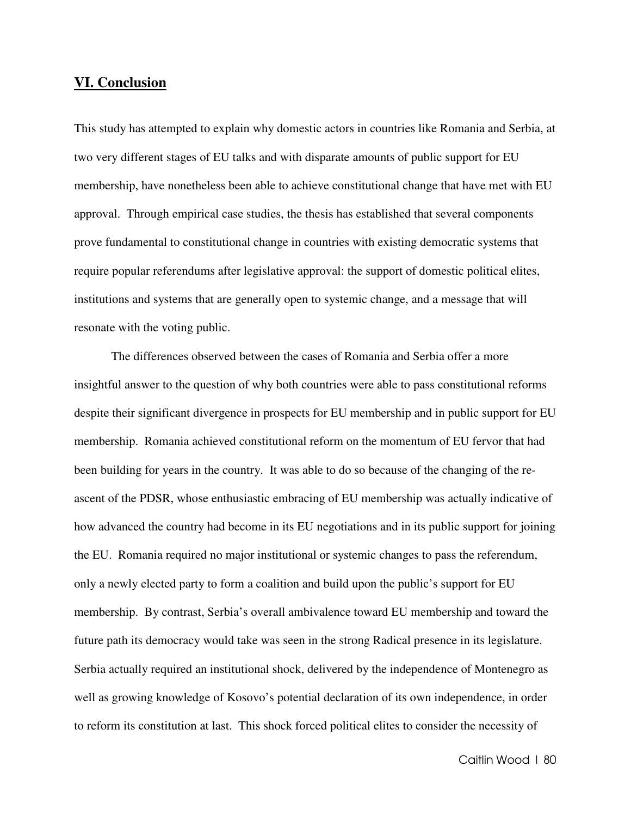### **VI. Conclusion**

This study has attempted to explain why domestic actors in countries like Romania and Serbia, at two very different stages of EU talks and with disparate amounts of public support for EU membership, have nonetheless been able to achieve constitutional change that have met with EU approval. Through empirical case studies, the thesis has established that several components prove fundamental to constitutional change in countries with existing democratic systems that require popular referendums after legislative approval: the support of domestic political elites, institutions and systems that are generally open to systemic change, and a message that will resonate with the voting public.

The differences observed between the cases of Romania and Serbia offer a more insightful answer to the question of why both countries were able to pass constitutional reforms despite their significant divergence in prospects for EU membership and in public support for EU membership. Romania achieved constitutional reform on the momentum of EU fervor that had been building for years in the country. It was able to do so because of the changing of the reascent of the PDSR, whose enthusiastic embracing of EU membership was actually indicative of how advanced the country had become in its EU negotiations and in its public support for joining the EU. Romania required no major institutional or systemic changes to pass the referendum, only a newly elected party to form a coalition and build upon the public's support for EU membership. By contrast, Serbia's overall ambivalence toward EU membership and toward the future path its democracy would take was seen in the strong Radical presence in its legislature. Serbia actually required an institutional shock, delivered by the independence of Montenegro as well as growing knowledge of Kosovo's potential declaration of its own independence, in order to reform its constitution at last. This shock forced political elites to consider the necessity of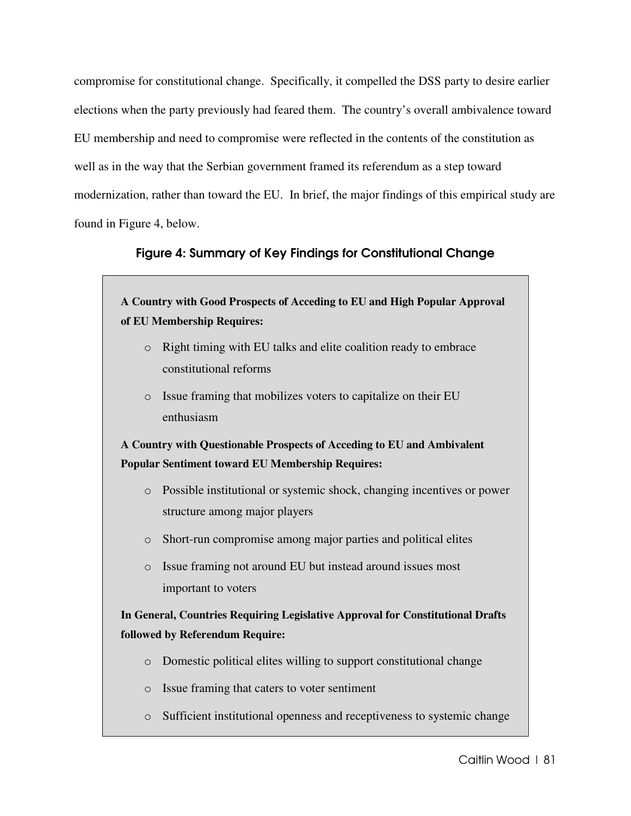compromise for constitutional change. Specifically, it compelled the DSS party to desire earlier elections when the party previously had feared them. The country's overall ambivalence toward EU membership and need to compromise were reflected in the contents of the constitution as well as in the way that the Serbian government framed its referendum as a step toward modernization, rather than toward the EU. In brief, the major findings of this empirical study are found in Figure 4, below.

# Figure 4: Summary of Key Findings for Constitutional Change

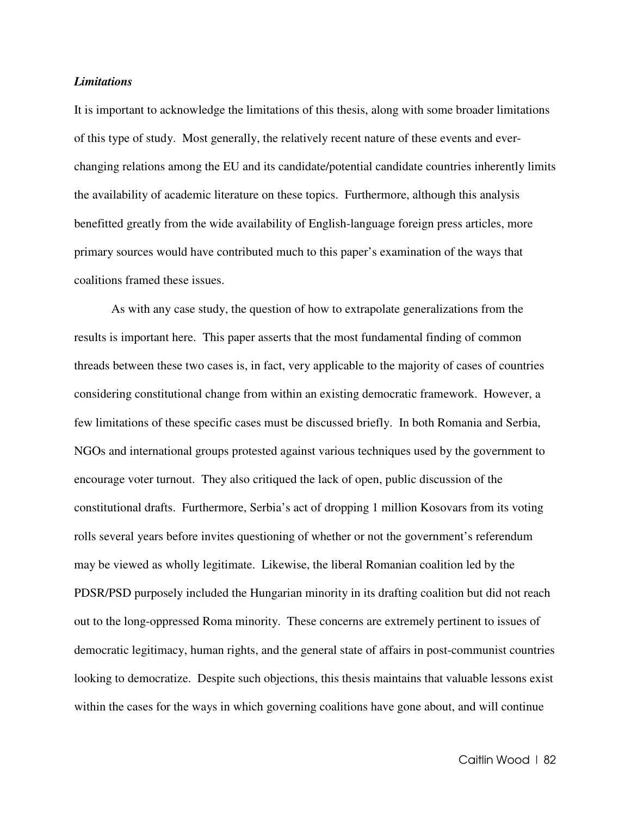#### *Limitations*

It is important to acknowledge the limitations of this thesis, along with some broader limitations of this type of study. Most generally, the relatively recent nature of these events and everchanging relations among the EU and its candidate/potential candidate countries inherently limits the availability of academic literature on these topics. Furthermore, although this analysis benefitted greatly from the wide availability of English-language foreign press articles, more primary sources would have contributed much to this paper's examination of the ways that coalitions framed these issues.

As with any case study, the question of how to extrapolate generalizations from the results is important here. This paper asserts that the most fundamental finding of common threads between these two cases is, in fact, very applicable to the majority of cases of countries considering constitutional change from within an existing democratic framework. However, a few limitations of these specific cases must be discussed briefly. In both Romania and Serbia, NGOs and international groups protested against various techniques used by the government to encourage voter turnout. They also critiqued the lack of open, public discussion of the constitutional drafts. Furthermore, Serbia's act of dropping 1 million Kosovars from its voting rolls several years before invites questioning of whether or not the government's referendum may be viewed as wholly legitimate. Likewise, the liberal Romanian coalition led by the PDSR/PSD purposely included the Hungarian minority in its drafting coalition but did not reach out to the long-oppressed Roma minority. These concerns are extremely pertinent to issues of democratic legitimacy, human rights, and the general state of affairs in post-communist countries looking to democratize. Despite such objections, this thesis maintains that valuable lessons exist within the cases for the ways in which governing coalitions have gone about, and will continue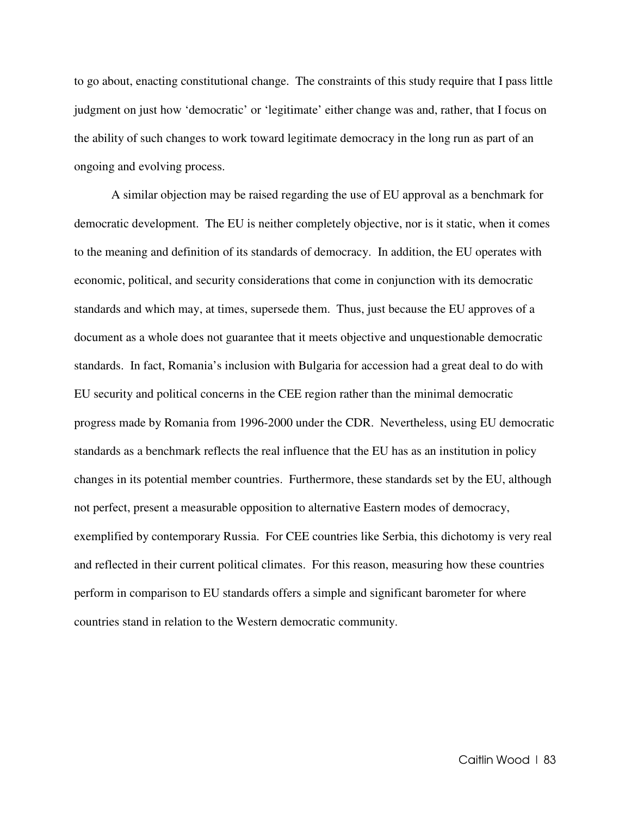to go about, enacting constitutional change. The constraints of this study require that I pass little judgment on just how 'democratic' or 'legitimate' either change was and, rather, that I focus on the ability of such changes to work toward legitimate democracy in the long run as part of an ongoing and evolving process.

A similar objection may be raised regarding the use of EU approval as a benchmark for democratic development. The EU is neither completely objective, nor is it static, when it comes to the meaning and definition of its standards of democracy. In addition, the EU operates with economic, political, and security considerations that come in conjunction with its democratic standards and which may, at times, supersede them. Thus, just because the EU approves of a document as a whole does not guarantee that it meets objective and unquestionable democratic standards. In fact, Romania's inclusion with Bulgaria for accession had a great deal to do with EU security and political concerns in the CEE region rather than the minimal democratic progress made by Romania from 1996-2000 under the CDR. Nevertheless, using EU democratic standards as a benchmark reflects the real influence that the EU has as an institution in policy changes in its potential member countries. Furthermore, these standards set by the EU, although not perfect, present a measurable opposition to alternative Eastern modes of democracy, exemplified by contemporary Russia. For CEE countries like Serbia, this dichotomy is very real and reflected in their current political climates. For this reason, measuring how these countries perform in comparison to EU standards offers a simple and significant barometer for where countries stand in relation to the Western democratic community.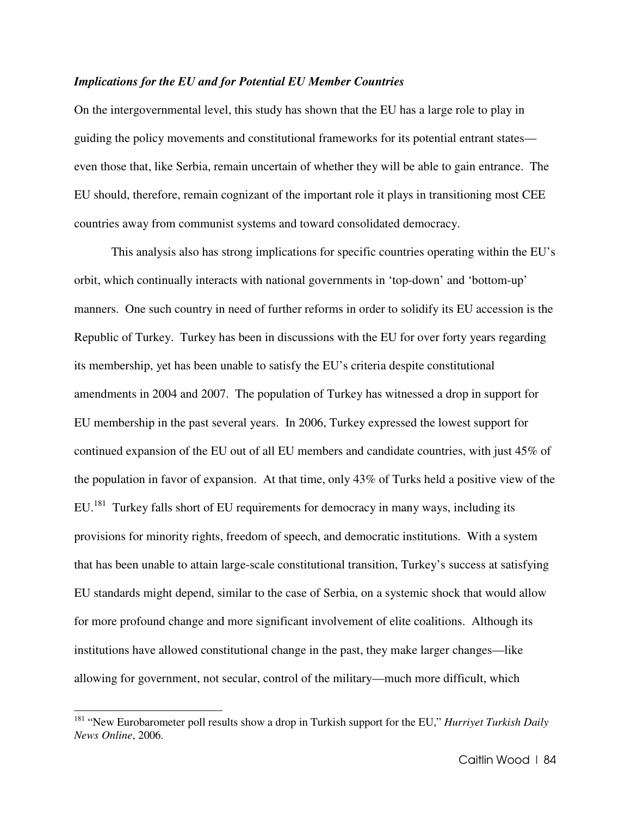#### *Implications for the EU and for Potential EU Member Countries*

On the intergovernmental level, this study has shown that the EU has a large role to play in guiding the policy movements and constitutional frameworks for its potential entrant states even those that, like Serbia, remain uncertain of whether they will be able to gain entrance. The EU should, therefore, remain cognizant of the important role it plays in transitioning most CEE countries away from communist systems and toward consolidated democracy.

This analysis also has strong implications for specific countries operating within the EU's orbit, which continually interacts with national governments in 'top-down' and 'bottom-up' manners. One such country in need of further reforms in order to solidify its EU accession is the Republic of Turkey. Turkey has been in discussions with the EU for over forty years regarding its membership, yet has been unable to satisfy the EU's criteria despite constitutional amendments in 2004 and 2007. The population of Turkey has witnessed a drop in support for EU membership in the past several years. In 2006, Turkey expressed the lowest support for continued expansion of the EU out of all EU members and candidate countries, with just 45% of the population in favor of expansion. At that time, only 43% of Turks held a positive view of the EU.<sup>181</sup> Turkey falls short of EU requirements for democracy in many ways, including its provisions for minority rights, freedom of speech, and democratic institutions. With a system that has been unable to attain large-scale constitutional transition, Turkey's success at satisfying EU standards might depend, similar to the case of Serbia, on a systemic shock that would allow for more profound change and more significant involvement of elite coalitions. Although its institutions have allowed constitutional change in the past, they make larger changes—like allowing for government, not secular, control of the military—much more difficult, which

<sup>181</sup> "New Eurobarometer poll results show a drop in Turkish support for the EU," *Hurriyet Turkish Daily News Online*, 2006.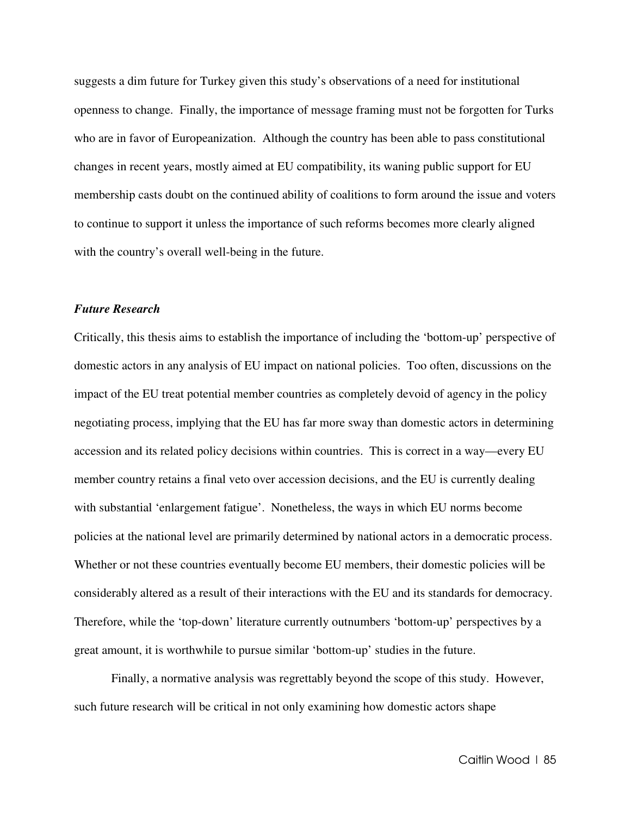suggests a dim future for Turkey given this study's observations of a need for institutional openness to change. Finally, the importance of message framing must not be forgotten for Turks who are in favor of Europeanization. Although the country has been able to pass constitutional changes in recent years, mostly aimed at EU compatibility, its waning public support for EU membership casts doubt on the continued ability of coalitions to form around the issue and voters to continue to support it unless the importance of such reforms becomes more clearly aligned with the country's overall well-being in the future.

#### *Future Research*

Critically, this thesis aims to establish the importance of including the 'bottom-up' perspective of domestic actors in any analysis of EU impact on national policies. Too often, discussions on the impact of the EU treat potential member countries as completely devoid of agency in the policy negotiating process, implying that the EU has far more sway than domestic actors in determining accession and its related policy decisions within countries. This is correct in a way—every EU member country retains a final veto over accession decisions, and the EU is currently dealing with substantial 'enlargement fatigue'. Nonetheless, the ways in which EU norms become policies at the national level are primarily determined by national actors in a democratic process. Whether or not these countries eventually become EU members, their domestic policies will be considerably altered as a result of their interactions with the EU and its standards for democracy. Therefore, while the 'top-down' literature currently outnumbers 'bottom-up' perspectives by a great amount, it is worthwhile to pursue similar 'bottom-up' studies in the future.

 Finally, a normative analysis was regrettably beyond the scope of this study. However, such future research will be critical in not only examining how domestic actors shape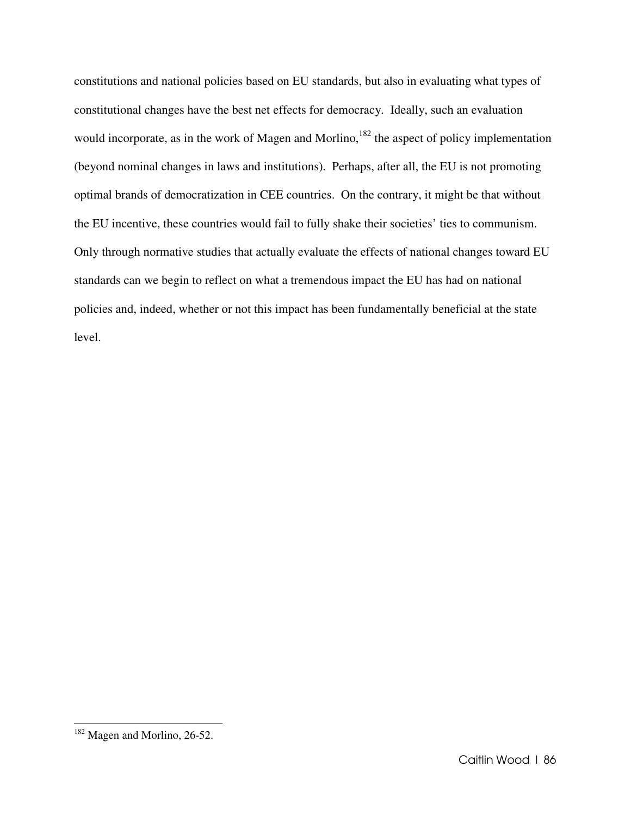constitutions and national policies based on EU standards, but also in evaluating what types of constitutional changes have the best net effects for democracy. Ideally, such an evaluation would incorporate, as in the work of Magen and Morlino,<sup>182</sup> the aspect of policy implementation (beyond nominal changes in laws and institutions). Perhaps, after all, the EU is not promoting optimal brands of democratization in CEE countries. On the contrary, it might be that without the EU incentive, these countries would fail to fully shake their societies' ties to communism. Only through normative studies that actually evaluate the effects of national changes toward EU standards can we begin to reflect on what a tremendous impact the EU has had on national policies and, indeed, whether or not this impact has been fundamentally beneficial at the state level.

l.

<sup>&</sup>lt;sup>182</sup> Magen and Morlino, 26-52.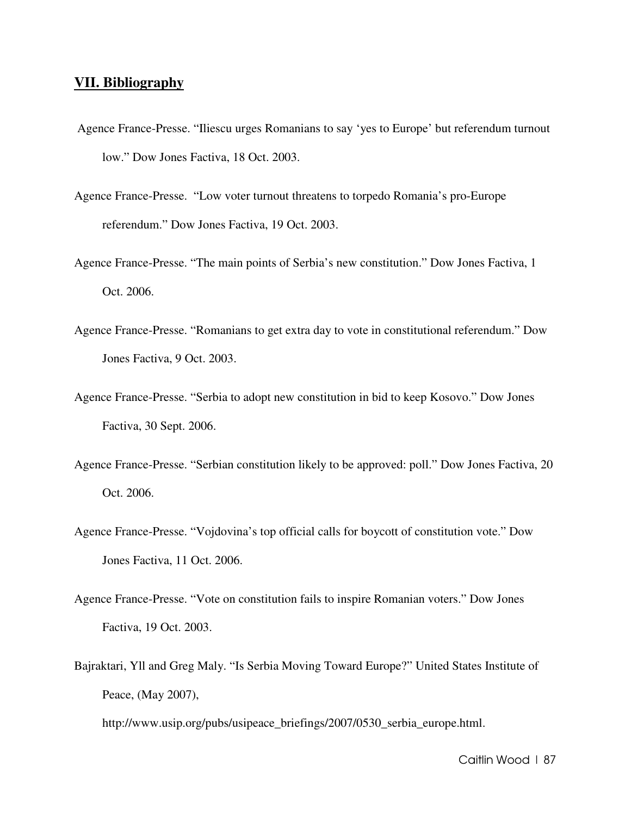## **VII. Bibliography**

- Agence France-Presse. "Iliescu urges Romanians to say 'yes to Europe' but referendum turnout low." Dow Jones Factiva, 18 Oct. 2003.
- Agence France-Presse. "Low voter turnout threatens to torpedo Romania's pro-Europe referendum." Dow Jones Factiva, 19 Oct. 2003.
- Agence France-Presse. "The main points of Serbia's new constitution." Dow Jones Factiva, 1 Oct. 2006.
- Agence France-Presse. "Romanians to get extra day to vote in constitutional referendum." Dow Jones Factiva, 9 Oct. 2003.
- Agence France-Presse. "Serbia to adopt new constitution in bid to keep Kosovo." Dow Jones Factiva, 30 Sept. 2006.
- Agence France-Presse. "Serbian constitution likely to be approved: poll." Dow Jones Factiva, 20 Oct. 2006.
- Agence France-Presse. "Vojdovina's top official calls for boycott of constitution vote." Dow Jones Factiva, 11 Oct. 2006.
- Agence France-Presse. "Vote on constitution fails to inspire Romanian voters." Dow Jones Factiva, 19 Oct. 2003.
- Bajraktari, Yll and Greg Maly. "Is Serbia Moving Toward Europe?" United States Institute of Peace, (May 2007),

http://www.usip.org/pubs/usipeace\_briefings/2007/0530\_serbia\_europe.html.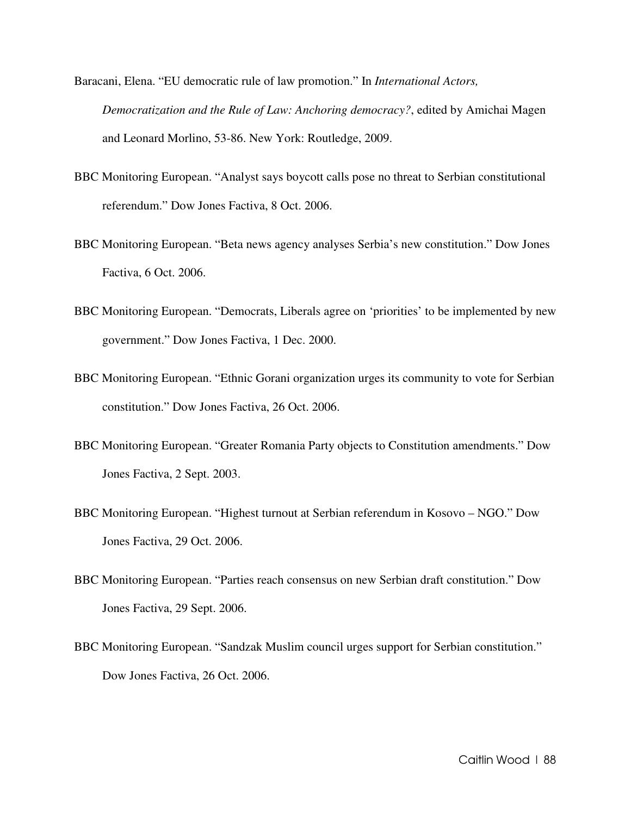- Baracani, Elena. "EU democratic rule of law promotion." In *International Actors, Democratization and the Rule of Law: Anchoring democracy?*, edited by Amichai Magen and Leonard Morlino, 53-86. New York: Routledge, 2009.
- BBC Monitoring European. "Analyst says boycott calls pose no threat to Serbian constitutional referendum." Dow Jones Factiva, 8 Oct. 2006.
- BBC Monitoring European. "Beta news agency analyses Serbia's new constitution." Dow Jones Factiva, 6 Oct. 2006.
- BBC Monitoring European. "Democrats, Liberals agree on 'priorities' to be implemented by new government." Dow Jones Factiva, 1 Dec. 2000.
- BBC Monitoring European. "Ethnic Gorani organization urges its community to vote for Serbian constitution." Dow Jones Factiva, 26 Oct. 2006.
- BBC Monitoring European. "Greater Romania Party objects to Constitution amendments." Dow Jones Factiva, 2 Sept. 2003.
- BBC Monitoring European. "Highest turnout at Serbian referendum in Kosovo NGO." Dow Jones Factiva, 29 Oct. 2006.
- BBC Monitoring European. "Parties reach consensus on new Serbian draft constitution." Dow Jones Factiva, 29 Sept. 2006.
- BBC Monitoring European. "Sandzak Muslim council urges support for Serbian constitution." Dow Jones Factiva, 26 Oct. 2006.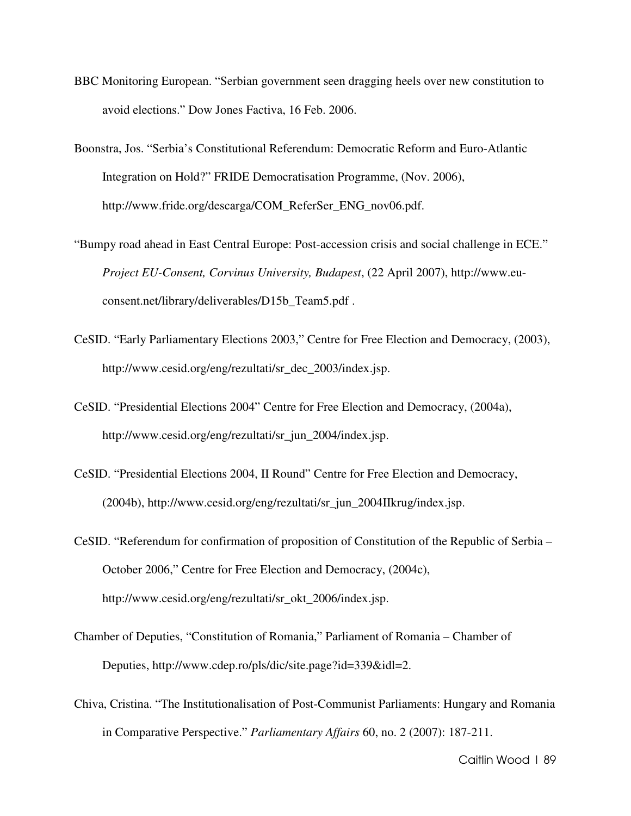- BBC Monitoring European. "Serbian government seen dragging heels over new constitution to avoid elections." Dow Jones Factiva, 16 Feb. 2006.
- Boonstra, Jos. "Serbia's Constitutional Referendum: Democratic Reform and Euro-Atlantic Integration on Hold?" FRIDE Democratisation Programme, (Nov. 2006), http://www.fride.org/descarga/COM\_ReferSer\_ENG\_nov06.pdf.
- "Bumpy road ahead in East Central Europe: Post-accession crisis and social challenge in ECE." *Project EU-Consent, Corvinus University, Budapest*, (22 April 2007), http://www.euconsent.net/library/deliverables/D15b\_Team5.pdf .
- CeSID. "Early Parliamentary Elections 2003," Centre for Free Election and Democracy, (2003), http://www.cesid.org/eng/rezultati/sr\_dec\_2003/index.jsp.
- CeSID. "Presidential Elections 2004" Centre for Free Election and Democracy, (2004a), http://www.cesid.org/eng/rezultati/sr\_jun\_2004/index.jsp.
- CeSID. "Presidential Elections 2004, II Round" Centre for Free Election and Democracy, (2004b), http://www.cesid.org/eng/rezultati/sr\_jun\_2004IIkrug/index.jsp.
- CeSID. "Referendum for confirmation of proposition of Constitution of the Republic of Serbia October 2006," Centre for Free Election and Democracy, (2004c), http://www.cesid.org/eng/rezultati/sr\_okt\_2006/index.jsp.
- Chamber of Deputies, "Constitution of Romania," Parliament of Romania Chamber of Deputies, http://www.cdep.ro/pls/dic/site.page?id=339&idl=2.
- Chiva, Cristina. "The Institutionalisation of Post-Communist Parliaments: Hungary and Romania in Comparative Perspective." *Parliamentary Affairs* 60, no. 2 (2007): 187-211.

Caitlin Wood | 89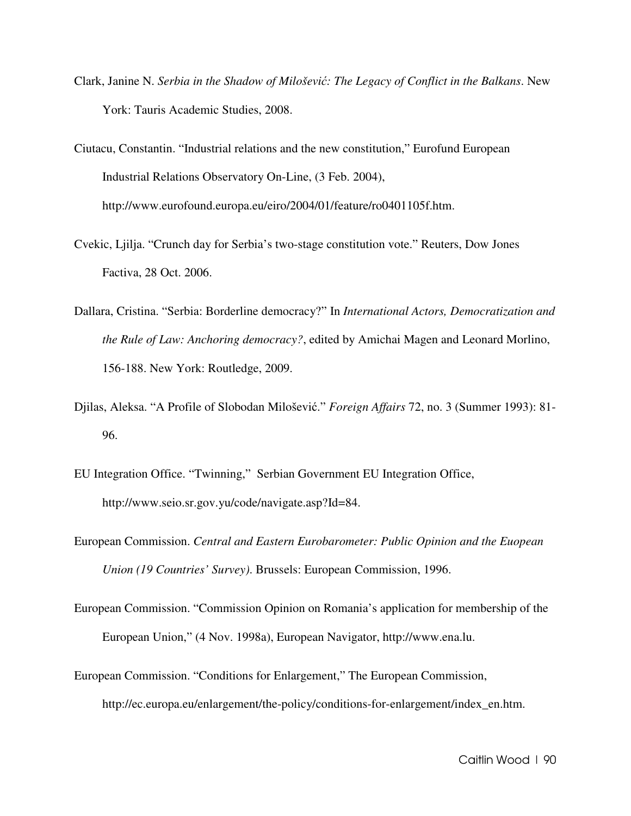Clark, Janine N. *Serbia in the Shadow of Miloševi*ć*: The Legacy of Conflict in the Balkans*. New York: Tauris Academic Studies, 2008.

Ciutacu, Constantin. "Industrial relations and the new constitution," Eurofund European Industrial Relations Observatory On-Line, (3 Feb. 2004), http://www.eurofound.europa.eu/eiro/2004/01/feature/ro0401105f.htm.

- Cvekic, Ljilja. "Crunch day for Serbia's two-stage constitution vote." Reuters, Dow Jones Factiva, 28 Oct. 2006.
- Dallara, Cristina. "Serbia: Borderline democracy?" In *International Actors, Democratization and the Rule of Law: Anchoring democracy?*, edited by Amichai Magen and Leonard Morlino, 156-188. New York: Routledge, 2009.
- Djilas, Aleksa. "A Profile of Slobodan Milošević." *Foreign Affairs* 72, no. 3 (Summer 1993): 81- 96.
- EU Integration Office. "Twinning," Serbian Government EU Integration Office, http://www.seio.sr.gov.yu/code/navigate.asp?Id=84.
- European Commission. *Central and Eastern Eurobarometer: Public Opinion and the Euopean Union (19 Countries' Survey)*. Brussels: European Commission, 1996.
- European Commission. "Commission Opinion on Romania's application for membership of the European Union," (4 Nov. 1998a), European Navigator, http://www.ena.lu.
- European Commission. "Conditions for Enlargement," The European Commission, http://ec.europa.eu/enlargement/the-policy/conditions-for-enlargement/index\_en.htm.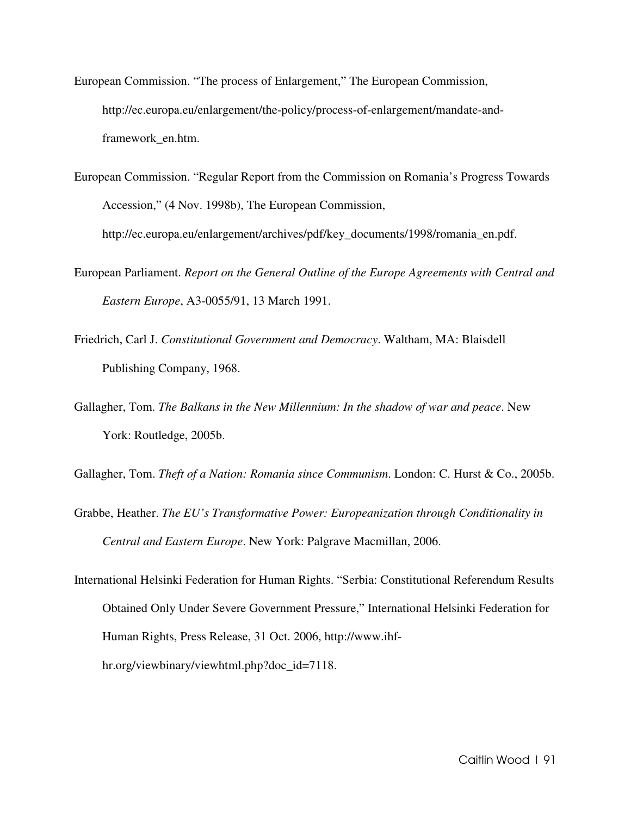- European Commission. "The process of Enlargement," The European Commission, http://ec.europa.eu/enlargement/the-policy/process-of-enlargement/mandate-andframework\_en.htm.
- European Commission. "Regular Report from the Commission on Romania's Progress Towards Accession," (4 Nov. 1998b), The European Commission, http://ec.europa.eu/enlargement/archives/pdf/key\_documents/1998/romania\_en.pdf.
- European Parliament. *Report on the General Outline of the Europe Agreements with Central and Eastern Europe*, A3-0055/91, 13 March 1991.
- Friedrich, Carl J. *Constitutional Government and Democracy*. Waltham, MA: Blaisdell Publishing Company, 1968.
- Gallagher, Tom. *The Balkans in the New Millennium: In the shadow of war and peace*. New York: Routledge, 2005b.

Gallagher, Tom. *Theft of a Nation: Romania since Communism*. London: C. Hurst & Co., 2005b.

- Grabbe, Heather. *The EU's Transformative Power: Europeanization through Conditionality in Central and Eastern Europe*. New York: Palgrave Macmillan, 2006.
- International Helsinki Federation for Human Rights. "Serbia: Constitutional Referendum Results Obtained Only Under Severe Government Pressure," International Helsinki Federation for Human Rights, Press Release, 31 Oct. 2006, http://www.ihfhr.org/viewbinary/viewhtml.php?doc\_id=7118.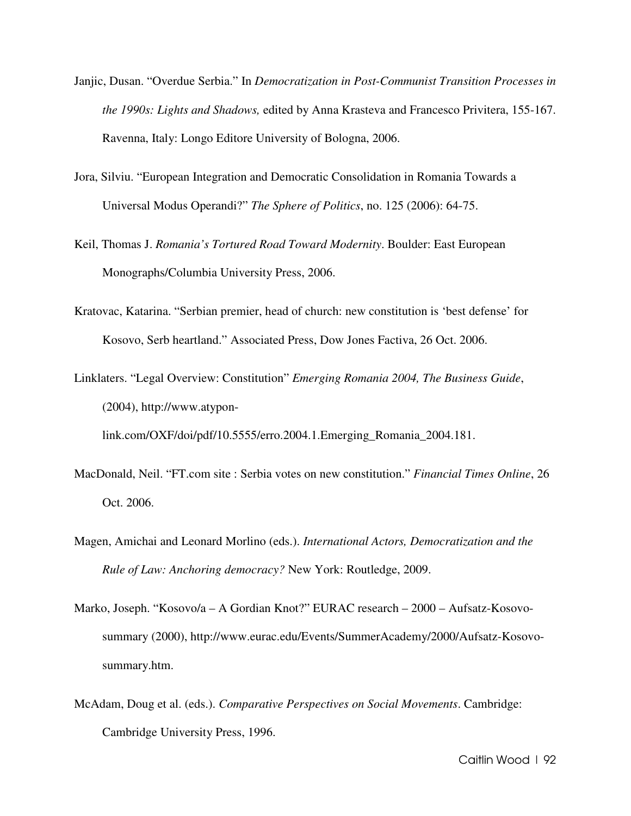- Janjic, Dusan. "Overdue Serbia." In *Democratization in Post-Communist Transition Processes in the 1990s: Lights and Shadows,* edited by Anna Krasteva and Francesco Privitera, 155-167. Ravenna, Italy: Longo Editore University of Bologna, 2006.
- Jora, Silviu. "European Integration and Democratic Consolidation in Romania Towards a Universal Modus Operandi?" *The Sphere of Politics*, no. 125 (2006): 64-75.
- Keil, Thomas J. *Romania's Tortured Road Toward Modernity*. Boulder: East European Monographs/Columbia University Press, 2006.
- Kratovac, Katarina. "Serbian premier, head of church: new constitution is 'best defense' for Kosovo, Serb heartland." Associated Press, Dow Jones Factiva, 26 Oct. 2006.
- Linklaters. "Legal Overview: Constitution" *Emerging Romania 2004, The Business Guide*, (2004), http://www.atyponlink.com/OXF/doi/pdf/10.5555/erro.2004.1.Emerging\_Romania\_2004.181.
	-
- MacDonald, Neil. "FT.com site : Serbia votes on new constitution." *Financial Times Online*, 26 Oct. 2006.
- Magen, Amichai and Leonard Morlino (eds.). *International Actors, Democratization and the Rule of Law: Anchoring democracy?* New York: Routledge, 2009.
- Marko, Joseph. "Kosovo/a A Gordian Knot?" EURAC research 2000 Aufsatz-Kosovosummary (2000), http://www.eurac.edu/Events/SummerAcademy/2000/Aufsatz-Kosovosummary.htm.
- McAdam, Doug et al. (eds.). *Comparative Perspectives on Social Movements*. Cambridge: Cambridge University Press, 1996.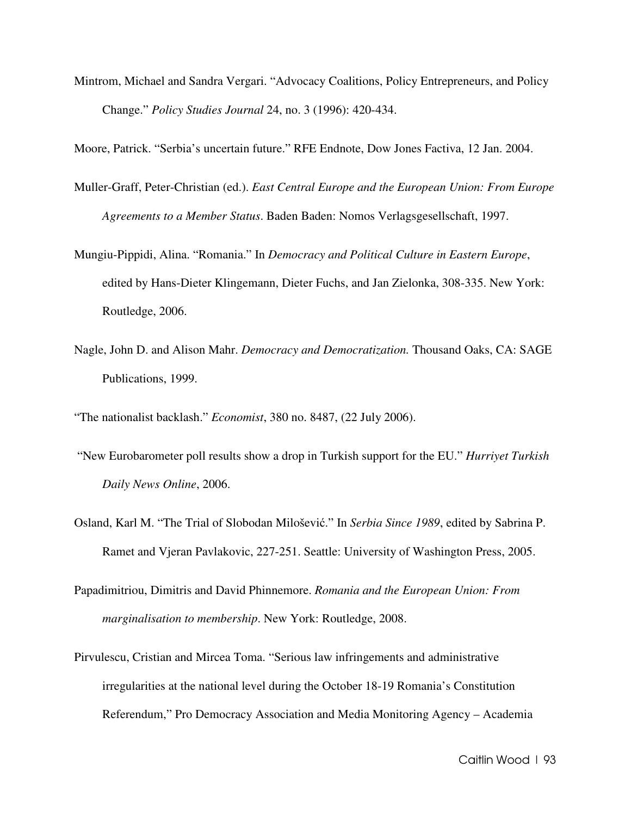Mintrom, Michael and Sandra Vergari. "Advocacy Coalitions, Policy Entrepreneurs, and Policy Change." *Policy Studies Journal* 24, no. 3 (1996): 420-434.

Moore, Patrick. "Serbia's uncertain future." RFE Endnote, Dow Jones Factiva, 12 Jan. 2004.

- Muller-Graff, Peter-Christian (ed.). *East Central Europe and the European Union: From Europe Agreements to a Member Status*. Baden Baden: Nomos Verlagsgesellschaft, 1997.
- Mungiu-Pippidi, Alina. "Romania." In *Democracy and Political Culture in Eastern Europe*, edited by Hans-Dieter Klingemann, Dieter Fuchs, and Jan Zielonka, 308-335. New York: Routledge, 2006.
- Nagle, John D. and Alison Mahr. *Democracy and Democratization.* Thousand Oaks, CA: SAGE Publications, 1999.

"The nationalist backlash." *Economist*, 380 no. 8487, (22 July 2006).

- "New Eurobarometer poll results show a drop in Turkish support for the EU." *Hurriyet Turkish Daily News Online*, 2006.
- Osland, Karl M. "The Trial of Slobodan Milošević." In *Serbia Since 1989*, edited by Sabrina P. Ramet and Vjeran Pavlakovic, 227-251. Seattle: University of Washington Press, 2005.
- Papadimitriou, Dimitris and David Phinnemore. *Romania and the European Union: From marginalisation to membership*. New York: Routledge, 2008.
- Pirvulescu, Cristian and Mircea Toma. "Serious law infringements and administrative irregularities at the national level during the October 18-19 Romania's Constitution Referendum," Pro Democracy Association and Media Monitoring Agency – Academia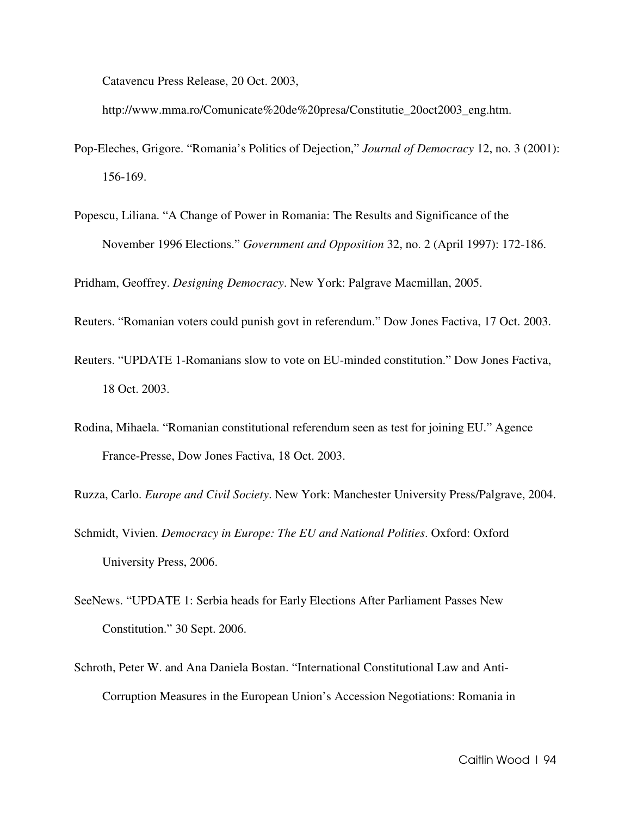Catavencu Press Release, 20 Oct. 2003,

http://www.mma.ro/Comunicate%20de%20presa/Constitutie\_20oct2003\_eng.htm.

- Pop-Eleches, Grigore. "Romania's Politics of Dejection," *Journal of Democracy* 12, no. 3 (2001): 156-169.
- Popescu, Liliana. "A Change of Power in Romania: The Results and Significance of the November 1996 Elections." *Government and Opposition* 32, no. 2 (April 1997): 172-186.

Pridham, Geoffrey. *Designing Democracy*. New York: Palgrave Macmillan, 2005.

- Reuters. "Romanian voters could punish govt in referendum." Dow Jones Factiva, 17 Oct. 2003.
- Reuters. "UPDATE 1-Romanians slow to vote on EU-minded constitution." Dow Jones Factiva, 18 Oct. 2003.
- Rodina, Mihaela. "Romanian constitutional referendum seen as test for joining EU." Agence France-Presse, Dow Jones Factiva, 18 Oct. 2003.

Ruzza, Carlo. *Europe and Civil Society*. New York: Manchester University Press/Palgrave, 2004.

- Schmidt, Vivien. *Democracy in Europe: The EU and National Polities*. Oxford: Oxford University Press, 2006.
- SeeNews. "UPDATE 1: Serbia heads for Early Elections After Parliament Passes New Constitution." 30 Sept. 2006.
- Schroth, Peter W. and Ana Daniela Bostan. "International Constitutional Law and Anti-Corruption Measures in the European Union's Accession Negotiations: Romania in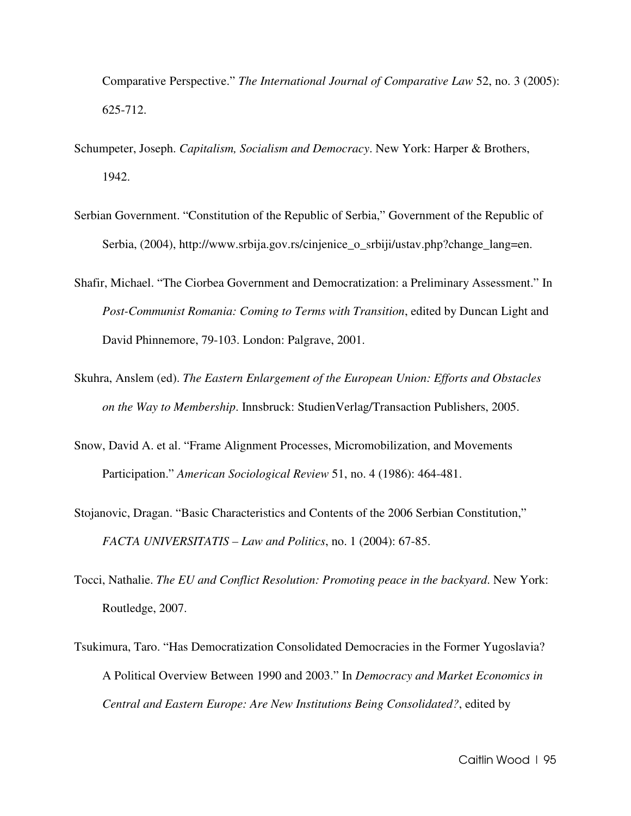Comparative Perspective." *The International Journal of Comparative Law* 52, no. 3 (2005): 625-712.

- Schumpeter, Joseph. *Capitalism, Socialism and Democracy*. New York: Harper & Brothers, 1942.
- Serbian Government. "Constitution of the Republic of Serbia," Government of the Republic of Serbia, (2004), http://www.srbija.gov.rs/cinjenice\_o\_srbiji/ustav.php?change\_lang=en.
- Shafir, Michael. "The Ciorbea Government and Democratization: a Preliminary Assessment." In *Post-Communist Romania: Coming to Terms with Transition*, edited by Duncan Light and David Phinnemore, 79-103. London: Palgrave, 2001.
- Skuhra, Anslem (ed). *The Eastern Enlargement of the European Union: Efforts and Obstacles on the Way to Membership*. Innsbruck: StudienVerlag/Transaction Publishers, 2005.
- Snow, David A. et al. "Frame Alignment Processes, Micromobilization, and Movements Participation." *American Sociological Review* 51, no. 4 (1986): 464-481.
- Stojanovic, Dragan. "Basic Characteristics and Contents of the 2006 Serbian Constitution," *FACTA UNIVERSITATIS – Law and Politics*, no. 1 (2004): 67-85.
- Tocci, Nathalie. *The EU and Conflict Resolution: Promoting peace in the backyard*. New York: Routledge, 2007.
- Tsukimura, Taro. "Has Democratization Consolidated Democracies in the Former Yugoslavia? A Political Overview Between 1990 and 2003." In *Democracy and Market Economics in Central and Eastern Europe: Are New Institutions Being Consolidated?*, edited by